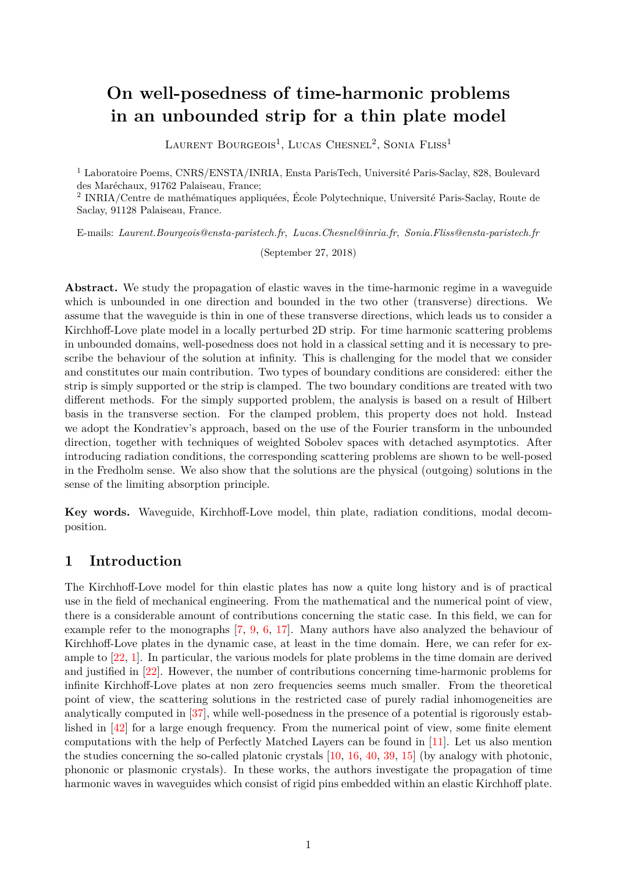# **On well-posedness of time-harmonic problems in an unbounded strip for a thin plate model**

LAURENT BOURGEOIS<sup>1</sup>, LUCAS CHESNEL<sup>2</sup>, SONIA FLISS<sup>1</sup>

<sup>1</sup> Laboratoire Poems, CNRS/ENSTA/INRIA, Ensta ParisTech, Université Paris-Saclay, 828, Boulevard des Maréchaux, 91762 Palaiseau, France;

2 INRIA/Centre de mathématiques appliquées, École Polytechnique, Université Paris-Saclay, Route de Saclay, 91128 Palaiseau, France.

E-mails: *Laurent.Bourgeois@ensta-paristech.fr*, *Lucas.Chesnel@inria.fr*, *Sonia.Fliss@ensta-paristech.fr*

(September 27, 2018)

**Abstract.** We study the propagation of elastic waves in the time-harmonic regime in a waveguide which is unbounded in one direction and bounded in the two other (transverse) directions. We assume that the waveguide is thin in one of these transverse directions, which leads us to consider a Kirchhoff-Love plate model in a locally perturbed 2D strip. For time harmonic scattering problems in unbounded domains, well-posedness does not hold in a classical setting and it is necessary to prescribe the behaviour of the solution at infinity. This is challenging for the model that we consider and constitutes our main contribution. Two types of boundary conditions are considered: either the strip is simply supported or the strip is clamped. The two boundary conditions are treated with two different methods. For the simply supported problem, the analysis is based on a result of Hilbert basis in the transverse section. For the clamped problem, this property does not hold. Instead we adopt the Kondratiev's approach, based on the use of the Fourier transform in the unbounded direction, together with techniques of weighted Sobolev spaces with detached asymptotics. After introducing radiation conditions, the corresponding scattering problems are shown to be well-posed in the Fredholm sense. We also show that the solutions are the physical (outgoing) solutions in the sense of the limiting absorption principle.

**Key words.** Waveguide, Kirchhoff-Love model, thin plate, radiation conditions, modal decomposition.

### **1 Introduction**

The Kirchhoff-Love model for thin elastic plates has now a quite long history and is of practical use in the field of mechanical engineering. From the mathematical and the numerical point of view, there is a considerable amount of contributions concerning the static case. In this field, we can for example refer to the monographs [\[7,](#page-34-0) [9,](#page-34-1) [6,](#page-34-2) [17\]](#page-34-3). Many authors have also analyzed the behaviour of Kirchhoff-Love plates in the dynamic case, at least in the time domain. Here, we can refer for example to [\[22,](#page-35-0) [1\]](#page-34-4). In particular, the various models for plate problems in the time domain are derived and justified in [\[22\]](#page-35-0). However, the number of contributions concerning time-harmonic problems for infinite Kirchhoff-Love plates at non zero frequencies seems much smaller. From the theoretical point of view, the scattering solutions in the restricted case of purely radial inhomogeneities are analytically computed in [\[37\]](#page-35-1), while well-posedness in the presence of a potential is rigorously established in [\[42\]](#page-35-2) for a large enough frequency. From the numerical point of view, some finite element computations with the help of Perfectly Matched Layers can be found in [\[11\]](#page-34-5). Let us also mention the studies concerning the so-called platonic crystals [\[10,](#page-34-6) [16,](#page-34-7) [40,](#page-35-3) [39,](#page-35-4) [15\]](#page-34-8) (by analogy with photonic, phononic or plasmonic crystals). In these works, the authors investigate the propagation of time harmonic waves in waveguides which consist of rigid pins embedded within an elastic Kirchhoff plate.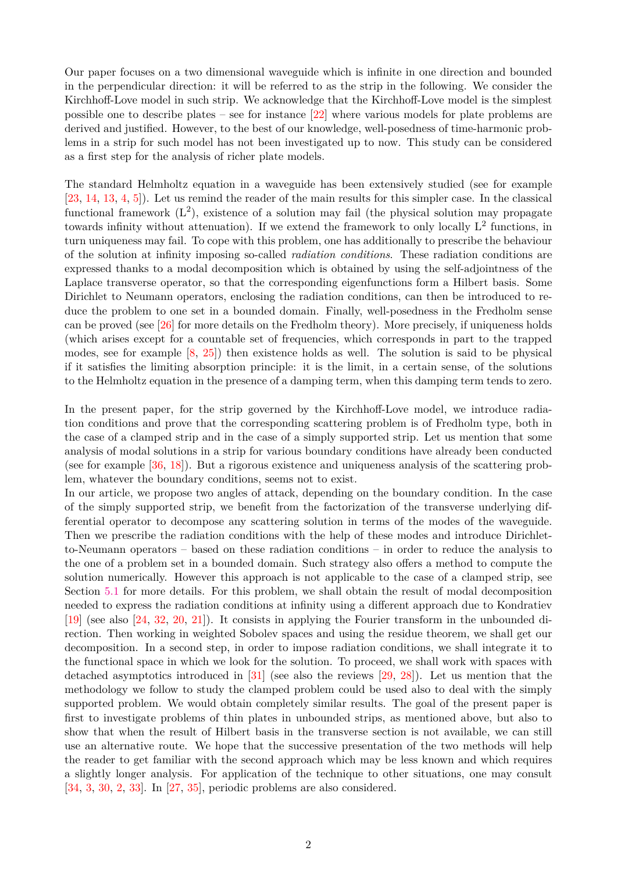Our paper focuses on a two dimensional waveguide which is infinite in one direction and bounded in the perpendicular direction: it will be referred to as the strip in the following. We consider the Kirchhoff-Love model in such strip. We acknowledge that the Kirchhoff-Love model is the simplest possible one to describe plates – see for instance [\[22\]](#page-35-0) where various models for plate problems are derived and justified. However, to the best of our knowledge, well-posedness of time-harmonic problems in a strip for such model has not been investigated up to now. This study can be considered as a first step for the analysis of richer plate models.

The standard Helmholtz equation in a waveguide has been extensively studied (see for example [\[23,](#page-35-5) [14,](#page-34-9) [13,](#page-34-10) [4,](#page-34-11) [5\]](#page-34-12)). Let us remind the reader of the main results for this simpler case. In the classical functional framework  $(L^2)$ , existence of a solution may fail (the physical solution may propagate towards infinity without attenuation). If we extend the framework to only locally  $L^2$  functions, in turn uniqueness may fail. To cope with this problem, one has additionally to prescribe the behaviour of the solution at infinity imposing so-called *radiation conditions*. These radiation conditions are expressed thanks to a modal decomposition which is obtained by using the self-adjointness of the Laplace transverse operator, so that the corresponding eigenfunctions form a Hilbert basis. Some Dirichlet to Neumann operators, enclosing the radiation conditions, can then be introduced to reduce the problem to one set in a bounded domain. Finally, well-posedness in the Fredholm sense can be proved (see [\[26\]](#page-35-6) for more details on the Fredholm theory). More precisely, if uniqueness holds (which arises except for a countable set of frequencies, which corresponds in part to the trapped modes, see for example [\[8,](#page-34-13) [25\]](#page-35-7)) then existence holds as well. The solution is said to be physical if it satisfies the limiting absorption principle: it is the limit, in a certain sense, of the solutions to the Helmholtz equation in the presence of a damping term, when this damping term tends to zero.

In the present paper, for the strip governed by the Kirchhoff-Love model, we introduce radiation conditions and prove that the corresponding scattering problem is of Fredholm type, both in the case of a clamped strip and in the case of a simply supported strip. Let us mention that some analysis of modal solutions in a strip for various boundary conditions have already been conducted (see for example [\[36,](#page-35-8) [18\]](#page-34-14)). But a rigorous existence and uniqueness analysis of the scattering problem, whatever the boundary conditions, seems not to exist.

In our article, we propose two angles of attack, depending on the boundary condition. In the case of the simply supported strip, we benefit from the factorization of the transverse underlying differential operator to decompose any scattering solution in terms of the modes of the waveguide. Then we prescribe the radiation conditions with the help of these modes and introduce Dirichletto-Neumann operators – based on these radiation conditions – in order to reduce the analysis to the one of a problem set in a bounded domain. Such strategy also offers a method to compute the solution numerically. However this approach is not applicable to the case of a clamped strip, see Section [5.1](#page-17-0) for more details. For this problem, we shall obtain the result of modal decomposition needed to express the radiation conditions at infinity using a different approach due to Kondratiev [\[19\]](#page-35-9) (see also [\[24,](#page-35-10) [32,](#page-35-11) [20,](#page-35-12) [21\]](#page-35-13)). It consists in applying the Fourier transform in the unbounded direction. Then working in weighted Sobolev spaces and using the residue theorem, we shall get our decomposition. In a second step, in order to impose radiation conditions, we shall integrate it to the functional space in which we look for the solution. To proceed, we shall work with spaces with detached asymptotics introduced in [\[31\]](#page-35-14) (see also the reviews [\[29,](#page-35-15) [28\]](#page-35-16)). Let us mention that the methodology we follow to study the clamped problem could be used also to deal with the simply supported problem. We would obtain completely similar results. The goal of the present paper is first to investigate problems of thin plates in unbounded strips, as mentioned above, but also to show that when the result of Hilbert basis in the transverse section is not available, we can still use an alternative route. We hope that the successive presentation of the two methods will help the reader to get familiar with the second approach which may be less known and which requires a slightly longer analysis. For application of the technique to other situations, one may consult [\[34,](#page-35-17) [3,](#page-34-15) [30,](#page-35-18) [2,](#page-34-16) [33\]](#page-35-19). In [\[27,](#page-35-20) [35\]](#page-35-21), periodic problems are also considered.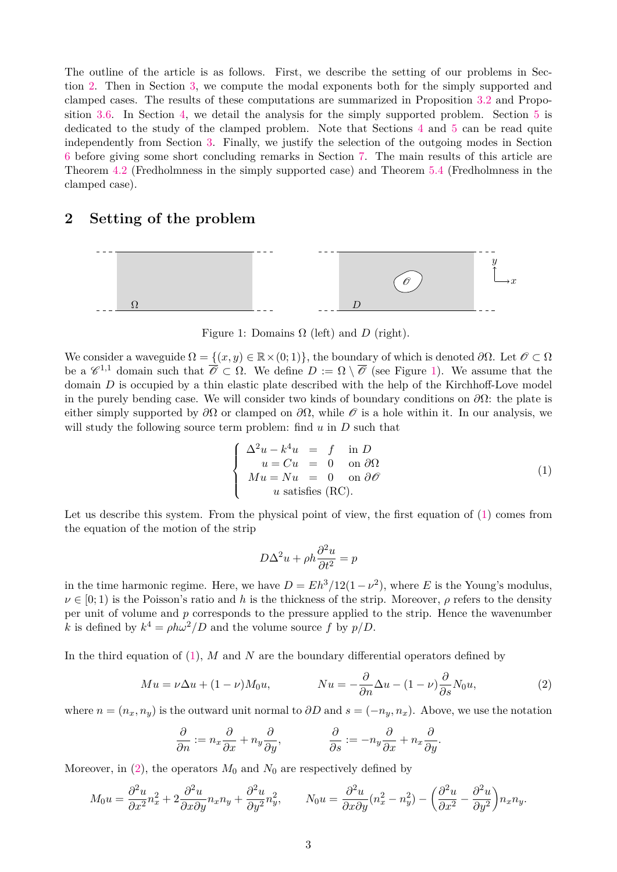The outline of the article is as follows. First, we describe the setting of our problems in Section [2.](#page-2-0) Then in Section [3,](#page-3-0) we compute the modal exponents both for the simply supported and clamped cases. The results of these computations are summarized in Proposition [3.2](#page-5-0) and Proposition [3.6.](#page-8-0) In Section [4,](#page-8-1) we detail the analysis for the simply supported problem. Section [5](#page-17-1) is dedicated to the study of the clamped problem. Note that Sections [4](#page-8-1) and [5](#page-17-1) can be read quite independently from Section [3.](#page-3-0) Finally, we justify the selection of the outgoing modes in Section [6](#page-30-0) before giving some short concluding remarks in Section [7.](#page-33-0) The main results of this article are Theorem [4.2](#page-15-0) (Fredholmness in the simply supported case) and Theorem [5.4](#page-26-0) (Fredholmness in the clamped case).

### <span id="page-2-0"></span>**2 Setting of the problem**



<span id="page-2-1"></span>Figure 1: Domains  $\Omega$  (left) and *D* (right).

We consider a waveguide  $\Omega = \{(x, y) \in \mathbb{R} \times (0, 1)\}\)$ , the boundary of which is denoted  $\partial \Omega$ . Let  $\mathscr{O} \subset \Omega$ be a  $\mathscr{C}^{1,1}$  domain such that  $\overline{\mathscr{O}} \subset \Omega$ . We define  $D := \Omega \setminus \overline{\mathscr{O}}$  (see Figure [1\)](#page-2-1). We assume that the domain *D* is occupied by a thin elastic plate described with the help of the Kirchhoff-Love model in the purely bending case. We will consider two kinds of boundary conditions on *∂*Ω: the plate is either simply supported by  $\partial\Omega$  or clamped on  $\partial\Omega$ , while  $\mathscr O$  is a hole within it. In our analysis, we will study the following source term problem: find *u* in *D* such that

<span id="page-2-2"></span>
$$
\begin{cases}\n\Delta^2 u - k^4 u &= f \text{ in } D \\
u = Cu = 0 \text{ on } \partial \Omega \\
Mu = Nu = 0 \text{ on } \partial \mathcal{O} \\
u \text{ satisfies (RC)}.\n\end{cases}
$$
\n(1)

Let us describe this system. From the physical point of view, the first equation of [\(1\)](#page-2-2) comes from the equation of the motion of the strip

$$
D\Delta^2 u + \rho h \frac{\partial^2 u}{\partial t^2} = p
$$

in the time harmonic regime. Here, we have  $D = Eh^3/12(1 - \nu^2)$ , where *E* is the Young's modulus,  $\nu \in [0, 1)$  is the Poisson's ratio and *h* is the thickness of the strip. Moreover,  $\rho$  refers to the density per unit of volume and *p* corresponds to the pressure applied to the strip. Hence the wavenumber *k* is defined by  $k^4 = \rho h \omega^2 / D$  and the volume source f by  $p/D$ .

In the third equation of [\(1\)](#page-2-2), *M* and *N* are the boundary differential operators defined by

<span id="page-2-3"></span>
$$
Mu = \nu \Delta u + (1 - \nu)M_0 u, \qquad Nu = -\frac{\partial}{\partial n} \Delta u - (1 - \nu)\frac{\partial}{\partial s} N_0 u,\tag{2}
$$

where  $n = (n_x, n_y)$  is the outward unit normal to  $\partial D$  and  $s = (-n_y, n_x)$ . Above, we use the notation

$$
\frac{\partial}{\partial n} := n_x \frac{\partial}{\partial x} + n_y \frac{\partial}{\partial y}, \qquad \qquad \frac{\partial}{\partial s} := -n_y \frac{\partial}{\partial x} + n_x \frac{\partial}{\partial y}.
$$

Moreover, in  $(2)$ , the operators  $M_0$  and  $N_0$  are respectively defined by

$$
M_0 u = \frac{\partial^2 u}{\partial x^2} n_x^2 + 2 \frac{\partial^2 u}{\partial x \partial y} n_x n_y + \frac{\partial^2 u}{\partial y^2} n_y^2, \qquad N_0 u = \frac{\partial^2 u}{\partial x \partial y} (n_x^2 - n_y^2) - \left(\frac{\partial^2 u}{\partial x^2} - \frac{\partial^2 u}{\partial y^2}\right) n_x n_y.
$$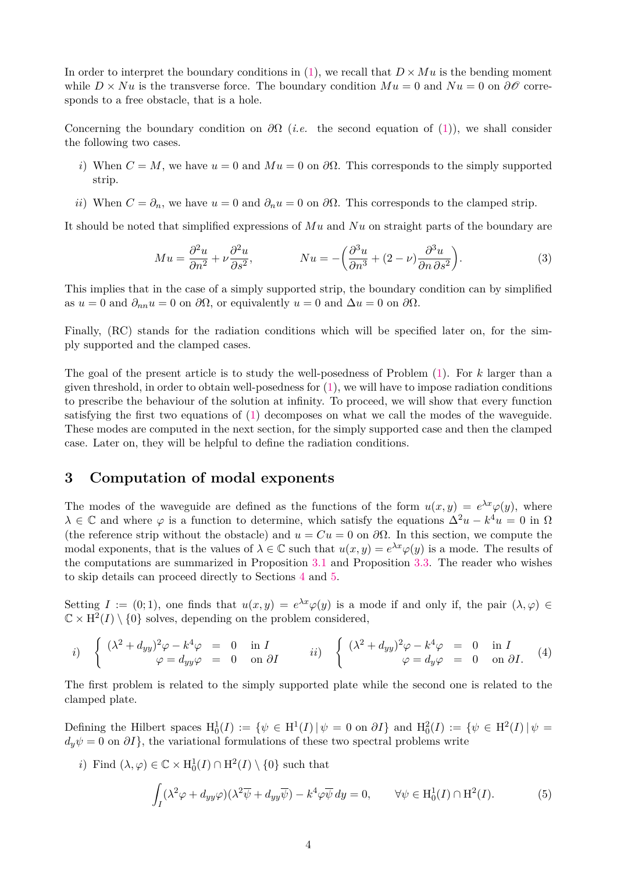In order to interpret the boundary conditions in [\(1\)](#page-2-2), we recall that  $D \times Mu$  is the bending moment while  $D \times Nu$  is the transverse force. The boundary condition  $Mu = 0$  and  $Nu = 0$  on  $\partial \mathcal{O}$  corresponds to a free obstacle, that is a hole.

Concerning the boundary condition on  $\partial\Omega$  (*i.e.* the second equation of [\(1\)](#page-2-2)), we shall consider the following two cases.

- *i*) When  $C = M$ , we have  $u = 0$  and  $Mu = 0$  on  $\partial\Omega$ . This corresponds to the simply supported strip.
- *ii*) When  $C = \partial_n$ , we have  $u = 0$  and  $\partial_n u = 0$  on  $\partial \Omega$ . This corresponds to the clamped strip.

It should be noted that simplified expressions of *Mu* and *Nu* on straight parts of the boundary are

<span id="page-3-3"></span>
$$
Mu = \frac{\partial^2 u}{\partial n^2} + \nu \frac{\partial^2 u}{\partial s^2}, \qquad Nu = -\left(\frac{\partial^3 u}{\partial n^3} + (2 - \nu)\frac{\partial^3 u}{\partial n \partial s^2}\right).
$$
 (3)

This implies that in the case of a simply supported strip, the boundary condition can by simplified as  $u = 0$  and  $\partial_{nn}u = 0$  on  $\partial\Omega$ , or equivalently  $u = 0$  and  $\Delta u = 0$  on  $\partial\Omega$ .

Finally, (RC) stands for the radiation conditions which will be specified later on, for the simply supported and the clamped cases.

The goal of the present article is to study the well-posedness of Problem [\(1\)](#page-2-2). For *k* larger than a given threshold, in order to obtain well-posedness for  $(1)$ , we will have to impose radiation conditions to prescribe the behaviour of the solution at infinity. To proceed, we will show that every function satisfying the first two equations of [\(1\)](#page-2-2) decomposes on what we call the modes of the waveguide. These modes are computed in the next section, for the simply supported case and then the clamped case. Later on, they will be helpful to define the radiation conditions.

### <span id="page-3-0"></span>**3 Computation of modal exponents**

The modes of the waveguide are defined as the functions of the form  $u(x, y) = e^{\lambda x} \varphi(y)$ , where  $\lambda \in \mathbb{C}$  and where  $\varphi$  is a function to determine, which satisfy the equations  $\Delta^2 u - k^4 u = 0$  in  $\Omega$ (the reference strip without the obstacle) and  $u = Cu = 0$  on  $\partial\Omega$ . In this section, we compute the modal exponents, that is the values of  $\lambda \in \mathbb{C}$  such that  $u(x, y) = e^{\lambda x} \varphi(y)$  is a mode. The results of the computations are summarized in Proposition [3.1](#page-4-0) and Proposition [3.3.](#page-5-1) The reader who wishes to skip details can proceed directly to Sections [4](#page-8-1) and [5.](#page-17-1)

Setting  $I := (0,1)$ , one finds that  $u(x,y) = e^{\lambda x} \varphi(y)$  is a mode if and only if, the pair  $(\lambda, \varphi) \in$  $\mathbb{C} \times \mathrm{H}^2(I) \setminus \{0\}$  solves, depending on the problem considered,

<span id="page-3-2"></span>*i)* 
$$
\begin{cases} (\lambda^2 + d_{yy})^2 \varphi - k^4 \varphi = 0 & \text{in } I \\ \varphi = d_{yy} \varphi = 0 & \text{on } \partial I \end{cases}
$$
 *ii)* 
$$
\begin{cases} (\lambda^2 + d_{yy})^2 \varphi - k^4 \varphi = 0 & \text{in } I \\ \varphi = d_y \varphi = 0 & \text{on } \partial I. \end{cases}
$$
 (4)

The first problem is related to the simply supported plate while the second one is related to the clamped plate.

Defining the Hilbert spaces  $H_0^1(I) := \{ \psi \in H^1(I) \mid \psi = 0 \text{ on } \partial I \}$  and  $H_0^2(I) := \{ \psi \in H^2(I) \mid \psi = 0 \}$  $d_y\psi = 0$  on  $\partial I$ , the variational formulations of these two spectral problems write

*i*) Find  $(\lambda, \varphi) \in \mathbb{C} \times H_0^1(I) \cap H^2(I) \setminus \{0\}$  such that

<span id="page-3-1"></span>
$$
\int_{I} (\lambda^2 \varphi + d_{yy}\varphi)(\lambda^2 \overline{\psi} + d_{yy}\overline{\psi}) - k^4 \varphi \overline{\psi} dy = 0, \qquad \forall \psi \in H_0^1(I) \cap H^2(I). \tag{5}
$$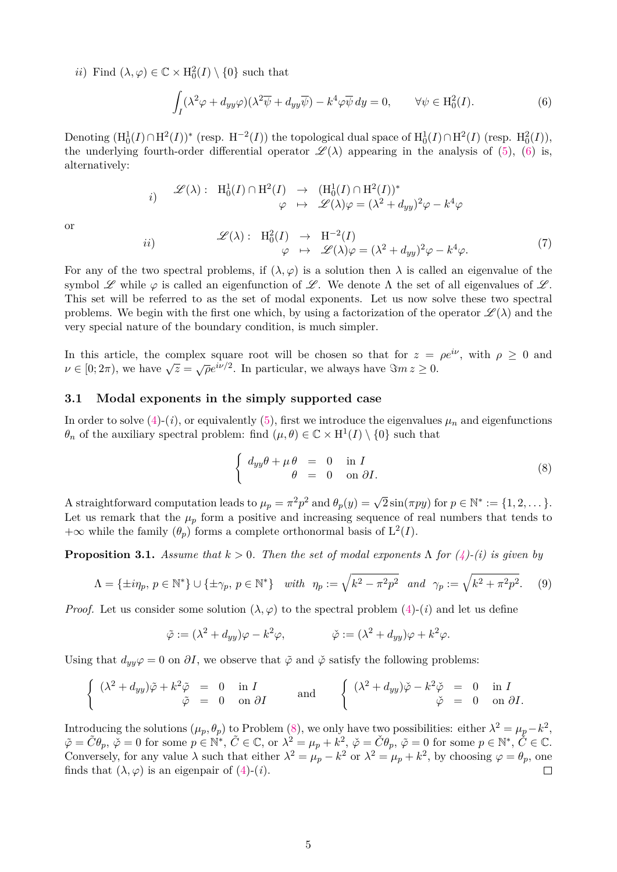*ii*) Find  $(\lambda, \varphi) \in \mathbb{C} \times H_0^2(I) \setminus \{0\}$  such that

<span id="page-4-5"></span>*ii*)

<span id="page-4-1"></span>
$$
\int_{I} (\lambda^2 \varphi + d_{yy}\varphi)(\lambda^2 \overline{\psi} + d_{yy}\overline{\psi}) - k^4 \varphi \overline{\psi} dy = 0, \qquad \forall \psi \in \mathcal{H}_0^2(I). \tag{6}
$$

Denoting  $(H_0^1(I) \cap H^2(I))^*$  (resp.  $H^{-2}(I)$ ) the topological dual space of  $H_0^1(I) \cap H^2(I)$  (resp.  $H_0^2(I)$ ), the underlying fourth-order differential operator  $\mathscr{L}(\lambda)$  appearing in the analysis of [\(5\)](#page-3-1), [\(6\)](#page-4-1) is, alternatively:

$$
i) \quad \mathscr{L}(\lambda): \quad \mathrm{H}_0^1(I) \cap \mathrm{H}^2(I) \rightarrow \quad (\mathrm{H}_0^1(I) \cap \mathrm{H}^2(I))^* \varphi \quad \mapsto \quad \mathscr{L}(\lambda)\varphi = (\lambda^2 + d_{yy})^2\varphi - k^4\varphi
$$

or

$$
\mathcal{L}(\lambda): H_0^2(I) \to H^{-2}(I) \n\varphi \mapsto \mathcal{L}(\lambda)\varphi = (\lambda^2 + d_{yy})^2 \varphi - k^4 \varphi.
$$
\n(7)

For any of the two spectral problems, if  $(\lambda, \varphi)$  is a solution then  $\lambda$  is called an eigenvalue of the symbol  $\mathscr L$  while  $\varphi$  is called an eigenfunction of  $\mathscr L$ . We denote  $\Lambda$  the set of all eigenvalues of  $\mathscr L$ . This set will be referred to as the set of modal exponents. Let us now solve these two spectral problems. We begin with the first one which, by using a factorization of the operator  $\mathscr{L}(\lambda)$  and the very special nature of the boundary condition, is much simpler.

In this article, the complex square root will be chosen so that for  $z = \rho e^{i\nu}$ , with  $\rho \geq 0$  and *v* ∈ [0; 2 $\pi$ ), we have  $\sqrt{z} = \sqrt{\rho}e^{i\nu/2}$ . In particular, we always have  $\Im m z \ge 0$ .

#### <span id="page-4-4"></span>**3.1 Modal exponents in the simply supported case**

In order to solve  $(4)-(i)$  $(4)-(i)$ , or equivalently  $(5)$ , first we introduce the eigenvalues  $\mu_n$  and eigenfunctions  $\theta_n$  of the auxiliary spectral problem: find  $(\mu, \theta) \in \mathbb{C} \times H^1(I) \setminus \{0\}$  such that

<span id="page-4-2"></span>
$$
\begin{cases}\n d_{yy}\theta + \mu \theta &= 0 \quad \text{in } I \\
 \theta &= 0 \quad \text{on } \partial I.\n\end{cases}
$$
\n(8)

A straightforward computation leads to  $\mu_p = \pi^2 p^2$  and  $\theta_p(y) = \sqrt{2} \sin(\pi p y)$  for  $p \in \mathbb{N}^* := \{1, 2, \dots\}$ . Let us remark that the  $\mu_p$  form a positive and increasing sequence of real numbers that tends to  $+\infty$  while the family  $(\theta_p)$  forms a complete orthonormal basis of  $L^2(I)$ .

<span id="page-4-0"></span>**Proposition 3.1.** *Assume that*  $k > 0$ *. Then the set of modal exponents*  $\Lambda$  *for*  $(4)$ *-(i) is given by* 

<span id="page-4-3"></span>
$$
\Lambda = \{\pm i\eta_p, \ p \in \mathbb{N}^*\} \cup \{\pm \gamma_p, \ p \in \mathbb{N}^*\} \quad with \quad \eta_p := \sqrt{k^2 - \pi^2 p^2} \quad and \quad \gamma_p := \sqrt{k^2 + \pi^2 p^2}.\tag{9}
$$

*Proof.* Let us consider some solution  $(\lambda, \varphi)$  to the spectral problem [\(4\)](#page-3-2)-(*i*) and let us define

$$
\tilde{\varphi} := (\lambda^2 + d_{yy})\varphi - k^2\varphi, \qquad \qquad \check{\varphi} := (\lambda^2 + d_{yy})\varphi + k^2\varphi.
$$

Using that  $d_{yy}\varphi = 0$  on  $\partial I$ , we observe that  $\tilde{\varphi}$  and  $\tilde{\varphi}$  satisfy the following problems:

$$
\begin{cases}\n(\lambda^2 + d_{yy})\tilde{\varphi} + k^2\tilde{\varphi} = 0 & \text{in } I \\
\tilde{\varphi} = 0 & \text{on } \partial I\n\end{cases}\n\text{ and }\n\begin{cases}\n(\lambda^2 + d_{yy})\tilde{\varphi} - k^2\tilde{\varphi} = 0 & \text{in } I \\
\tilde{\varphi} = 0 & \text{on } \partial I.\n\end{cases}
$$

Introducing the solutions  $(\mu_p, \theta_p)$  to Problem [\(8\)](#page-4-2), we only have two possibilities: either  $\lambda^2 = \mu_p - k^2$ ,  $\tilde{\varphi} = \tilde{C}\theta_p, \ \check{\varphi} = 0 \text{ for some } p \in \mathbb{N}^*, \ \tilde{C} \in \mathbb{C}, \text{ or } \lambda^2 = \mu_p + k^2, \ \check{\varphi} = \check{C}\theta_p, \ \tilde{\varphi} = 0 \text{ for some } p \in \mathbb{N}^*, \ \check{C} \in \mathbb{C}.$ Conversely, for any value  $\lambda$  such that either  $\lambda^2 = \mu_p - k^2$  or  $\lambda^2 = \mu_p + k^2$ , by choosing  $\varphi = \theta_p$ , one finds that  $(\lambda, \varphi)$  is an eigenpair of  $(4)-(i)$  $(4)-(i)$ .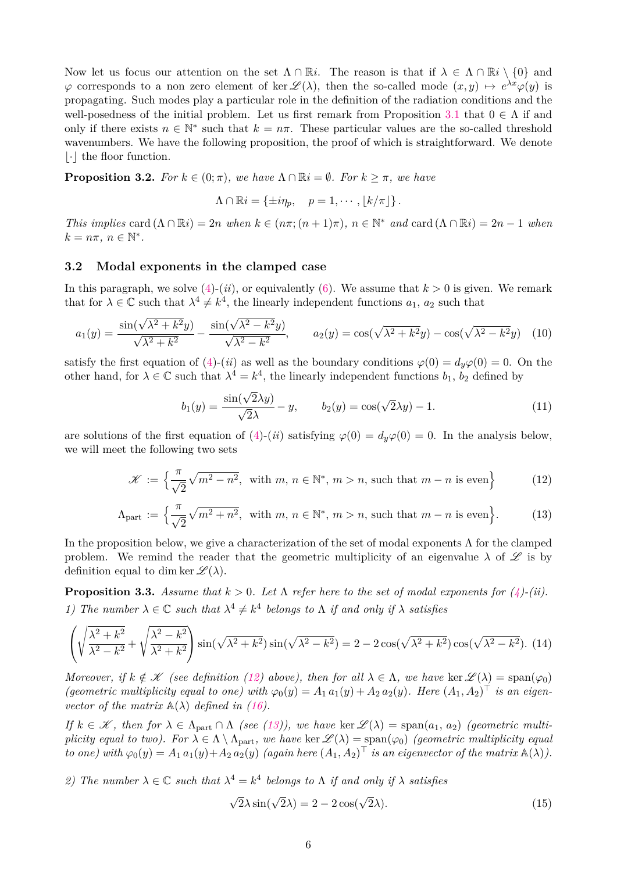Now let us focus our attention on the set  $\Lambda \cap \mathbb{R}i$ . The reason is that if  $\lambda \in \Lambda \cap \mathbb{R}i \setminus \{0\}$  and  $\varphi$  corresponds to a non zero element of ker  $\mathscr{L}(\lambda)$ , then the so-called mode  $(x, y) \mapsto e^{\lambda x} \varphi(y)$  is propagating. Such modes play a particular role in the definition of the radiation conditions and the well-posedness of the initial problem. Let us first remark from Proposition [3.1](#page-4-0) that  $0 \in \Lambda$  if and only if there exists  $n \in \mathbb{N}^*$  such that  $k = n\pi$ . These particular values are the so-called threshold wavenumbers. We have the following proposition, the proof of which is straightforward. We denote  $|\cdot|$  the floor function.

<span id="page-5-0"></span>**Proposition 3.2.** *For*  $k \in (0; \pi)$ *, we have*  $\Lambda \cap \mathbb{R}i = \emptyset$ *. For*  $k \geq \pi$ *, we have* 

$$
\Lambda \cap \mathbb{R}i = \{\pm i\eta_p, \quad p = 1, \cdots, \lfloor k/\pi \rfloor\}.
$$

*This implies* card  $(\Lambda \cap \mathbb{R}i) = 2n$  *when*  $k \in (n\pi; (n+1)\pi)$ ,  $n \in \mathbb{N}^*$  and card  $(\Lambda \cap \mathbb{R}i) = 2n - 1$  *when*  $k = n\pi, n \in \mathbb{N}^*$ .

#### **3.2 Modal exponents in the clamped case**

In this paragraph, we solve  $(4)-(ii)$  $(4)-(ii)$ , or equivalently  $(6)$ . We assume that  $k > 0$  is given. We remark that for  $\lambda \in \mathbb{C}$  such that  $\lambda^4 \neq k^4$ , the linearly independent functions  $a_1, a_2$  such that

<span id="page-5-3"></span>
$$
a_1(y) = \frac{\sin(\sqrt{\lambda^2 + k^2}y)}{\sqrt{\lambda^2 + k^2}} - \frac{\sin(\sqrt{\lambda^2 - k^2}y)}{\sqrt{\lambda^2 - k^2}}, \qquad a_2(y) = \cos(\sqrt{\lambda^2 + k^2}y) - \cos(\sqrt{\lambda^2 - k^2}y) \tag{10}
$$

satisfy the first equation of [\(4\)](#page-3-2)-(*ii*) as well as the boundary conditions  $\varphi(0) = d_y \varphi(0) = 0$ . On the other hand, for  $\lambda \in \mathbb{C}$  such that  $\lambda^4 = k^4$ , the linearly independent functions  $b_1$ ,  $b_2$  defined by

<span id="page-5-5"></span>
$$
b_1(y) = \frac{\sin(\sqrt{2}\lambda y)}{\sqrt{2}\lambda} - y, \qquad b_2(y) = \cos(\sqrt{2}\lambda y) - 1.
$$
 (11)

are solutions of the first equation of [\(4\)](#page-3-2)-(*ii*) satisfying  $\varphi(0) = d_y \varphi(0) = 0$ . In the analysis below, we will meet the following two sets

<span id="page-5-2"></span>
$$
\mathcal{K} := \left\{ \frac{\pi}{\sqrt{2}} \sqrt{m^2 - n^2}, \text{ with } m, n \in \mathbb{N}^*, m > n, \text{ such that } m - n \text{ is even} \right\}
$$
 (12)

$$
\Lambda_{\text{part}} := \left\{ \frac{\pi}{\sqrt{2}} \sqrt{m^2 + n^2}, \text{ with } m, n \in \mathbb{N}^*, m > n, \text{ such that } m - n \text{ is even} \right\}. \tag{13}
$$

In the proposition below, we give a characterization of the set of modal exponents  $\Lambda$  for the clamped problem. We remind the reader that the geometric multiplicity of an eigenvalue  $\lambda$  of  $\mathscr{L}$  is by definition equal to dim ker  $\mathscr{L}(\lambda)$ .

<span id="page-5-1"></span>**Proposition 3.3.** *Assume that*  $k > 0$ *. Let*  $\Lambda$  *refer here to the set of modal exponents for*  $(4)$ *-(ii). 1)* The number  $\lambda \in \mathbb{C}$  such that  $\lambda^4 \neq k^4$  belongs to  $\Lambda$  *if and only if*  $\lambda$  *satisfies* 

<span id="page-5-4"></span>
$$
\left(\sqrt{\frac{\lambda^2 + k^2}{\lambda^2 - k^2}} + \sqrt{\frac{\lambda^2 - k^2}{\lambda^2 + k^2}}\right) \sin(\sqrt{\lambda^2 + k^2}) \sin(\sqrt{\lambda^2 - k^2}) = 2 - 2\cos(\sqrt{\lambda^2 + k^2})\cos(\sqrt{\lambda^2 - k^2}).
$$
 (14)

*Moreover, if*  $k \notin \mathcal{K}$  *(see definition [\(12\)](#page-5-2) above), then for all*  $\lambda \in \Lambda$ *, we have* ker  $\mathcal{L}(\lambda) = \text{span}(\varphi_0)$ *(geometric multiplicity equal to one) with*  $\varphi_0(y) = A_1 a_1(y) + A_2 a_2(y)$ *. Here*  $(A_1, A_2)^\top$  *is an eigenvector of the matrix*  $\mathbb{A}(\lambda)$  *defined in [\(16\)](#page-6-0).* 

*If*  $k \in \mathcal{K}$ , then for  $\lambda \in \Lambda_{part} \cap \Lambda$  (see [\(13\)](#page-5-2)), we have ker  $\mathcal{L}(\lambda) = span(a_1, a_2)$  (geometric multi*plicity equal to two). For*  $\lambda \in \Lambda \setminus \Lambda_{part}$ *, we have* ker  $\mathcal{L}(\lambda) = \text{span}(\varphi_0)$  *(geometric multiplicity equal to one)* with  $\varphi_0(y) = A_1 a_1(y) + A_2 a_2(y)$  (again here  $(A_1, A_2)^\top$  *is an eigenvector of the matrix*  $\mathbb{A}(\lambda)$ ).

*2)* The number  $\lambda \in \mathbb{C}$  such that  $\lambda^4 = k^4$  belongs to  $\Lambda$  if and only if  $\lambda$  satisfies

<span id="page-5-6"></span>
$$
\sqrt{2}\lambda\sin(\sqrt{2}\lambda) = 2 - 2\cos(\sqrt{2}\lambda). \tag{15}
$$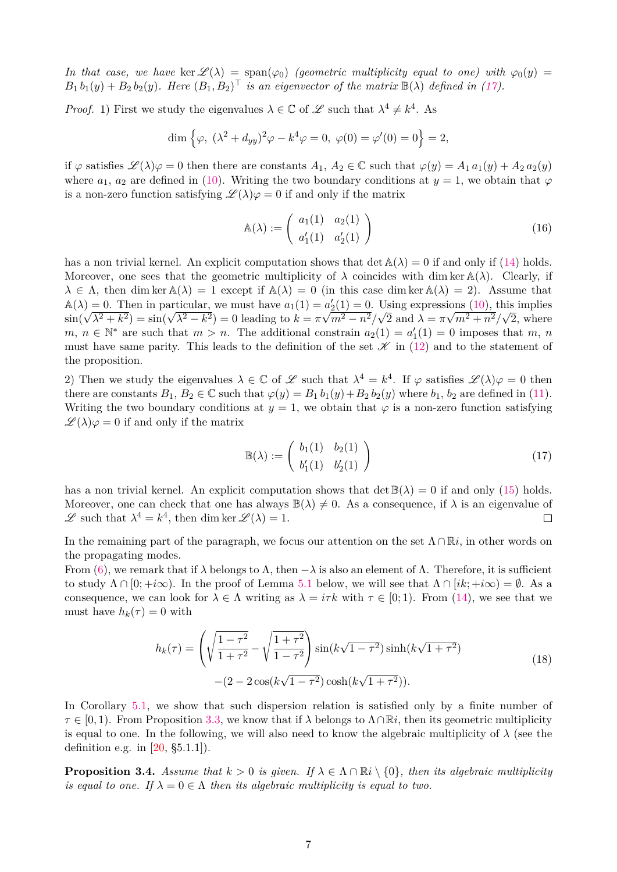*In that case, we have* ker  $\mathscr{L}(\lambda) = \text{span}(\varphi_0)$  *(geometric multiplicity equal to one) with*  $\varphi_0(y) =$  $B_1 b_1(y) + B_2 b_2(y)$ . Here  $(B_1, B_2)^\top$  is an eigenvector of the matrix  $\mathbb{B}(\lambda)$  defined in [\(17\)](#page-6-1).

*Proof.* 1) First we study the eigenvalues  $\lambda \in \mathbb{C}$  of  $\mathscr{L}$  such that  $\lambda^4 \neq k^4$ . As

$$
\dim \left\{ \varphi, \ (\lambda^2 + d_{yy})^2 \varphi - k^4 \varphi = 0, \ \varphi(0) = \varphi'(0) = 0 \right\} = 2,
$$

if  $\varphi$  satisfies  $\mathscr{L}(\lambda)\varphi = 0$  then there are constants  $A_1, A_2 \in \mathbb{C}$  such that  $\varphi(y) = A_1 a_1(y) + A_2 a_2(y)$ where  $a_1, a_2$  are defined in [\(10\)](#page-5-3). Writing the two boundary conditions at  $y = 1$ , we obtain that  $\varphi$ is a non-zero function satisfying  $\mathscr{L}(\lambda)\varphi = 0$  if and only if the matrix

<span id="page-6-0"></span>
$$
\mathbb{A}(\lambda) := \left( \begin{array}{cc} a_1(1) & a_2(1) \\ a'_1(1) & a'_2(1) \end{array} \right) \tag{16}
$$

has a non trivial kernel. An explicit computation shows that  $\det A(\lambda) = 0$  if and only if [\(14\)](#page-5-4) holds. Moreover, one sees that the geometric multiplicity of  $\lambda$  coincides with dim ker  $\mathbb{A}(\lambda)$ . Clearly, if  $\lambda \in \Lambda$ , then dim ker  $\mathbb{A}(\lambda) = 1$  except if  $\mathbb{A}(\lambda) = 0$  (in this case dim ker  $\mathbb{A}(\lambda) = 2$ ). Assume that  $A(\lambda) = 0$ . Then in particular, we must have  $a_1(1) = a_2'(1) = 0$ . Using expressions [\(10\)](#page-5-3), this implies  $\sin(\sqrt{\lambda^2 + k^2}) = \sin(\sqrt{\lambda^2 - k^2}) = 0$  leading to  $k = \pi \sqrt{m^2 - n^2}/\sqrt{2}$  and  $\lambda = \pi \sqrt{m^2 + n^2}/\sqrt{2}$ , where  $m, n \in \mathbb{N}^*$  are such that  $m > n$ . The additional constrain  $a_2(1) = a'_1(1) = 0$  imposes that  $m, n$ must have same parity. This leads to the definition of the set  $\mathcal K$  in [\(12\)](#page-5-2) and to the statement of the proposition.

2) Then we study the eigenvalues  $\lambda \in \mathbb{C}$  of  $\mathscr{L}$  such that  $\lambda^4 = k^4$ . If  $\varphi$  satisfies  $\mathscr{L}(\lambda)\varphi = 0$  then there are constants  $B_1, B_2 \in \mathbb{C}$  such that  $\varphi(y) = B_1 b_1(y) + B_2 b_2(y)$  where  $b_1, b_2$  are defined in [\(11\)](#page-5-5). Writing the two boundary conditions at  $y = 1$ , we obtain that  $\varphi$  is a non-zero function satisfying  $\mathscr{L}(\lambda)\varphi=0$  if and only if the matrix

<span id="page-6-1"></span>
$$
\mathbb{B}(\lambda) := \left(\begin{array}{cc} b_1(1) & b_2(1) \\ b'_1(1) & b'_2(1) \end{array}\right) \tag{17}
$$

has a non trivial kernel. An explicit computation shows that  $\det \mathbb{B}(\lambda) = 0$  if and only [\(15\)](#page-5-6) holds. Moreover, one can check that one has always  $\mathbb{B}(\lambda) \neq 0$ . As a consequence, if  $\lambda$  is an eigenvalue of  $\mathscr{L}$  such that  $\lambda^4 = k^4$ , then dim ker  $\mathscr{L}(\lambda) = 1$ .  $\Box$ 

In the remaining part of the paragraph, we focus our attention on the set  $\Lambda \cap \mathbb{R}i$ , in other words on the propagating modes.

From [\(6\)](#page-4-1), we remark that if  $\lambda$  belongs to  $\Lambda$ , then  $-\lambda$  is also an element of  $\Lambda$ . Therefore, it is sufficient to study  $\Lambda \cap [0; +i\infty)$ . In the proof of Lemma [5.1](#page-19-0) below, we will see that  $\Lambda \cap [ik; +i\infty) = \emptyset$ . As a consequence, we can look for  $\lambda \in \Lambda$  writing as  $\lambda = i\tau k$  with  $\tau \in [0,1)$ . From [\(14\)](#page-5-4), we see that we must have  $h_k(\tau) = 0$  with

<span id="page-6-2"></span>
$$
h_k(\tau) = \left(\sqrt{\frac{1-\tau^2}{1+\tau^2}} - \sqrt{\frac{1+\tau^2}{1-\tau^2}}\right) \sin(k\sqrt{1-\tau^2}) \sinh(k\sqrt{1+\tau^2})
$$
  
 
$$
-(2-2\cos(k\sqrt{1-\tau^2})\cosh(k\sqrt{1+\tau^2})).
$$
 (18)

In Corollary [5.1,](#page-19-1) we show that such dispersion relation is satisfied only by a finite number of  $\tau \in [0, 1)$ . From Proposition [3.3,](#page-5-1) we know that if  $\lambda$  belongs to  $\Lambda \cap \mathbb{R}i$ , then its geometric multiplicity is equal to one. In the following, we will also need to know the algebraic multiplicity of  $\lambda$  (see the definition e.g. in  $[20, §5.1.1]$  $[20, §5.1.1]$ .

<span id="page-6-3"></span>**Proposition 3.4.** *Assume that*  $k > 0$  *is given.* If  $\lambda \in \Lambda \cap \mathbb{R}$ *i*  $\setminus \{0\}$ *, then its algebraic multiplicity is equal to one. If*  $\lambda = 0 \in \Lambda$  *then its algebraic multiplicity is equal to two.*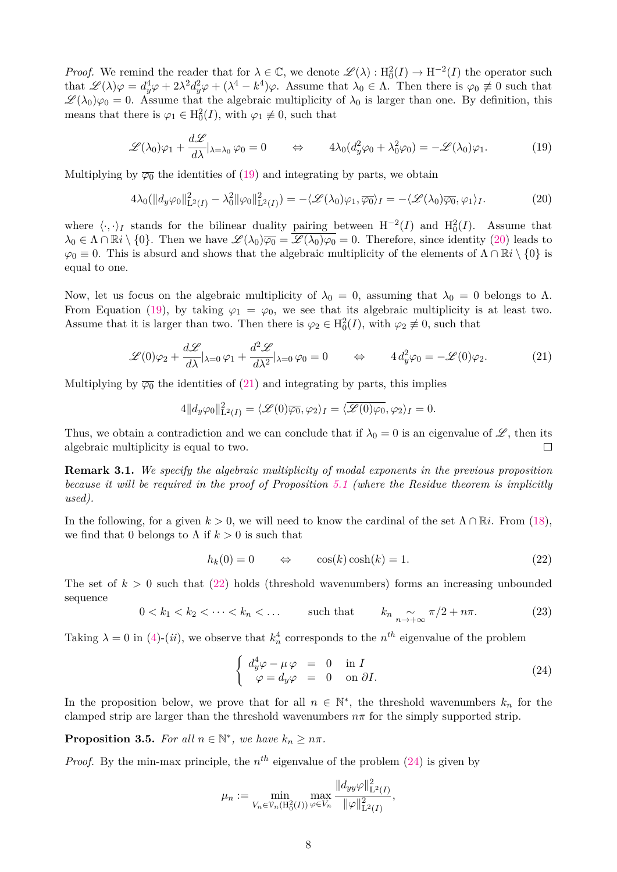*Proof.* We remind the reader that for  $\lambda \in \mathbb{C}$ , we denote  $\mathscr{L}(\lambda) : H_0^2(I) \to H^{-2}(I)$  the operator such that  $\mathscr{L}(\lambda)\varphi = d_y^4\varphi + 2\lambda^2d_y^2\varphi + (\lambda^4 - k^4)\varphi$ . Assume that  $\lambda_0 \in \Lambda$ . Then there is  $\varphi_0 \not\equiv 0$  such that  $\mathscr{L}(\lambda_0)\varphi_0=0$ . Assume that the algebraic multiplicity of  $\lambda_0$  is larger than one. By definition, this means that there is  $\varphi_1 \in H_0^2(I)$ , with  $\varphi_1 \not\equiv 0$ , such that

<span id="page-7-0"></span>
$$
\mathscr{L}(\lambda_0)\varphi_1 + \frac{d\mathscr{L}}{d\lambda}\big|_{\lambda = \lambda_0} \varphi_0 = 0 \qquad \Leftrightarrow \qquad 4\lambda_0(d_y^2\varphi_0 + \lambda_0^2\varphi_0) = -\mathscr{L}(\lambda_0)\varphi_1. \tag{19}
$$

Multiplying by  $\overline{\varphi_0}$  the identities of [\(19\)](#page-7-0) and integrating by parts, we obtain

<span id="page-7-1"></span>
$$
4\lambda_0(\|d_y\varphi_0\|_{\mathcal{L}^2(I)}^2 - \lambda_0^2 \|\varphi_0\|_{\mathcal{L}^2(I)}^2) = -\langle \mathcal{L}(\lambda_0)\varphi_1, \overline{\varphi_0} \rangle_I = -\langle \mathcal{L}(\lambda_0)\overline{\varphi_0}, \varphi_1 \rangle_I. \tag{20}
$$

where  $\langle \cdot, \cdot \rangle_I$  stands for the bilinear duality pairing between H<sup>-2</sup>(*I*) and H<sub>0</sub><sup>2</sup>(*I*). Assume that  $\lambda_0 \in \Lambda \cap \mathbb{R}i \setminus \{0\}$ . Then we have  $\mathscr{L}(\lambda_0) \overline{\varphi_0} = \overline{\mathscr{L}(\lambda_0) \varphi_0} = 0$ . Therefore, since identity [\(20\)](#page-7-1) leads to  $\varphi_0 \equiv 0$ . This is absurd and shows that the algebraic multiplicity of the elements of  $\Lambda \cap \mathbb{R}i \setminus \{0\}$  is equal to one.

Now, let us focus on the algebraic multiplicity of  $\lambda_0 = 0$ , assuming that  $\lambda_0 = 0$  belongs to  $\Lambda$ . From Equation [\(19\)](#page-7-0), by taking  $\varphi_1 = \varphi_0$ , we see that its algebraic multiplicity is at least two. Assume that it is larger than two. Then there is  $\varphi_2 \in H_0^2(I)$ , with  $\varphi_2 \not\equiv 0$ , such that

<span id="page-7-2"></span>
$$
\mathscr{L}(0)\varphi_2 + \frac{d\mathscr{L}}{d\lambda}|_{\lambda=0}\varphi_1 + \frac{d^2\mathscr{L}}{d\lambda^2}|_{\lambda=0}\varphi_0 = 0 \qquad \Leftrightarrow \qquad 4d_y^2\varphi_0 = -\mathscr{L}(0)\varphi_2. \tag{21}
$$

Multiplying by  $\overline{\varphi_0}$  the identities of [\(21\)](#page-7-2) and integrating by parts, this implies

$$
4||d_y\varphi_0||^2_{\mathbf{L}^2(I)} = \langle \mathcal{L}(0)\overline{\varphi_0}, \varphi_2 \rangle_I = \langle \overline{\mathcal{L}(0)\varphi_0}, \varphi_2 \rangle_I = 0.
$$

Thus, we obtain a contradiction and we can conclude that if  $\lambda_0 = 0$  is an eigenvalue of  $\mathscr{L}$ , then its algebraic multiplicity is equal to two.  $\Box$ 

**Remark 3.1.** *We specify the algebraic multiplicity of modal exponents in the previous proposition because it will be required in the proof of Proposition [5.1](#page-22-0) (where the Residue theorem is implicitly used).*

In the following, for a given  $k > 0$ , we will need to know the cardinal of the set  $\Lambda \cap \mathbb{R}$ *i*. From [\(18\)](#page-6-2), we find that 0 belongs to  $\Lambda$  if  $k > 0$  is such that

<span id="page-7-3"></span>
$$
h_k(0) = 0 \qquad \Leftrightarrow \qquad \cos(k)\cosh(k) = 1. \tag{22}
$$

The set of  $k > 0$  such that [\(22\)](#page-7-3) holds (threshold wavenumbers) forms an increasing unbounded sequence

<span id="page-7-5"></span>
$$
0 < k_1 < k_2 < \dots < k_n < \dots \qquad \text{such that} \qquad k_n \underset{n \to +\infty}{\sim} \pi/2 + n\pi. \tag{23}
$$

Taking  $\lambda = 0$  in [\(4\)](#page-3-2)-(*ii*), we observe that  $k_n^4$  corresponds to the  $n^{th}$  eigenvalue of the problem

<span id="page-7-4"></span>
$$
\begin{cases}\n d_y^4 \varphi - \mu \varphi &= 0 \quad \text{in } I \\
 \varphi = d_y \varphi &= 0 \quad \text{on } \partial I.\n\end{cases}
$$
\n(24)

 $\overline{2}$ 

In the proposition below, we prove that for all  $n \in \mathbb{N}^*$ , the threshold wavenumbers  $k_n$  for the clamped strip are larger than the threshold wavenumbers  $n\pi$  for the simply supported strip.

**Proposition 3.5.** For all  $n \in \mathbb{N}^*$ , we have  $k_n \geq n\pi$ .

*Proof.* By the min-max principle, the  $n^{th}$  eigenvalue of the problem [\(24\)](#page-7-4) is given by

$$
\mu_n := \min_{V_n \in \mathcal{V}_n(H_0^2(I))} \max_{\varphi \in V_n} \frac{\|d_{yy}\varphi\|_{\mathbf{L}^2(I)}^2}{\|\varphi\|_{\mathbf{L}^2(I)}^2},
$$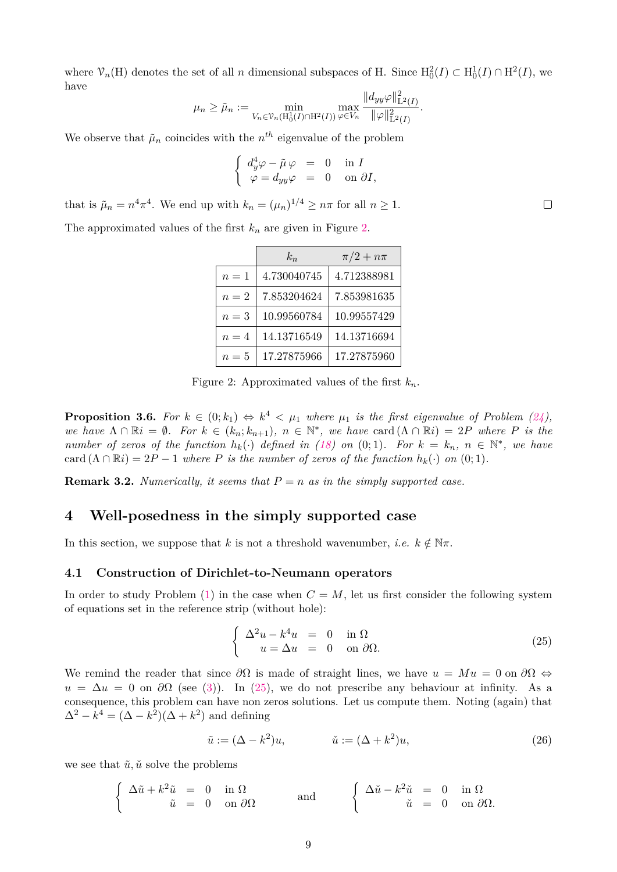where  $\mathcal{V}_n(H)$  denotes the set of all *n* dimensional subspaces of H. Since  $H_0^2(I) \subset H_0^1(I) \cap H^2(I)$ , we have  $\overline{112}$ 

$$
\mu_n \geq \tilde{\mu}_n := \min_{V_n \in \mathcal{V}_n(H_0^1(I) \cap H^2(I))} \max_{\varphi \in V_n} \frac{\|d_{yy}\varphi\|_{\mathbf{L}^2(I)}^2}{\|\varphi\|_{\mathbf{L}^2(I)}^2}.
$$

We observe that  $\tilde{\mu}_n$  coincides with the  $n^{th}$  eigenvalue of the problem

$$
\begin{cases}\n d_y^4 \varphi - \tilde{\mu} \varphi &= 0 \quad \text{in } I \\
 \varphi = d_{yy} \varphi &= 0 \quad \text{on } \partial I,\n\end{cases}
$$

that is  $\tilde{\mu}_n = n^4 \pi^4$ . We end up with  $k_n = (\mu_n)^{1/4} \ge n\pi$  for all  $n \ge 1$ .

The approximated values of the first  $k_n$  are given in Figure [2.](#page-8-2)

|       | $k_n$       | $\pi/2 + n\pi$ |
|-------|-------------|----------------|
| $n=1$ | 4.730040745 | 4.712388981    |
| $n=2$ | 7.853204624 | 7.853981635    |
| $n=3$ | 10.99560784 | 10.99557429    |
| $n=4$ | 14.13716549 | 14.13716694    |
| $n=5$ | 17.27875966 | 17.27875960    |

<span id="page-8-2"></span>Figure 2: Approximated values of the first *kn*.

<span id="page-8-0"></span>**Proposition 3.6.** For  $k \in (0; k_1) \Leftrightarrow k^4 < \mu_1$  where  $\mu_1$  is the first eigenvalue of Problem  $(24)$ , *we have*  $\Lambda \cap \mathbb{R}i = \emptyset$ *. For*  $k \in (k_n; k_{n+1})$ ,  $n \in \mathbb{N}^*$ , we have card  $(\Lambda \cap \mathbb{R}i) = 2P$  where P is the *number of zeros of the function*  $h_k(\cdot)$  *defined in* [\(18\)](#page-6-2) *on* (0;1)*. For*  $k = k_n$ ,  $n \in \mathbb{N}^*$ , we have card  $(\Lambda \cap \mathbb{R}i) = 2P - 1$  *where P is the number of zeros of the function*  $h_k(\cdot)$  *on* (0; 1)*.* 

**Remark 3.2.** *Numerically, it seems that*  $P = n$  *as in the simply supported case.* 

### <span id="page-8-1"></span>**4 Well-posedness in the simply supported case**

In this section, we suppose that *k* is not a threshold wavenumber, *i.e.*  $k \notin \mathbb{N}\pi$ .

#### <span id="page-8-5"></span>**4.1 Construction of Dirichlet-to-Neumann operators**

In order to study Problem  $(1)$  in the case when  $C = M$ , let us first consider the following system of equations set in the reference strip (without hole):

<span id="page-8-3"></span>
$$
\begin{cases}\n\Delta^2 u - k^4 u = 0 & \text{in } \Omega \\
u = \Delta u = 0 & \text{on } \partial\Omega.\n\end{cases}
$$
\n(25)

We remind the reader that since  $\partial\Omega$  is made of straight lines, we have  $u = Mu = 0$  on  $\partial\Omega \Leftrightarrow$  $u = \Delta u = 0$  on  $\partial\Omega$  (see [\(3\)](#page-3-3)). In [\(25\)](#page-8-3), we do not prescribe any behaviour at infinity. As a consequence, this problem can have non zeros solutions. Let us compute them. Noting (again) that  $\Delta^2 - k^4 = (\Delta - k^2)(\Delta + k^2)$  and defining

<span id="page-8-4"></span>
$$
\tilde{u} := (\Delta - k^2)u, \qquad \tilde{u} := (\Delta + k^2)u,\tag{26}
$$

we see that  $\tilde{u}, \tilde{u}$  solve the problems

$$
\begin{cases}\n\Delta \tilde{u} + k^2 \tilde{u} = 0 & \text{in } \Omega \\
\tilde{u} = 0 & \text{on } \partial \Omega\n\end{cases}\n\quad \text{and} \quad\n\begin{cases}\n\Delta \tilde{u} - k^2 \tilde{u} = 0 & \text{in } \Omega \\
\tilde{u} = 0 & \text{on } \partial \Omega.\n\end{cases}
$$

 $\Box$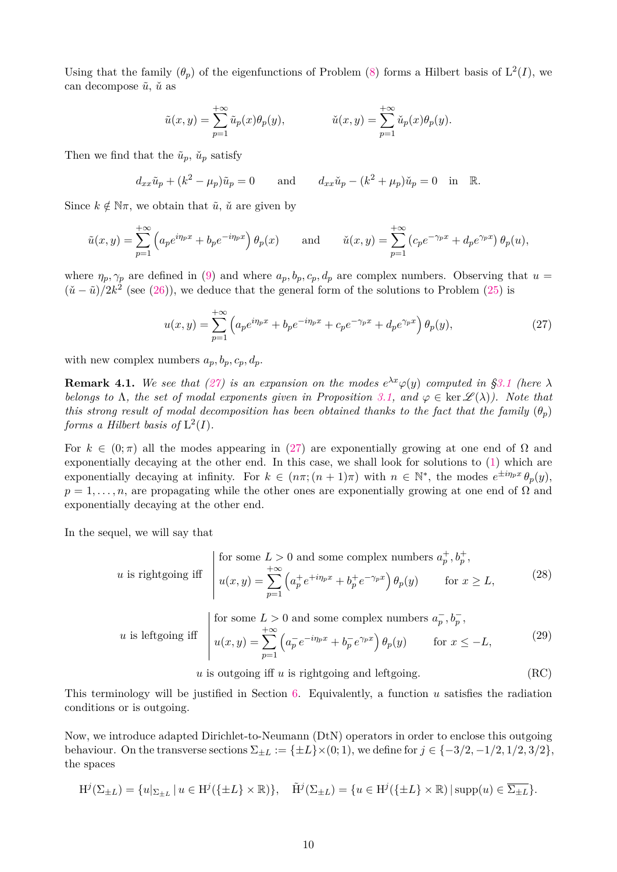Using that the family  $(\theta_p)$  of the eigenfunctions of Problem [\(8\)](#page-4-2) forms a Hilbert basis of  $L^2(I)$ , we can decompose  $\tilde{u}$ ,  $\tilde{u}$  as

$$
\tilde{u}(x,y) = \sum_{p=1}^{+\infty} \tilde{u}_p(x)\theta_p(y), \qquad \qquad \tilde{u}(x,y) = \sum_{p=1}^{+\infty} \tilde{u}_p(x)\theta_p(y).
$$

Then we find that the  $\tilde{u}_p$ ,  $\tilde{u}_p$  satisfy

$$
d_{xx}\tilde{u}_p + (k^2 - \mu_p)\tilde{u}_p = 0 \quad \text{and} \quad d_{xx}\tilde{u}_p - (k^2 + \mu_p)\tilde{u}_p = 0 \quad \text{in} \quad \mathbb{R}.
$$

Since  $k \notin \mathbb{N}\pi$ , we obtain that  $\tilde{u}$ ,  $\tilde{u}$  are given by

$$
\tilde{u}(x,y) = \sum_{p=1}^{+\infty} \left( a_p e^{i\eta_p x} + b_p e^{-i\eta_p x} \right) \theta_p(x) \quad \text{and} \quad \tilde{u}(x,y) = \sum_{p=1}^{+\infty} \left( c_p e^{-\gamma_p x} + d_p e^{\gamma_p x} \right) \theta_p(u),
$$

where  $\eta_p, \gamma_p$  are defined in [\(9\)](#page-4-3) and where  $a_p, b_p, c_p, d_p$  are complex numbers. Observing that  $u =$  $(\check{u} - \tilde{u})/2k^2$  (see [\(26\)](#page-8-4)), we deduce that the general form of the solutions to Problem [\(25\)](#page-8-3) is

<span id="page-9-0"></span>
$$
u(x,y) = \sum_{p=1}^{+\infty} \left( a_p e^{i\eta_p x} + b_p e^{-i\eta_p x} + c_p e^{-\gamma_p x} + d_p e^{\gamma_p x} \right) \theta_p(y),\tag{27}
$$

with new complex numbers  $a_p, b_p, c_p, d_p$ .

<span id="page-9-4"></span>**Remark 4.1.** We see that [\(27\)](#page-9-0) is an expansion on the modes  $e^{\lambda x}\varphi(y)$  computed in [§3.1](#page-4-4) (here  $\lambda$ *belongs to*  $\Lambda$ *, the set of modal exponents given in Proposition* [3.1,](#page-4-0) and  $\varphi \in \text{ker } \mathscr{L}(\lambda)$ *).* Note that *this strong result of modal decomposition has been obtained thanks to the fact that the family*  $(\theta_n)$ *forms a Hilbert basis of*  $L^2(I)$ *.* 

For  $k \in (0, \pi)$  all the modes appearing in [\(27\)](#page-9-0) are exponentially growing at one end of  $\Omega$  and exponentially decaying at the other end. In this case, we shall look for solutions to [\(1\)](#page-2-2) which are exponentially decaying at infinity. For  $k \in (n\pi; (n+1)\pi)$  with  $n \in \mathbb{N}^*$ , the modes  $e^{\pm i n_p x} \theta_p(y)$ ,  $p = 1, \ldots, n$ , are propagating while the other ones are exponentially growing at one end of  $\Omega$  and exponentially decaying at the other end.

In the sequel, we will say that

<span id="page-9-1"></span>
$$
u \text{ is rightgoing iff } \begin{vmatrix} \text{for some } L > 0 \text{ and some complex numbers } a_p^+, b_p^+, \\ u(x, y) = \sum_{p=1}^{+\infty} \left( a_p^+ e^{+i\eta_p x} + b_p^+ e^{-\gamma_p x} \right) \theta_p(y) & \text{for } x \ge L, \end{vmatrix}
$$
 (28)

<span id="page-9-2"></span>*u* is leftgoing iff 
$$
\begin{cases} \text{for some } L > 0 \text{ and some complex numbers } a_p^-, b_p^-, \\ u(x, y) = \sum_{p=1}^{+\infty} \left( a_p^-\, e^{-i\eta_p x} + b_p^-\, e^{\gamma_p x} \right) \theta_p(y) \quad \text{for } x \le -L, \end{cases}
$$
 (29)

<span id="page-9-3"></span> $u$  is outgoing iff  $u$  is rightgoing and leftgoing. (RC)

This terminology will be justified in Section [6.](#page-30-0) Equivalently, a function *u* satisfies the radiation conditions or is outgoing.

Now, we introduce adapted Dirichlet-to-Neumann (DtN) operators in order to enclose this outgoing behaviour. On the transverse sections  $\Sigma_{\pm L} := {\pm L} \times (0, 1)$ , we define for  $j \in {\{-3/2, -1/2, 1/2, 3/2\}}$ , the spaces

$$
\mathrm{H}^j(\Sigma_{\pm L}) = \{u|_{\Sigma_{\pm L}} \mid u \in \mathrm{H}^j(\{\pm L\} \times \mathbb{R})\}, \quad \tilde{\mathrm{H}}^j(\Sigma_{\pm L}) = \{u \in \mathrm{H}^j(\{\pm L\} \times \mathbb{R}) \mid \mathrm{supp}(u) \in \overline{\Sigma_{\pm L}}\}.
$$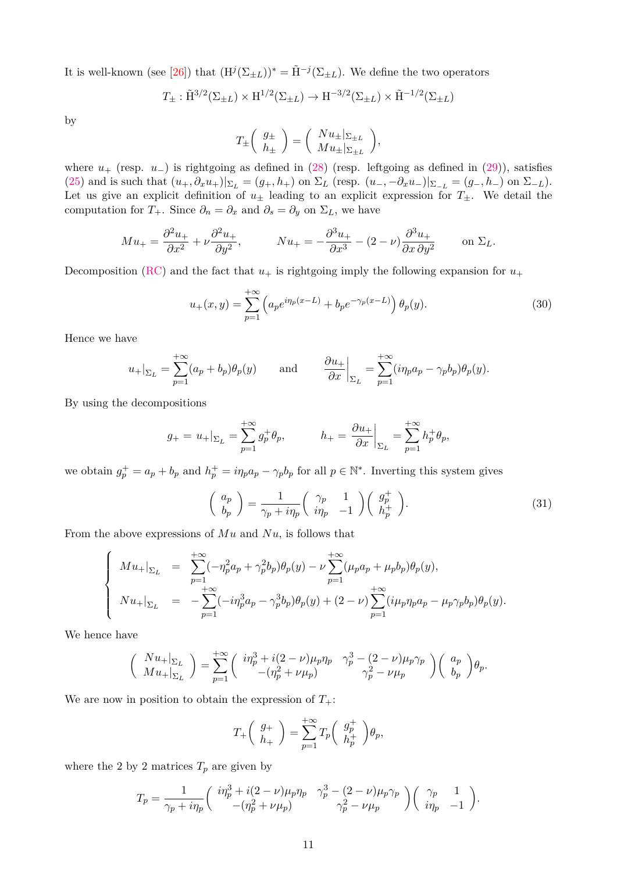It is well-known (see [\[26\]](#page-35-6)) that  $(H^{j}(\Sigma_{\pm L}))^* = \tilde{H}^{-j}(\Sigma_{\pm L})$ . We define the two operators

$$
T_{\pm} : \tilde{H}^{3/2}(\Sigma_{\pm L}) \times H^{1/2}(\Sigma_{\pm L}) \to H^{-3/2}(\Sigma_{\pm L}) \times \tilde{H}^{-1/2}(\Sigma_{\pm L})
$$

by

$$
T_{\pm} \left( \begin{array}{c} g_{\pm} \\ h_{\pm} \end{array} \right) = \left( \begin{array}{c} Nu_{\pm} |_{\Sigma_{\pm L}} \\ Mu_{\pm} |_{\Sigma_{\pm L}} \end{array} \right),
$$

where *u*<sup>+</sup> (resp. *u*−) is rightgoing as defined in [\(28\)](#page-9-1) (resp. leftgoing as defined in [\(29\)](#page-9-2)), satisfies [\(25\)](#page-8-3) and is such that  $(u_+, \partial_x u_+)|_{\Sigma_L} = (g_+, h_+)$  on  $\Sigma_L$  (resp.  $(u_-, -\partial_x u_-)|_{\Sigma_{-L}} = (g_-, h_-)$  on  $\Sigma_{-L}$ ). Let us give an explicit definition of  $u_{\pm}$  leading to an explicit expression for  $T_{\pm}$ . We detail the computation for *T*<sub>+</sub>. Since  $\partial_n = \partial_x$  and  $\partial_s = \partial_y$  on  $\Sigma_L$ , we have

$$
Mu_{+} = \frac{\partial^2 u_{+}}{\partial x^2} + \nu \frac{\partial^2 u_{+}}{\partial y^2}, \qquad Nu_{+} = -\frac{\partial^3 u_{+}}{\partial x^3} - (2 - \nu) \frac{\partial^3 u_{+}}{\partial x \partial y^2} \qquad \text{on } \Sigma_L.
$$

Decomposition [\(RC\)](#page-9-3) and the fact that  $u_+$  is rightgoing imply the following expansion for  $u_+$ 

$$
u_{+}(x,y) = \sum_{p=1}^{+\infty} \left( a_p e^{i\eta_p(x-L)} + b_p e^{-\gamma_p(x-L)} \right) \theta_p(y). \tag{30}
$$

Hence we have

$$
u_+|_{\Sigma_L} = \sum_{p=1}^{+\infty} (a_p + b_p) \theta_p(y) \quad \text{and} \quad \frac{\partial u_+}{\partial x}\Big|_{\Sigma_L} = \sum_{p=1}^{+\infty} (i\eta_p a_p - \gamma_p b_p) \theta_p(y).
$$

By using the decompositions

$$
g_+ = u_+|_{\Sigma_L} = \sum_{p=1}^{+\infty} g_p^+ \theta_p
$$
,  $h_+ = \frac{\partial u_+}{\partial x}\Big|_{\Sigma_L} = \sum_{p=1}^{+\infty} h_p^+ \theta_p$ ,

we obtain  $g_p^+ = a_p + b_p$  and  $h_p^+ = i\eta_p a_p - \gamma_p b_p$  for all  $p \in \mathbb{N}^*$ . Inverting this system gives

<span id="page-10-0"></span>
$$
\begin{pmatrix} a_p \\ b_p \end{pmatrix} = \frac{1}{\gamma_p + i\eta_p} \begin{pmatrix} \gamma_p & 1 \\ i\eta_p & -1 \end{pmatrix} \begin{pmatrix} g_p^+ \\ h_p^+ \end{pmatrix} . \tag{31}
$$

From the above expressions of *Mu* and *Nu*, is follows that

$$
\begin{cases}\nM u_{+}|_{\Sigma_L} = \sum_{p=1}^{+\infty} (-\eta_p^2 a_p + \gamma_p^2 b_p) \theta_p(y) - \nu \sum_{p=1}^{+\infty} (\mu_p a_p + \mu_p b_p) \theta_p(y), \\
N u_{+}|_{\Sigma_L} = -\sum_{p=1}^{+\infty} (-i \eta_p^3 a_p - \gamma_p^3 b_p) \theta_p(y) + (2 - \nu) \sum_{p=1}^{+\infty} (i \mu_p \eta_p a_p - \mu_p \gamma_p b_p) \theta_p(y).\n\end{cases}
$$

We hence have

$$
\begin{pmatrix}\nN u_{+}|_{\Sigma_L} \\
Mu_{+}|_{\Sigma_L}\n\end{pmatrix} = \sum_{p=1}^{+\infty} \begin{pmatrix}\n\imath \eta_p^3 + i(2-\nu)\mu_p \eta_p & \gamma_p^3 - (2-\nu)\mu_p \gamma_p \\
-(\eta_p^2 + \nu \mu_p) & \gamma_p^2 - \nu \mu_p\n\end{pmatrix} \begin{pmatrix}\na_p \\
b_p\n\end{pmatrix} \theta_p.
$$

We are now in position to obtain the expression of  $T_{+}$ :

$$
T_+\left(\begin{array}{c}g_+\\h_+\end{array}\right)=\sum_{p=1}^{+\infty}T_p\left(\begin{array}{c}g_p^+\\h_p^+\end{array}\right)\theta_p,
$$

where the 2 by 2 matrices  $T_p$  are given by

$$
T_p=\frac{1}{\gamma_p+i\eta_p}\left(\begin{array}{cc} i\eta_p^3+i(2-\nu)\mu_p\eta_p & \gamma_p^3-(2-\nu)\mu_p\gamma_p \\ -(\eta_p^2+\nu\mu_p) & \gamma_p^2-\nu\mu_p \end{array}\right)\left(\begin{array}{cc} \gamma_p & 1 \\ i\eta_p & -1 \end{array}\right).
$$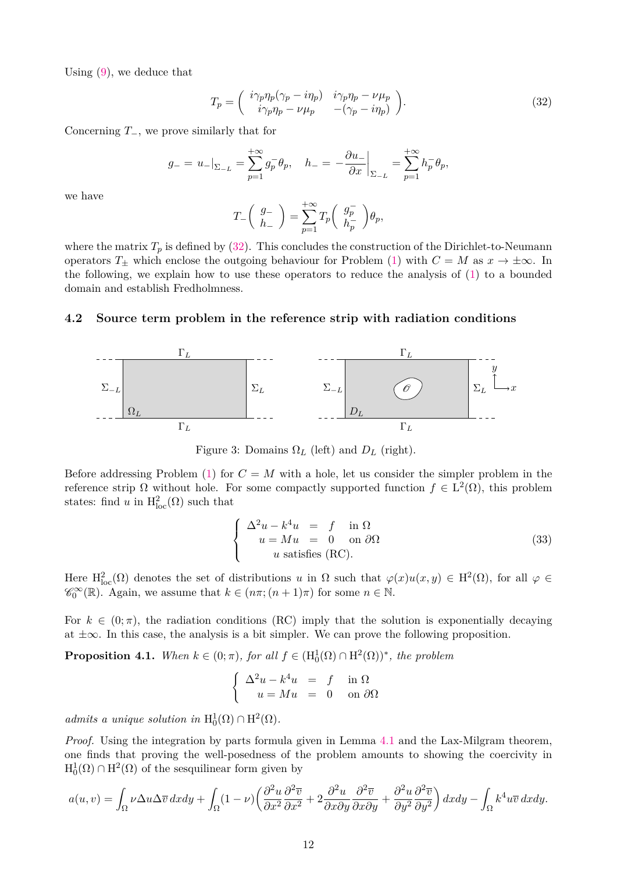Using [\(9\)](#page-4-3), we deduce that

<span id="page-11-0"></span>
$$
T_p = \begin{pmatrix} i\gamma_p \eta_p (\gamma_p - i\eta_p) & i\gamma_p \eta_p - \nu \mu_p \\ i\gamma_p \eta_p - \nu \mu_p & -(\gamma_p - i\eta_p) \end{pmatrix}.
$$
 (32)

Concerning *T*−, we prove similarly that for

$$
g_{-} = u_{-}|_{\Sigma_{-L}} = \sum_{p=1}^{+\infty} g_{p}^{-} \theta_{p}, \quad h_{-} = -\frac{\partial u_{-}}{\partial x} \Big|_{\Sigma_{-L}} = \sum_{p=1}^{+\infty} h_{p}^{-} \theta_{p},
$$

we have

$$
T_-\bigg(\begin{array}{c}g_-\\h_-\end{array}\bigg)=\sum_{p=1}^{+\infty}T_p\bigg(\begin{array}{c}g_p^-\\h_p^-\end{array}\bigg)\theta_p,
$$

where the matrix  $T_p$  is defined by [\(32\)](#page-11-0). This concludes the construction of the Dirichlet-to-Neumann operators  $T_{\pm}$  which enclose the outgoing behaviour for Problem [\(1\)](#page-2-2) with  $C = M$  as  $x \to \pm \infty$ . In the following, we explain how to use these operators to reduce the analysis of [\(1\)](#page-2-2) to a bounded domain and establish Fredholmness.

#### **4.2 Source term problem in the reference strip with radiation conditions**



<span id="page-11-2"></span>Figure 3: Domains  $\Omega_L$  (left) and  $D_L$  (right).

Before addressing Problem [\(1\)](#page-2-2) for  $C = M$  with a hole, let us consider the simpler problem in the reference strip Ω without hole. For some compactly supported function  $f \in L^2(\Omega)$ , this problem states: find *u* in  $H^2_{loc}(\Omega)$  such that

<span id="page-11-1"></span>
$$
\begin{cases}\n\Delta^2 u - k^4 u = f \quad \text{in } \Omega \\
u = M u = 0 \quad \text{on } \partial \Omega \\
u \text{ satisfies (RC)}.\n\end{cases}
$$
\n(33)

Here  $H^2_{loc}(\Omega)$  denotes the set of distributions *u* in  $\Omega$  such that  $\varphi(x)u(x,y) \in H^2(\Omega)$ , for all  $\varphi \in$  $\mathscr{C}_0^{\infty}(\mathbb{R})$ . Again, we assume that  $k \in (n\pi; (n+1)\pi)$  for some  $n \in \mathbb{N}$ .

For  $k \in (0, \pi)$ , the radiation conditions (RC) imply that the solution is exponentially decaying at  $\pm\infty$ . In this case, the analysis is a bit simpler. We can prove the following proposition.

<span id="page-11-3"></span>**Proposition 4.1.** When  $k \in (0; \pi)$ , for all  $f \in (H_0^1(\Omega) \cap H^2(\Omega))^*$ , the problem

$$
\begin{cases}\n\Delta^2 u - k^4 u &= f \quad \text{in } \Omega \\
u = Mu &= 0 \quad \text{on } \partial \Omega\n\end{cases}
$$

*admits a unique solution in*  $H_0^1(\Omega) \cap H^2(\Omega)$ .

*Proof.* Using the integration by parts formula given in Lemma [4.1](#page-12-0) and the Lax-Milgram theorem. one finds that proving the well-posedness of the problem amounts to showing the coercivity in  $H_0^1(\Omega) \cap H^2(\Omega)$  of the sesquilinear form given by

$$
a(u,v) = \int_{\Omega} \nu \Delta u \Delta \overline{v} \, dx dy + \int_{\Omega} (1-\nu) \left( \frac{\partial^2 u}{\partial x^2} \frac{\partial^2 \overline{v}}{\partial x^2} + 2 \frac{\partial^2 u}{\partial x \partial y} \frac{\partial^2 \overline{v}}{\partial x \partial y} + \frac{\partial^2 u}{\partial y^2} \frac{\partial^2 \overline{v}}{\partial y^2} \right) dx dy - \int_{\Omega} k^4 u \overline{v} \, dx dy.
$$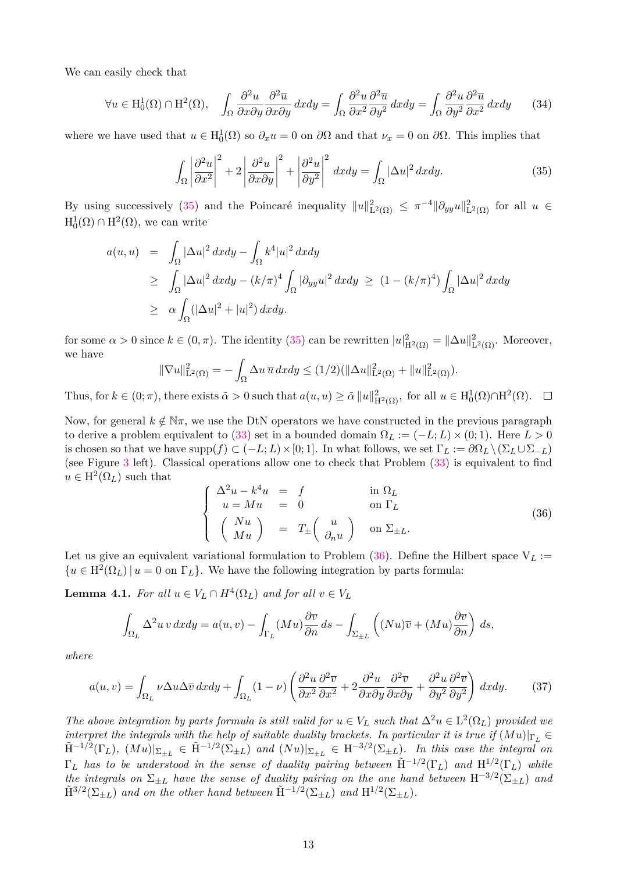We can easily check that

$$
\forall u \in H_0^1(\Omega) \cap H^2(\Omega), \quad \int_{\Omega} \frac{\partial^2 u}{\partial x \partial y} \frac{\partial^2 \overline{u}}{\partial x \partial y} dx dy = \int_{\Omega} \frac{\partial^2 u}{\partial x^2} \frac{\partial^2 \overline{u}}{\partial y^2} dx dy = \int_{\Omega} \frac{\partial^2 u}{\partial y^2} \frac{\partial^2 \overline{u}}{\partial x^2} dx dy \tag{34}
$$

where we have used that  $u \in H_0^1(\Omega)$  so  $\partial_x u = 0$  on  $\partial\Omega$  and that  $\nu_x = 0$  on  $\partial\Omega$ . This implies that

<span id="page-12-1"></span>
$$
\int_{\Omega} \left| \frac{\partial^2 u}{\partial x^2} \right|^2 + 2 \left| \frac{\partial^2 u}{\partial x \partial y} \right|^2 + \left| \frac{\partial^2 u}{\partial y^2} \right|^2 dx dy = \int_{\Omega} |\Delta u|^2 dx dy. \tag{35}
$$

By using successively [\(35\)](#page-12-1) and the Poincaré inequality  $||u||_{\mathcal{L}^2(\Omega)}^2 \leq \pi^{-4}||\partial_{yy}u||_{\mathcal{L}^2(\Omega)}^2$  for all  $u \in$  $\mathrm{H}_0^1(\Omega) \cap \mathrm{H}^2(\Omega)$ , we can write

$$
a(u, u) = \int_{\Omega} |\Delta u|^2 dx dy - \int_{\Omega} k^4 |u|^2 dx dy
$$
  
\n
$$
\geq \int_{\Omega} |\Delta u|^2 dx dy - (k/\pi)^4 \int_{\Omega} |\partial_{yy} u|^2 dx dy \geq (1 - (k/\pi)^4) \int_{\Omega} |\Delta u|^2 dx dy
$$
  
\n
$$
\geq \alpha \int_{\Omega} (|\Delta u|^2 + |u|^2) dx dy.
$$

for some  $\alpha > 0$  since  $k \in (0, \pi)$ . The identity [\(35\)](#page-12-1) can be rewritten  $|u|_{\mathrm{H}^2(\Omega)}^2 = ||\Delta u||_{\mathrm{L}^2(\Omega)}^2$ . Moreover, we have

$$
\|\nabla u\|_{\mathcal{L}^2(\Omega)}^2 = -\int_{\Omega} \Delta u \, \overline{u} \, dxdy \le (1/2) (\|\Delta u\|_{\mathcal{L}^2(\Omega)}^2 + \|u\|_{\mathcal{L}^2(\Omega)}^2).
$$

Thus, for  $k \in (0; \pi)$ , there exists  $\tilde{\alpha} > 0$  such that  $a(u, u) \geq \tilde{\alpha} ||u||^2_{\mathcal{H}^2(\Omega)}$ , for all  $u \in \mathrm{H}_0^1(\Omega) \cap \mathrm{H}^2(\Omega)$ .  $\Box$ 

Now, for general  $k \notin \mathbb{N}\pi$ , we use the DtN operators we have constructed in the previous paragraph to derive a problem equivalent to [\(33\)](#page-11-1) set in a bounded domain  $\Omega_L := (-L, L) \times (0, 1)$ . Here  $L > 0$ is chosen so that we have  $\text{supp}(f) \subset (-L; L) \times [0; 1]$ . In what follows, we set  $\Gamma_L := \partial \Omega_L \setminus (\Sigma_L \cup \Sigma_{-L})$ (see Figure [3](#page-11-2) left). Classical operations allow one to check that Problem [\(33\)](#page-11-1) is equivalent to find  $u \in H^2(\Omega_L)$  such that

<span id="page-12-2"></span>
$$
\begin{cases}\n\Delta^2 u - k^4 u = f & \text{in } \Omega_L \\
u = Mu = 0 & \text{on } \Gamma_L \\
\begin{pmatrix} Nu \\
Mu \end{pmatrix} = T_{\pm} \begin{pmatrix} u \\
\partial_n u \end{pmatrix} & \text{on } \Sigma_{\pm L}.\n\end{cases}
$$
\n(36)

Let us give an equivalent variational formulation to Problem  $(36)$ . Define the Hilbert space  $V_L$  :=  ${u \in H^2(\Omega_L) \mid u = 0 \text{ on } \Gamma_L}.$  We have the following integration by parts formula:

<span id="page-12-0"></span>**Lemma 4.1.** *For all*  $u \in V_L \cap H^4(\Omega_L)$  *and for all*  $v \in V_L$ 

$$
\int_{\Omega_L} \Delta^2 u \, v \, dx dy = a(u, v) - \int_{\Gamma_L} (Mu) \frac{\partial \overline{v}}{\partial n} \, ds - \int_{\Sigma_{\pm L}} \left( (Nu) \overline{v} + (Mu) \frac{\partial \overline{v}}{\partial n} \right) \, ds,
$$

*where*

<span id="page-12-3"></span>
$$
a(u,v) = \int_{\Omega_L} \nu \Delta u \Delta \overline{v} \, dx dy + \int_{\Omega_L} (1 - \nu) \left( \frac{\partial^2 u}{\partial x^2} \frac{\partial^2 \overline{v}}{\partial x^2} + 2 \frac{\partial^2 u}{\partial x \partial y} \frac{\partial^2 \overline{v}}{\partial x \partial y} + \frac{\partial^2 u}{\partial y^2} \frac{\partial^2 \overline{v}}{\partial y^2} \right) dx dy. \tag{37}
$$

*The above integration by parts formula is still valid for*  $u \in V_L$  *such that*  $\Delta^2 u \in L^2(\Omega_L)$  *provided we interpret the integrals with the help of suitable duality brackets. In particular it is true if*  $(Mu)|_{\Gamma_L}$  ∈  $\tilde{H}^{-1/2}(\Gamma_L)$ ,  $(Mu)|_{\Sigma_{\pm L}} \in \tilde{H}^{-1/2}(\Sigma_{\pm L})$  and  $(Nu)|_{\Sigma_{\pm L}} \in H^{-3/2}(\Sigma_{\pm L})$ . In this case the integral on  $\Gamma_L$  *has to be understood in the sense of duality pairing between*  $\tilde{H}^{-1/2}(\Gamma_L)$  *and*  $H^{1/2}(\Gamma_L)$  *while the integrals on*  $\Sigma_{\pm L}$  *have the sense of duality pairing on the one hand between*  $H^{-3/2}(\Sigma_{\pm L})$  *and*  $\tilde{H}^{3/2}(\Sigma_{\pm L})$  and on the other hand between  $\tilde{H}^{-1/2}(\Sigma_{\pm L})$  and  $H^{1/2}(\Sigma_{\pm L})$ .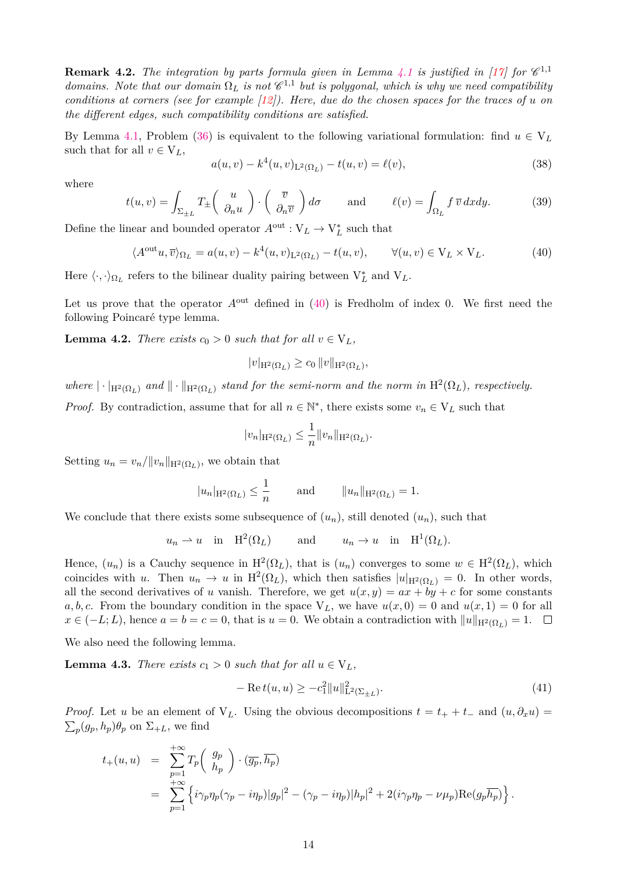**Remark 4.2.** The integration by parts formula given in Lemma [4.1](#page-12-0) is justified in [\[17\]](#page-34-3) for  $\mathscr{C}^{1,1}$ *domains.* Note that our domain  $\Omega_L$  is not  $\mathcal{C}^{1,1}$  but is polygonal, which is why we need compatibility *conditions at corners (see for example [\[12\]](#page-34-17)). Here, due do the chosen spaces for the traces of u on the different edges, such compatibility conditions are satisfied.*

By Lemma [4.1,](#page-12-0) Problem [\(36\)](#page-12-2) is equivalent to the following variational formulation: find  $u \in V_L$ such that for all  $v \in V_L$ ,

$$
a(u, v) - k4(u, v)L2(\Omega_L) - t(u, v) = \ell(v),
$$
\n(38)

where

<span id="page-13-4"></span>
$$
t(u,v) = \int_{\Sigma_{\pm L}} T_{\pm} \left( \begin{array}{c} u \\ \partial_n u \end{array} \right) \cdot \left( \begin{array}{c} \overline{v} \\ \partial_n \overline{v} \end{array} \right) d\sigma \quad \text{and} \quad \ell(v) = \int_{\Omega_L} f \, \overline{v} \, dx dy. \quad (39)
$$

Define the linear and bounded operator  $A^{\text{out}} : V_L \to V_L^*$  such that

<span id="page-13-0"></span>
$$
\langle A^{out}u, \overline{v} \rangle_{\Omega_L} = a(u, v) - k^4(u, v)_{L^2(\Omega_L)} - t(u, v), \qquad \forall (u, v) \in V_L \times V_L.
$$
 (40)

Here  $\langle \cdot, \cdot \rangle_{\Omega_L}$  refers to the bilinear duality pairing between  $V_L^*$  and  $V_L$ .

Let us prove that the operator  $A<sup>out</sup>$  defined in [\(40\)](#page-13-0) is Fredholm of index 0. We first need the following Poincaré type lemma.

<span id="page-13-2"></span>**Lemma 4.2.** *There exists*  $c_0 > 0$  *such that for all*  $v \in V_L$ *,* 

$$
|v|_{\mathrm{H}^2(\Omega_L)} \ge c_0 \|v\|_{\mathrm{H}^2(\Omega_L)},
$$

where  $|\cdot|_{H^2(\Omega_L)}$  and  $\|\cdot\|_{H^2(\Omega_L)}$  stand for the semi-norm and the norm in  $H^2(\Omega_L)$ , respectively.

*Proof.* By contradiction, assume that for all  $n \in \mathbb{N}^*$ , there exists some  $v_n \in V_L$  such that

$$
|v_n|_{\mathcal{H}^2(\Omega_L)} \leq \frac{1}{n} ||v_n||_{\mathcal{H}^2(\Omega_L)}.
$$

Setting  $u_n = v_n / ||v_n||_{\mathcal{H}^2(\Omega_L)}$ , we obtain that

$$
|u_n|_{\mathrm{H}^2(\Omega_L)} \leq \frac{1}{n}
$$
 and  $||u_n||_{\mathrm{H}^2(\Omega_L)} = 1$ .

We conclude that there exists some subsequence of  $(u_n)$ , still denoted  $(u_n)$ , such that

$$
u_n \rightharpoonup u
$$
 in  $H^2(\Omega_L)$  and  $u_n \rightharpoonup u$  in  $H^1(\Omega_L)$ .

Hence,  $(u_n)$  is a Cauchy sequence in  $H^2(\Omega_L)$ , that is  $(u_n)$  converges to some  $w \in H^2(\Omega_L)$ , which coincides with *u*. Then  $u_n \to u$  in  $H^2(\Omega_L)$ , which then satisfies  $|u|_{H^2(\Omega_L)} = 0$ . In other words, all the second derivatives of *u* vanish. Therefore, we get  $u(x, y) = ax + by + c$  for some constants *a, b, c.* From the boundary condition in the space  $V_L$ , we have  $u(x, 0) = 0$  and  $u(x, 1) = 0$  for all *x* ∈ (−*L*; *L*), hence  $a = b = c = 0$ , that is  $u = 0$ . We obtain a contradiction with  $||u||_{H^2(\Omega_L)} = 1$ . □

We also need the following lemma.

<span id="page-13-3"></span>**Lemma 4.3.** *There exists*  $c_1 > 0$  *such that for all*  $u \in V_L$ *,* 

<span id="page-13-1"></span>
$$
-\operatorname{Re} t(u, u) \ge -c_1^2 \|u\|_{\mathcal{L}^2(\Sigma_{\pm L})}^2. \tag{41}
$$

*Proof.* Let *u* be an element of  $V_L$ . Using the obvious decompositions  $t = t_+ + t_-$  and  $(u, \partial_x u)$  $\sum_{p} (g_p, h_p) \theta_p$  on  $\Sigma_{+L}$ , we find

$$
t_{+}(u, u) = \sum_{p=1}^{+\infty} T_p \begin{pmatrix} g_p \\ h_p \end{pmatrix} \cdot (\overline{g_p}, \overline{h_p})
$$
  
= 
$$
\sum_{p=1}^{+\infty} \left\{ i \gamma_p \eta_p (\gamma_p - i \eta_p) |g_p|^2 - (\gamma_p - i \eta_p) |h_p|^2 + 2(i \gamma_p \eta_p - \nu \mu_p) \text{Re}(g_p \overline{h_p}) \right\}.
$$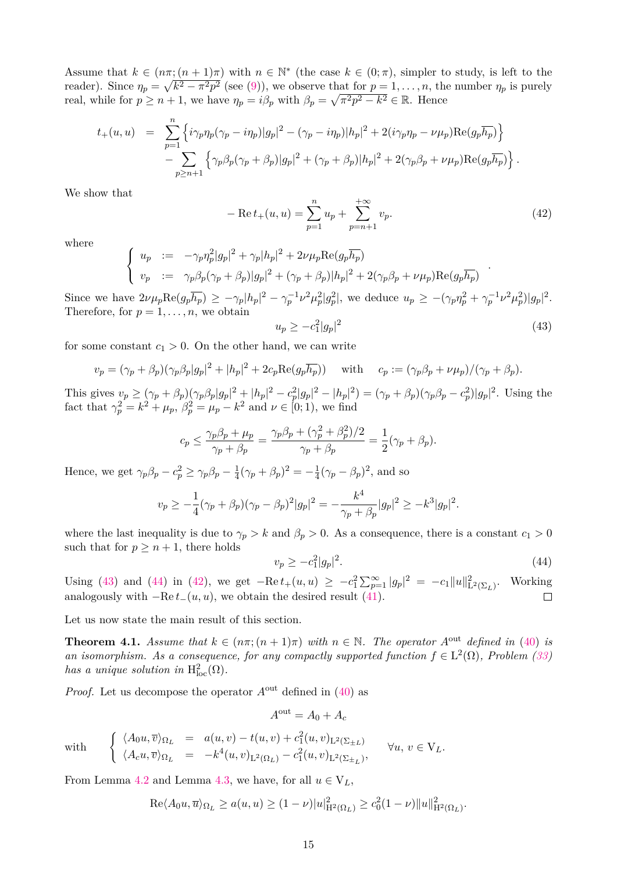Assume that  $k \in (n\pi; (n+1)\pi)$  with  $n \in \mathbb{N}^*$  (the case  $k \in (0;\pi)$ , simpler to study, is left to the reader). Since  $\eta_p = \sqrt{k^2 - \pi^2 p^2}$  (see [\(9\)](#page-4-3)), we observe that for  $p = 1, \ldots, n$ , the number  $\eta_p$  is purely real, while for  $p \ge n+1$ , we have  $\eta_p = i\beta_p$  with  $\beta_p = \sqrt{\pi^2 p^2 - k^2} \in \mathbb{R}$ . Hence

$$
t_{+}(u, u) = \sum_{p=1}^{n} \left\{ i\gamma_p \eta_p (\gamma_p - i\eta_p) |g_p|^2 - (\gamma_p - i\eta_p) |h_p|^2 + 2(i\gamma_p \eta_p - \nu \mu_p) \text{Re}(g_p \overline{h_p}) \right\} - \sum_{p \ge n+1} \left\{ \gamma_p \beta_p (\gamma_p + \beta_p) |g_p|^2 + (\gamma_p + \beta_p) |h_p|^2 + 2(\gamma_p \beta_p + \nu \mu_p) \text{Re}(g_p \overline{h_p}) \right\}.
$$

We show that

<span id="page-14-2"></span>
$$
-\operatorname{Re} t_{+}(u, u) = \sum_{p=1}^{n} u_{p} + \sum_{p=n+1}^{+\infty} v_{p}.
$$
\n(42)

where

$$
\begin{cases}\nu_p := -\gamma_p \eta_p^2 |g_p|^2 + \gamma_p |h_p|^2 + 2\nu \mu_p \text{Re}(g_p \overline{h_p}) \\
v_p := \gamma_p \beta_p (\gamma_p + \beta_p) |g_p|^2 + (\gamma_p + \beta_p) |h_p|^2 + 2(\gamma_p \beta_p + \nu \mu_p) \text{Re}(g_p \overline{h_p})\n\end{cases}
$$

Since we have  $2\nu\mu_p \text{Re}(g_p\overline{h_p}) \geq -\gamma_p |h_p|^2 - \gamma_p^{-1}\nu^2\mu_p^2|g_p^2|$ , we deduce  $u_p \geq -(\gamma_p \eta_p^2 + \gamma_p^{-1}\nu^2\mu_p^2)|g_p|^2$ . Therefore, for  $p = 1, \ldots, n$ , we obtain

<span id="page-14-0"></span>
$$
u_p \ge -c_1^2 |g_p|^2 \tag{43}
$$

for some constant  $c_1 > 0$ . On the other hand, we can write

$$
v_p = (\gamma_p + \beta_p)(\gamma_p \beta_p |g_p|^2 + |h_p|^2 + 2c_p \text{Re}(g_p \overline{h_p})) \text{ with } c_p := (\gamma_p \beta_p + \nu \mu_p)/(\gamma_p + \beta_p).
$$

This gives  $v_p \ge (\gamma_p + \beta_p)(\gamma_p \beta_p |g_p|^2 + |h_p|^2 - c_p^2 |g_p|^2 - |h_p|^2) = (\gamma_p + \beta_p)(\gamma_p \beta_p - c_p^2)|g_p|^2$ . Using the fact that  $\gamma_p^2 = k^2 + \mu_p$ ,  $\beta_p^2 = \mu_p - k^2$  and  $\nu \in [0; 1)$ , we find

$$
c_p \le \frac{\gamma_p \beta_p + \mu_p}{\gamma_p + \beta_p} = \frac{\gamma_p \beta_p + (\gamma_p^2 + \beta_p^2)/2}{\gamma_p + \beta_p} = \frac{1}{2}(\gamma_p + \beta_p).
$$

Hence, we get  $\gamma_p \beta_p - c_p^2 \ge \gamma_p \beta_p - \frac{1}{4}$  $\frac{1}{4}(\gamma_p + \beta_p)^2 = -\frac{1}{4}$  $\frac{1}{4}(\gamma_p - \beta_p)^2$ , and so

$$
v_p \ge -\frac{1}{4}(\gamma_p + \beta_p)(\gamma_p - \beta_p)^2|g_p|^2 = -\frac{k^4}{\gamma_p + \beta_p}|g_p|^2 \ge -k^3|g_p|^2.
$$

where the last inequality is due to  $\gamma_p > k$  and  $\beta_p > 0$ . As a consequence, there is a constant  $c_1 > 0$ such that for  $p \geq n+1$ , there holds

<span id="page-14-1"></span>
$$
v_p \ge -c_1^2 |g_p|^2. \tag{44}
$$

Using [\(43\)](#page-14-0) and [\(44\)](#page-14-1) in [\(42\)](#page-14-2), we get  $-{\rm Re} t_+(u, u) \ge -c_1^2 \sum_{p=1}^{\infty} |g_p|^2 = -c_1 ||u||_{\mathcal{L}^2(\Sigma_L)}^2$ . Working analogously with  $-Re t_-(u, u)$ , we obtain the desired result [\(41\)](#page-13-1).  $\Box$ 

Let us now state the main result of this section.

<span id="page-14-3"></span>**Theorem 4.1.** *Assume that*  $k \in (n\pi; (n+1)\pi)$  *with*  $n \in \mathbb{N}$ *. The operator*  $A^{out}$  *defined in* [\(40\)](#page-13-0) *is* an isomorphism. As a consequence, for any compactly supported function  $f \in L^2(\Omega)$ , Problem [\(33\)](#page-11-1) *has a unique solution in*  $H^2_{loc}(\Omega)$ *.* 

*Proof.* Let us decompose the operator  $A<sup>out</sup>$  defined in [\(40\)](#page-13-0) as

$$
A^{\text{out}} = A_0 + A_c
$$

with 
$$
\begin{cases} \langle A_0 u, \overline{v} \rangle_{\Omega_L} = a(u, v) - t(u, v) + c_1^2(u, v)_{L^2(\Sigma_{\pm L})} \\ \langle A_c u, \overline{v} \rangle_{\Omega_L} = -k^4(u, v)_{L^2(\Omega_L)} - c_1^2(u, v)_{L^2(\Sigma_{\pm L})}, \end{cases} \forall u, v \in V_L.
$$

From Lemma [4.2](#page-13-2) and Lemma [4.3,](#page-13-3) we have, for all  $u \in V_L$ ,

$$
\mathrm{Re}\langle A_0 u, \overline{u} \rangle_{\Omega_L} \ge a(u, u) \ge (1 - \nu) |u|_{\mathrm{H}^2(\Omega_L)}^2 \ge c_0^2 (1 - \nu) \|u\|_{\mathrm{H}^2(\Omega_L)}^2.
$$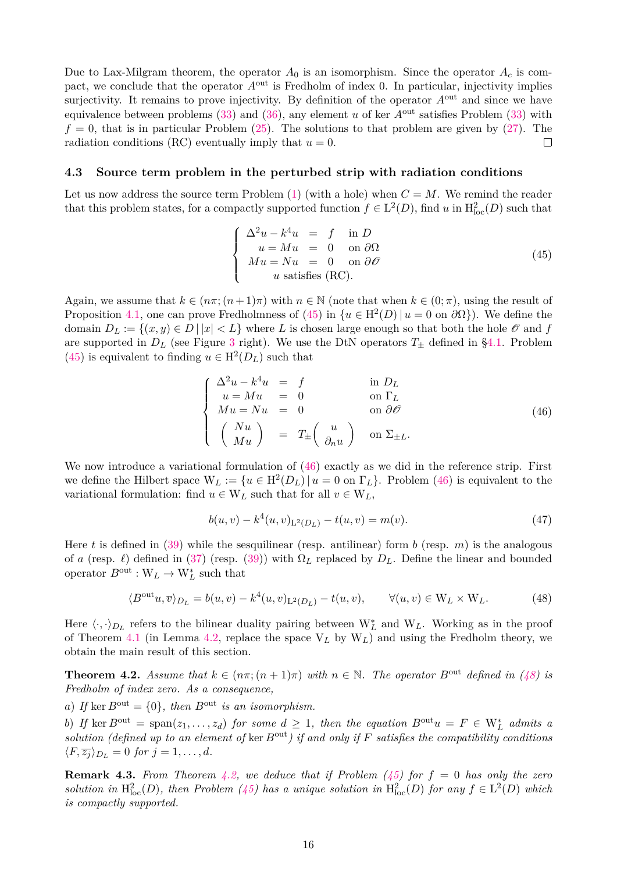Due to Lax-Milgram theorem, the operator  $A_0$  is an isomorphism. Since the operator  $A_c$  is compact, we conclude that the operator  $A<sup>out</sup>$  is Fredholm of index 0. In particular, injectivity implies surjectivity. It remains to prove injectivity. By definition of the operator  $A<sup>out</sup>$  and since we have equivalence between problems [\(33\)](#page-11-1) and [\(36\)](#page-12-2), any element *u* of ker *A*out satisfies Problem [\(33\)](#page-11-1) with  $f = 0$ , that is in particular Problem  $(25)$ . The solutions to that problem are given by  $(27)$ . The radiation conditions (RC) eventually imply that  $u = 0$ .  $\Box$ 

#### **4.3 Source term problem in the perturbed strip with radiation conditions**

Let us now address the source term Problem  $(1)$  (with a hole) when  $C = M$ . We remind the reader that this problem states, for a compactly supported function  $f \in L^2(D)$ , find *u* in  $H^2_{loc}(D)$  such that

<span id="page-15-1"></span>
$$
\begin{cases}\n\Delta^2 u - k^4 u = f & \text{in } D \\
u = Mu = 0 & \text{on } \partial \Omega \\
Mu = Nu = 0 & \text{on } \partial \mathcal{O} \\
u \text{ satisfies (RC)}.\n\end{cases}
$$
\n(45)

Again, we assume that  $k \in (n\pi; (n+1)\pi)$  with  $n \in \mathbb{N}$  (note that when  $k \in (0; \pi)$ , using the result of Proposition [4.1,](#page-11-3) one can prove Fredholmness of [\(45\)](#page-15-1) in  $\{u \in H^2(D) | u = 0 \text{ on } \partial\Omega\}$ . We define the domain  $D_L := \{(x, y) \in D \mid |x| < L\}$  where *L* is chosen large enough so that both the hole  $\mathcal O$  and *f* are supported in  $D_L$  (see Figure [3](#page-11-2) right). We use the DtN operators  $T_{\pm}$  defined in [§4.1.](#page-8-5) Problem  $(45)$  is equivalent to finding  $u \in H^2(D_L)$  such that

<span id="page-15-2"></span>
$$
\begin{cases}\n\Delta^2 u - k^4 u = f & \text{in } D_L \\
u = Mu = 0 & \text{on } \Gamma_L \\
Mu = Nu = 0 & \text{on } \partial \mathcal{O} \\
\begin{pmatrix} Nu \\
Mu \end{pmatrix} = T_{\pm} \begin{pmatrix} u \\
\partial_n u \end{pmatrix} & \text{on } \Sigma_{\pm L}.\n\end{cases}
$$
\n(46)

We now introduce a variational formulation of  $(46)$  exactly as we did in the reference strip. First we define the Hilbert space  $W_L := \{u \in H^2(D_L) | u = 0 \text{ on } \Gamma_L\}$ . Problem [\(46\)](#page-15-2) is equivalent to the variational formulation: find  $u \in W_L$  such that for all  $v \in W_L$ ,

<span id="page-15-4"></span>
$$
b(u, v) - k4(u, v)L2(DL) - t(u, v) = m(v).
$$
\n(47)

Here *t* is defined in [\(39\)](#page-13-4) while the sesquilinear (resp. antilinear) form *b* (resp. *m*) is the analogous of *a* (resp.  $\ell$ ) defined in [\(37\)](#page-12-3) (resp. [\(39\)](#page-13-4)) with  $\Omega_L$  replaced by  $D_L$ . Define the linear and bounded operator  $B^{\text{out}}: W_L \to W_L^*$  such that

<span id="page-15-3"></span>
$$
\langle B^{out}u, \overline{v} \rangle_{D_L} = b(u, v) - k^4(u, v)_{L^2(D_L)} - t(u, v), \qquad \forall (u, v) \in W_L \times W_L.
$$
 (48)

Here  $\langle \cdot, \cdot \rangle_{D_L}$  refers to the bilinear duality pairing between W<sup>\*</sup><sub>L</sub> and W<sub>L</sub>. Working as in the proof of Theorem [4.1](#page-14-3) (in Lemma [4.2,](#page-13-2) replace the space V*<sup>L</sup>* by W*L*) and using the Fredholm theory, we obtain the main result of this section.

<span id="page-15-0"></span>**Theorem 4.2.** *Assume that*  $k \in (n\pi; (n+1)\pi)$  *with*  $n \in \mathbb{N}$ . The operator  $B^{\text{out}}$  defined in [\(48\)](#page-15-3) is *Fredholm of index zero. As a consequence,*

*a*) If ker  $B^{out} = \{0\}$ , then  $B^{out}$  *is an isomorphism.* 

*b*) *If* ker  $B^{out} = \text{span}(z_1, \ldots, z_d)$  *for some*  $d \geq 1$ *, then the equation*  $B^{out}u = F \in W_L^*$  *admits a solution (defined up to an element of* ker *B*out*) if and only if F satisfies the compatibility conditions*  $\langle F, \overline{z_j} \rangle_{D_L} = 0$  *for*  $j = 1, \ldots, d$ *.* 

**Remark 4.3.** *From Theorem [4.2,](#page-15-0)* we deduce that if Problem  $(45)$  for  $f = 0$  has only the zero solution in  $H_{loc}^2(D)$ , then Problem [\(45\)](#page-15-1) has a unique solution in  $H_{loc}^2(D)$  for any  $f \in L^2(D)$  which *is compactly supported.*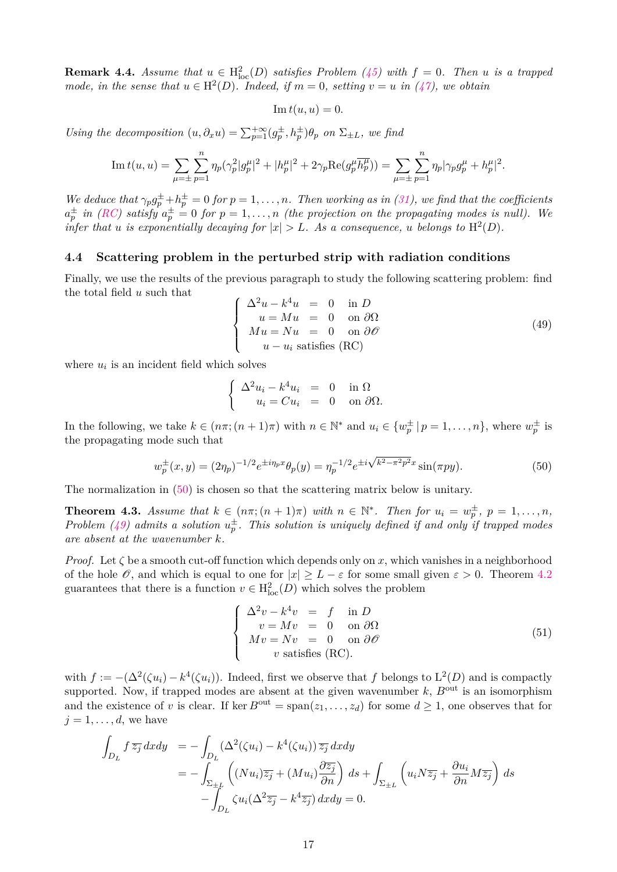<span id="page-16-3"></span>**Remark 4.4.** *Assume that*  $u \in H_{loc}^2(D)$  *satisfies Problem* [\(45\)](#page-15-1) with  $f = 0$ . Then *u is a trapped mode, in the sense that*  $u \in H^2(D)$ *. Indeed, if*  $m = 0$ *, setting*  $v = u$  *in* [\(47\)](#page-15-4)*,* we obtain

$$
\operatorname{Im} t(u, u) = 0.
$$

*Using the decomposition*  $(u, \partial_x u) = \sum_{p=1}^{+\infty} (g_p^{\pm}, h_p^{\pm}) \theta_p$  *on*  $\Sigma_{\pm L}$ *, we find* 

Im 
$$
t(u, u) = \sum_{\mu = \pm} \sum_{p=1}^{n} \eta_p (\gamma_p^2 |g_p^{\mu}|^2 + |h_p^{\mu}|^2 + 2\gamma_p \text{Re}(g_p^{\mu} \overline{h_p^{\mu}})) = \sum_{\mu = \pm} \sum_{p=1}^{n} \eta_p |\gamma_p g_p^{\mu} + h_p^{\mu}|^2.
$$

*We deduce that*  $\gamma_p g_p^{\pm} + h_p^{\pm} = 0$  *for*  $p = 1, \ldots, n$ *. Then working as in [\(31\)](#page-10-0), we find that the coefficients*  $a_p^{\pm}$  in *[\(RC\)](#page-9-3)* satisfy  $a_p^{\pm} = 0$  for  $p = 1, ..., n$  *(the projection on the propagating modes is null).* We *infer that u is exponentially decaying for*  $|x| > L$ *. As a consequence, u belongs to*  $H^2(D)$ *.* 

#### **4.4 Scattering problem in the perturbed strip with radiation conditions**

Finally, we use the results of the previous paragraph to study the following scattering problem: find the total field *u* such that

<span id="page-16-1"></span>
$$
\begin{cases}\n\Delta^2 u - k^4 u = 0 & \text{in } D \\
u = Mu = 0 & \text{on } \partial \Omega \\
Mu = Nu = 0 & \text{on } \partial \mathcal{O} \\
u - u_i \text{ satisfies (RC)}\n\end{cases}
$$
\n(49)

where  $u_i$  is an incident field which solves

$$
\begin{cases} \Delta^2 u_i - k^4 u_i &= 0 & \text{in } \Omega \\ u_i = C u_i &= 0 & \text{on } \partial \Omega. \end{cases}
$$

In the following, we take  $k \in (n\pi; (n+1)\pi)$  with  $n \in \mathbb{N}^*$  and  $u_i \in \{w_p^{\pm} | p = 1, \ldots, n\}$ , where  $w_p^{\pm}$  is the propagating mode such that

<span id="page-16-0"></span>
$$
w_p^{\pm}(x,y) = (2\eta_p)^{-1/2} e^{\pm i\eta_p x} \theta_p(y) = \eta_p^{-1/2} e^{\pm i\sqrt{k^2 - \pi^2 p^2} x} \sin(\pi p y). \tag{50}
$$

The normalization in [\(50\)](#page-16-0) is chosen so that the scattering matrix below is unitary.

<span id="page-16-4"></span>**Theorem 4.3.** *Assume that*  $k \in (n\pi; (n+1)\pi)$  *with*  $n \in \mathbb{N}^*$ . *Then for*  $u_i = w_p^{\pm}$ ,  $p = 1, \ldots, n$ , *Problem [\(49\)](#page-16-1)* admits a solution  $u_p^{\pm}$ . This solution is uniquely defined if and only if trapped modes *are absent at the wavenumber k.*

*Proof.* Let  $\zeta$  be a smooth cut-off function which depends only on x, which vanishes in a neighborhood of the hole  $\mathscr O$ , and which is equal to one for  $|x| > L - \varepsilon$  for some small given  $\varepsilon > 0$ . Theorem [4.2](#page-15-0) guarantees that there is a function  $v \in H^2_{loc}(D)$  which solves the problem

<span id="page-16-2"></span>
$$
\begin{cases}\n\Delta^2 v - k^4 v &= f \text{ in } D \\
v = Mv &= 0 \text{ on } \partial \Omega \\
Mv = Nv &= 0 \text{ on } \partial \mathcal{O} \\
v \text{ satisfies (RC)}.\n\end{cases}
$$
\n(51)

with  $f := -(\Delta^2(\zeta u_i) - k^4(\zeta u_i))$ . Indeed, first we observe that f belongs to  $L^2(D)$  and is compactly supported. Now, if trapped modes are absent at the given wavenumber  $k$ ,  $B<sup>out</sup>$  is an isomorphism and the existence of *v* is clear. If ker  $B^{out} = \text{span}(z_1, \ldots, z_d)$  for some  $d \ge 1$ , one observes that for  $j = 1, \ldots, d$ , we have

$$
\int_{D_L} f \overline{z_j} \, dx \, dy = -\int_{D_L} (\Delta^2(\zeta u_i) - k^4(\zeta u_i)) \overline{z_j} \, dx \, dy
$$
\n
$$
= -\int_{\Sigma_{\pm L}} \left( (Nu_i) \overline{z_j} + (Mu_i) \frac{\partial \overline{z_j}}{\partial n} \right) \, ds + \int_{\Sigma_{\pm L}} \left( u_i N \overline{z_j} + \frac{\partial u_i}{\partial n} M \overline{z_j} \right) \, ds
$$
\n
$$
- \int_{D_L} \zeta u_i (\Delta^2 \overline{z_j} - k^4 \overline{z_j}) \, dx \, dy = 0.
$$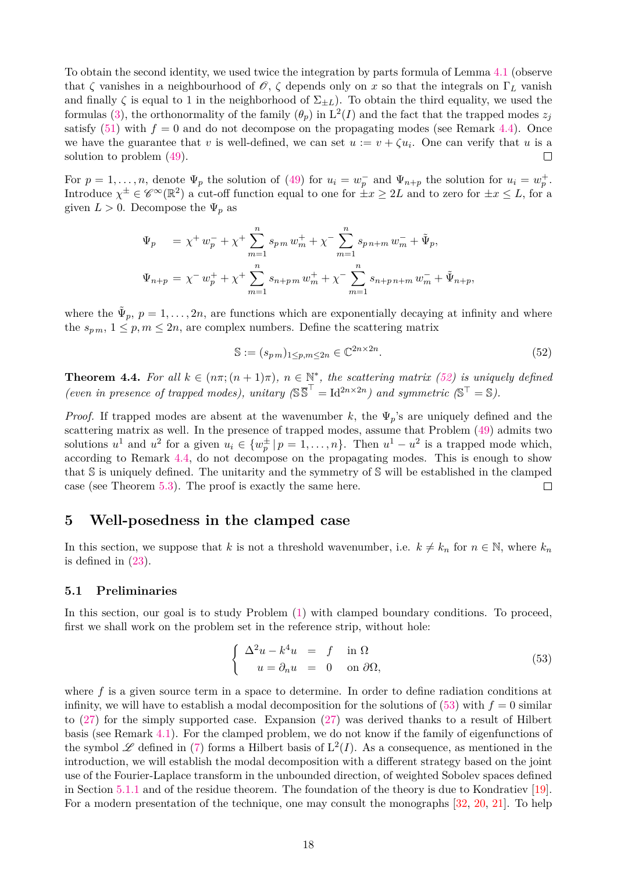To obtain the second identity, we used twice the integration by parts formula of Lemma [4.1](#page-12-0) (observe that  $\zeta$  vanishes in a neighbourhood of  $\mathscr{O}, \zeta$  depends only on *x* so that the integrals on  $\Gamma_L$  vanish and finally  $\zeta$  is equal to 1 in the neighborhood of  $\Sigma_{\pm L}$ ). To obtain the third equality, we used the formulas [\(3\)](#page-3-3), the orthonormality of the family  $(\theta_p)$  in  $L^2(I)$  and the fact that the trapped modes  $z_j$ satisfy  $(51)$  with  $f = 0$  and do not decompose on the propagating modes (see Remark [4.4\)](#page-16-3). Once we have the guarantee that *v* is well-defined, we can set  $u := v + \zeta u_i$ . One can verify that *u* is a solution to problem [\(49\)](#page-16-1).  $\Box$ 

For  $p = 1, \ldots, n$ , denote  $\Psi_p$  the solution of [\(49\)](#page-16-1) for  $u_i = w_p^-$  and  $\Psi_{n+p}$  the solution for  $u_i = w_p^+$ . Introduce  $\chi^{\pm} \in \mathscr{C}^{\infty}(\mathbb{R}^2)$  a cut-off function equal to one for  $\pm x \geq 2L$  and to zero for  $\pm x \leq L$ , for a given  $L > 0$ . Decompose the  $\Psi_p$  as

$$
\Psi_p = \chi^+ w_p^- + \chi^+ \sum_{m=1}^n s_{p m} w_m^+ + \chi^- \sum_{m=1}^n s_{p n + m} w_m^- + \tilde{\Psi}_p,
$$
  

$$
\Psi_{n+p} = \chi^- w_p^+ + \chi^+ \sum_{m=1}^n s_{n+p m} w_m^+ + \chi^- \sum_{m=1}^n s_{n+p n + m} w_m^- + \tilde{\Psi}_{n+p},
$$

where the  $\tilde{\Psi}_p, p = 1, \ldots, 2n$ , are functions which are exponentially decaying at infinity and where the  $s_{pm}$ ,  $1 \leq p, m \leq 2n$ , are complex numbers. Define the scattering matrix

<span id="page-17-2"></span>
$$
\mathbb{S} := (s_{pm})_{1 \le p, m \le 2n} \in \mathbb{C}^{2n \times 2n}.
$$
\n
$$
(52)
$$

<span id="page-17-4"></span>**Theorem 4.4.** For all  $k \in (n\pi; (n+1)\pi)$ ,  $n \in \mathbb{N}^*$ , the scattering matrix [\(52\)](#page-17-2) is uniquely defined (even in presence of trapped modes), unitary  $(\mathbb{S}^{\overline{S}})^{\top} = \mathrm{Id}^{2n \times 2n}$ ) and symmetric  $(\mathbb{S}^{\top} = \mathbb{S})$ .

*Proof.* If trapped modes are absent at the wavenumber *k*, the Ψ*p*'s are uniquely defined and the scattering matrix as well. In the presence of trapped modes, assume that Problem [\(49\)](#page-16-1) admits two solutions  $u^1$  and  $u^2$  for a given  $u_i \in \{w_p^{\pm} \mid p = 1, \ldots, n\}$ . Then  $u^1 - u^2$  is a trapped mode which, according to Remark [4.4,](#page-16-3) do not decompose on the propagating modes. This is enough to show that S is uniquely defined. The unitarity and the symmetry of S will be established in the clamped  $\Box$ case (see Theorem [5.3\)](#page-26-1). The proof is exactly the same here.

### <span id="page-17-1"></span>**5 Well-posedness in the clamped case**

In this section, we suppose that *k* is not a threshold wavenumber, i.e.  $k \neq k_n$  for  $n \in \mathbb{N}$ , where  $k_n$ is defined in [\(23\)](#page-7-5).

#### <span id="page-17-0"></span>**5.1 Preliminaries**

In this section, our goal is to study Problem [\(1\)](#page-2-2) with clamped boundary conditions. To proceed, first we shall work on the problem set in the reference strip, without hole:

<span id="page-17-3"></span>
$$
\begin{cases}\n\Delta^2 u - k^4 u = f \quad \text{in } \Omega \\
u = \partial_n u = 0 \quad \text{on } \partial \Omega,\n\end{cases}
$$
\n(53)

where f is a given source term in a space to determine. In order to define radiation conditions at infinity, we will have to establish a modal decomposition for the solutions of  $(53)$  with  $f = 0$  similar to [\(27\)](#page-9-0) for the simply supported case. Expansion [\(27\)](#page-9-0) was derived thanks to a result of Hilbert basis (see Remark [4.1\)](#page-9-4). For the clamped problem, we do not know if the family of eigenfunctions of the symbol  $\mathscr L$  defined in [\(7\)](#page-4-5) forms a Hilbert basis of  $L^2(I)$ . As a consequence, as mentioned in the introduction, we will establish the modal decomposition with a different strategy based on the joint use of the Fourier-Laplace transform in the unbounded direction, of weighted Sobolev spaces defined in Section [5.1.1](#page-18-0) and of the residue theorem. The foundation of the theory is due to Kondratiev [\[19\]](#page-35-9). For a modern presentation of the technique, one may consult the monographs [\[32,](#page-35-11) [20,](#page-35-12) [21\]](#page-35-13). To help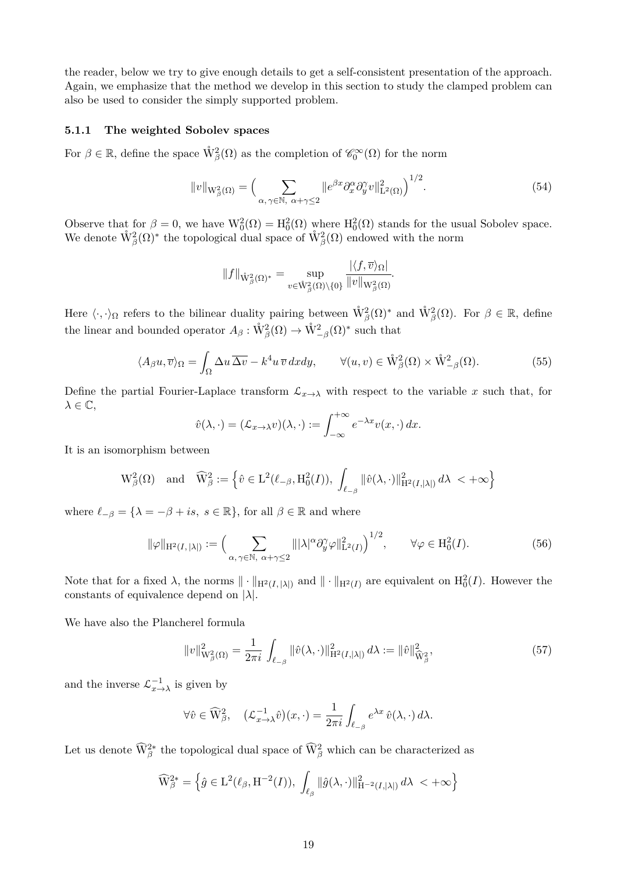the reader, below we try to give enough details to get a self-consistent presentation of the approach. Again, we emphasize that the method we develop in this section to study the clamped problem can also be used to consider the simply supported problem.

#### <span id="page-18-0"></span>**5.1.1 The weighted Sobolev spaces**

For  $\beta \in \mathbb{R}$ , define the space  $\mathring{W}^2_{\beta}(\Omega)$  as the completion of  $\mathscr{C}_0^{\infty}(\Omega)$  for the norm

<span id="page-18-4"></span>
$$
||v||_{\mathcal{W}_{\beta}^{2}(\Omega)} = \Big(\sum_{\alpha,\gamma \in \mathbb{N}, \ \alpha+\gamma\leq 2} ||e^{\beta x} \partial_{x}^{\alpha} \partial_{y}^{\gamma} v||_{\mathcal{L}^{2}(\Omega)}^{2}\Big)^{1/2}.
$$
\n(54)

Observe that for  $\beta = 0$ , we have  $W_0^2(\Omega) = H_0^2(\Omega)$  where  $H_0^2(\Omega)$  stands for the usual Sobolev space. We denote  $\mathring{W}^2_{\beta}(\Omega)^*$  the topological dual space of  $\mathring{W}^2_{\beta}(\Omega)$  endowed with the norm

$$
||f||_{\mathring{W}^2_{\beta}(\Omega)^*} = \sup_{v \in \mathring{W}^2_{\beta}(\Omega) \setminus \{0\}} \frac{|\langle f, \overline{v} \rangle_{\Omega}|}{||v||_{W^2_{\beta}(\Omega)}}.
$$

Here  $\langle \cdot, \cdot \rangle_{\Omega}$  refers to the bilinear duality pairing between  $\mathring{W}^2_{\beta}(\Omega)^*$  and  $\mathring{W}^2_{\beta}(\Omega)$ . For  $\beta \in \mathbb{R}$ , define the linear and bounded operator  $A_{\beta}: \mathring{W}_{\beta}^{2}(\Omega) \to \mathring{W}_{-\beta}^{2}(\Omega)^{*}$  such that

<span id="page-18-2"></span>
$$
\langle A_{\beta}u, \overline{v} \rangle_{\Omega} = \int_{\Omega} \Delta u \, \overline{\Delta v} - k^4 u \, \overline{v} \, dx \, dy, \qquad \forall (u, v) \in \mathring{W}_{\beta}^2(\Omega) \times \mathring{W}_{-\beta}^2(\Omega). \tag{55}
$$

Define the partial Fourier-Laplace transform  $\mathcal{L}_{x\to\lambda}$  with respect to the variable x such that, for *λ* ∈ C,

$$
\hat{v}(\lambda, \cdot) = (\mathcal{L}_{x \to \lambda} v)(\lambda, \cdot) := \int_{-\infty}^{+\infty} e^{-\lambda x} v(x, \cdot) dx.
$$

It is an isomorphism between

$$
\mathrm{W}^2_{\beta}(\Omega) \quad \text{and} \quad \widehat{\mathrm{W}}^2_{\beta} := \left\{\hat{v} \in \mathrm{L}^2(\ell_{-\beta}, \mathrm{H}^2_0(I)), \; \int_{\ell_{-\beta}} \|\hat{v}(\lambda,\cdot)\|_{\mathrm{H}^2(I,|\lambda|)}^2 \, d\lambda \; < +\infty \right\}
$$

where  $\ell_{-\beta} = {\lambda = -\beta + is, s \in \mathbb{R}}$ , for all  $\beta \in \mathbb{R}$  and where

<span id="page-18-1"></span>
$$
\|\varphi\|_{\mathcal{H}^2(I,|\lambda|)} := \Big(\sum_{\alpha,\gamma \in \mathbb{N}, \ \alpha + \gamma \le 2} \|\|\lambda|^\alpha \partial_y^\gamma \varphi\|_{\mathcal{L}^2(I)}^2\Big)^{1/2}, \qquad \forall \varphi \in \mathcal{H}_0^2(I). \tag{56}
$$

Note that for a fixed  $\lambda$ , the norms  $\|\cdot\|_{\mathrm{H}^2(I, |\lambda|)}$  and  $\|\cdot\|_{\mathrm{H}^2(I)}$  are equivalent on  $\mathrm{H}_0^2(I)$ . However the constants of equivalence depend on |*λ*|.

We have also the Plancherel formula

<span id="page-18-3"></span>
$$
||v||_{W_{\beta}^{2}(\Omega)}^{2} = \frac{1}{2\pi i} \int_{\ell_{-\beta}} ||\hat{v}(\lambda, \cdot)||_{H^{2}(I, |\lambda|)}^{2} d\lambda := ||\hat{v}||_{\widehat{W}_{\beta}^{2}}^{2},
$$
\n(57)

and the inverse  $\mathcal{L}_{x \to \lambda}^{-1}$  is given by

$$
\forall \hat{v} \in \widehat{\mathcal{W}}_{\beta}^2, \quad (\mathcal{L}_{x \to \lambda}^{-1} \hat{v})(x, \cdot) = \frac{1}{2\pi i} \int_{\ell_{-\beta}} e^{\lambda x} \hat{v}(\lambda, \cdot) d\lambda.
$$

Let us denote  $\widehat{W}_{\beta}^{2*}$  the topological dual space of  $\widehat{W}_{\beta}^{2}$  which can be characterized as

$$
\widehat{\mathcal{W}}_{\beta}^{2*} = \left\{ \widehat{g} \in \mathcal{L}^2(\ell_{\beta}, \mathcal{H}^{-2}(I)), \int_{\ell_{\beta}} ||\widehat{g}(\lambda, \cdot)||_{\mathcal{H}^{-2}(I, |\lambda|)}^2 d\lambda \right\}
$$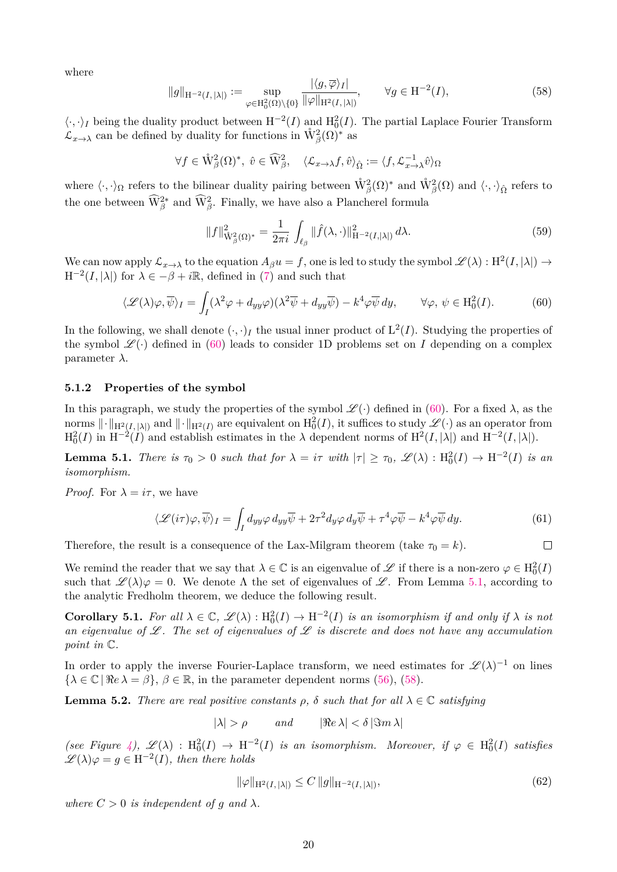where

<span id="page-19-3"></span>
$$
||g||_{\mathcal{H}^{-2}(I,|\lambda|)} := \sup_{\varphi \in \mathcal{H}_0^2(\Omega) \setminus \{0\}} \frac{|\langle g, \overline{\varphi} \rangle_I|}{\|\varphi\|_{\mathcal{H}^2(I,|\lambda|)}}, \qquad \forall g \in \mathcal{H}^{-2}(I),
$$
\n(58)

 $\langle \cdot, \cdot \rangle_I$  being the duality product between  $H^{-2}(I)$  and  $H_0^2(I)$ . The partial Laplace Fourier Transform  $\mathcal{L}_{x\to\lambda}$  can be defined by duality for functions in  $\mathring{W}^2_{\beta}(\Omega)^*$  as

$$
\forall f \in \mathring{\mathbb{W}}^2_{\beta}(\Omega)^*, \ \hat{v} \in \widehat{\mathbb{W}}^2_{\beta}, \quad \langle \mathcal{L}_{x \to \lambda} f, \hat{v} \rangle_{\hat{\Omega}} := \langle f, \mathcal{L}_{x \to \lambda}^{-1} \hat{v} \rangle_{\Omega}
$$

where  $\langle \cdot, \cdot \rangle_{\Omega}$  refers to the bilinear duality pairing between  $\mathring{W}^2_{\beta}(\Omega)$ <sup>\*</sup> and  $\mathring{W}^2_{\beta}(\Omega)$  and  $\langle \cdot, \cdot \rangle_{\hat{\Omega}}$  refers to the one between  $\widehat{W}^{2*}_{\beta}$  and  $\widehat{W}^{2}_{\beta}$ . Finally, we have also a Plancherel formula

<span id="page-19-7"></span>
$$
||f||_{\mathring{W}_{\beta}^{2}(\Omega)^{*}}^{2} = \frac{1}{2\pi i} \int_{\ell_{\beta}} ||\hat{f}(\lambda,\cdot)||_{H^{-2}(I,|\lambda|)}^{2} d\lambda. \tag{59}
$$

We can now apply  $\mathcal{L}_{x\to\lambda}$  to the equation  $A_\beta u = f$ , one is led to study the symbol  $\mathscr{L}(\lambda) : H^2(I, |\lambda|) \to$  $H^{-2}(I, |\lambda|)$  for  $\lambda \in -\beta + i\mathbb{R}$ , defined in [\(7\)](#page-4-5) and such that

<span id="page-19-2"></span>
$$
\langle \mathcal{L}(\lambda)\varphi, \overline{\psi} \rangle_I = \int_I (\lambda^2 \varphi + d_{yy}\varphi) (\lambda^2 \overline{\psi} + d_{yy} \overline{\psi}) - k^4 \varphi \overline{\psi} dy, \qquad \forall \varphi, \psi \in \mathcal{H}_0^2(I). \tag{60}
$$

In the following, we shall denote  $(\cdot, \cdot)_I$  the usual inner product of  $L^2(I)$ . Studying the properties of the symbol  $\mathscr{L}(\cdot)$  defined in [\(60\)](#page-19-2) leads to consider 1D problems set on *I* depending on a complex parameter *λ*.

#### **5.1.2 Properties of the symbol**

In this paragraph, we study the properties of the symbol  $\mathscr{L}(\cdot)$  defined in [\(60\)](#page-19-2). For a fixed  $\lambda$ , as the norms  $\|\cdot\|_{\mathrm{H}^2(I, |\lambda|)}$  and  $\|\cdot\|_{\mathrm{H}^2(I)}$  are equivalent on  $\mathrm{H}_0^2(I)$ , it suffices to study  $\mathscr{L}(\cdot)$  as an operator from  $H_0^2(I)$  in  $H^{-2}(I)$  and establish estimates in the  $\lambda$  dependent norms of  $H^2(I, |\lambda|)$  and  $H^{-2}(I, |\lambda|)$ .

<span id="page-19-0"></span>**Lemma 5.1.** *There is*  $\tau_0 > 0$  *such that for*  $\lambda = i\tau$  *with*  $|\tau| \geq \tau_0$ ,  $\mathscr{L}(\lambda) : H_0^2(I) \to H^{-2}(I)$  *is an isomorphism.*

*Proof.* For  $\lambda = i\tau$ , we have

<span id="page-19-5"></span>
$$
\langle \mathcal{L}(i\tau)\varphi, \overline{\psi}\rangle_I = \int_I d_{yy}\varphi \, d_{yy}\overline{\psi} + 2\tau^2 d_y\varphi \, d_y\overline{\psi} + \tau^4 \varphi \overline{\psi} - k^4 \varphi \overline{\psi} \, d_y. \tag{61}
$$

Therefore, the result is a consequence of the Lax-Milgram theorem (take  $\tau_0 = k$ ).  $\Box$ 

We remind the reader that we say that  $\lambda \in \mathbb{C}$  is an eigenvalue of  $\mathscr{L}$  if there is a non-zero  $\varphi \in H_0^2(I)$ such that  $\mathscr{L}(\lambda)\varphi = 0$ . We denote  $\Lambda$  the set of eigenvalues of  $\mathscr{L}$ . From Lemma [5.1,](#page-19-0) according to the analytic Fredholm theorem, we deduce the following result.

<span id="page-19-1"></span>**Corollary 5.1.** For all  $\lambda \in \mathbb{C}$ ,  $\mathscr{L}(\lambda) : H_0^2(I) \to H^{-2}(I)$  is an isomorphism if and only if  $\lambda$  is not *an eigenvalue of* L *. The set of eigenvalues of* L *is discrete and does not have any accumulation point in* C*.*

In order to apply the inverse Fourier-Laplace transform, we need estimates for  $\mathscr{L}(\lambda)^{-1}$  on lines  $\{\lambda \in \mathbb{C} \mid \Re e \lambda = \beta\}, \beta \in \mathbb{R}$ , in the parameter dependent norms [\(56\)](#page-18-1), [\(58\)](#page-19-3).

<span id="page-19-4"></span>**Lemma 5.2.** *There are real positive constants*  $\rho$ ,  $\delta$  *such that for all*  $\lambda \in \mathbb{C}$  *satisfying* 

 $|\lambda| > \rho$  *and*  $|\Re e \lambda| < \delta |\Im m \lambda|$ 

 $(see Figure 4), \mathscr{L}(\lambda) : H_0^2(I) \to H^{-2}(I)$  $(see Figure 4), \mathscr{L}(\lambda) : H_0^2(I) \to H^{-2}(I)$  $(see Figure 4), \mathscr{L}(\lambda) : H_0^2(I) \to H^{-2}(I)$  *is an isomorphism. Moreover, if*  $\varphi \in H_0^2(I)$  *satisfies*  $\mathscr{L}(\lambda)\varphi = g \in H^{-2}(I)$ , then there holds

<span id="page-19-6"></span>
$$
\|\varphi\|_{\mathcal{H}^2(I, |\lambda|)} \le C \, \|g\|_{\mathcal{H}^{-2}(I, |\lambda|)},\tag{62}
$$

*where*  $C > 0$  *is independent of q and*  $\lambda$ *.*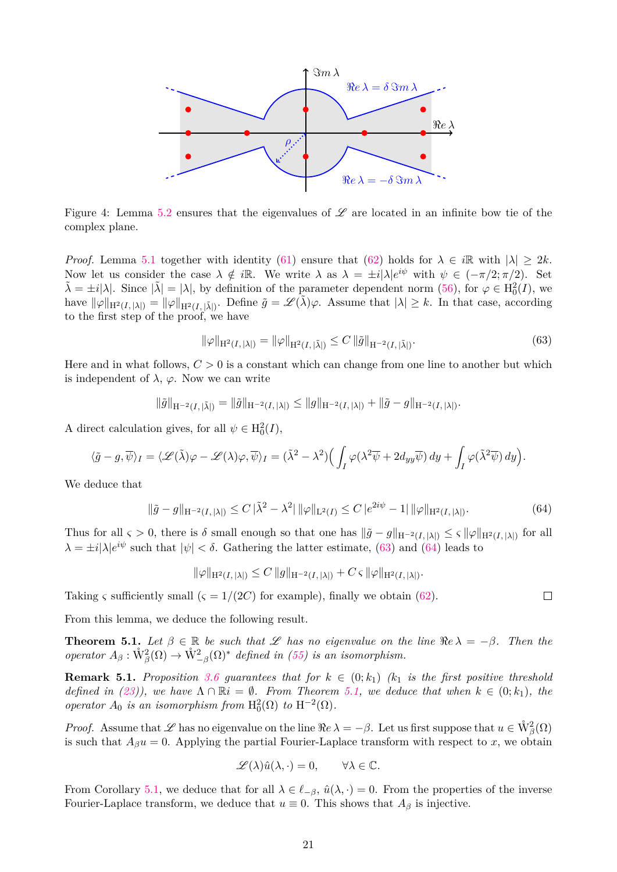

<span id="page-20-0"></span>Figure 4: Lemma [5.2](#page-19-4) ensures that the eigenvalues of  $\mathscr L$  are located in an infinite bow tie of the complex plane.

*Proof.* Lemma [5.1](#page-19-0) together with identity [\(61\)](#page-19-5) ensure that [\(62\)](#page-19-6) holds for  $\lambda \in i\mathbb{R}$  with  $|\lambda| \geq 2k$ . Now let us consider the case  $\lambda \notin i\mathbb{R}$ . We write  $\lambda$  as  $\lambda = \pm i|\lambda|e^{i\psi}$  with  $\psi \in (-\pi/2; \pi/2)$ . Set  $\tilde{\lambda} = \pm i|\lambda|$ . Since  $|\tilde{\lambda}| = |\lambda|$ , by definition of the parameter dependent norm [\(56\)](#page-18-1), for  $\varphi \in \mathrm{H}_0^2(I)$ , we have  $\|\varphi\|_{\mathcal{H}^2(I, |\lambda|)} = \|\varphi\|_{\mathcal{H}^2(I, |\tilde{\lambda}|)}$ . Define  $\tilde{g} = \mathscr{L}(\tilde{\lambda})\varphi$ . Assume that  $|\lambda| \geq k$ . In that case, according to the first step of the proof, we have

<span id="page-20-1"></span>
$$
\|\varphi\|_{\mathcal{H}^2(I, |\lambda|)} = \|\varphi\|_{\mathcal{H}^2(I, |\tilde{\lambda}|)} \le C \|\tilde{g}\|_{\mathcal{H}^{-2}(I, |\tilde{\lambda}|)}.
$$
\n(63)

Here and in what follows, *C >* 0 is a constant which can change from one line to another but which is independent of  $\lambda$ ,  $\varphi$ . Now we can write

$$
\|\tilde{g}\|_{H^{-2}(I, |\tilde{\lambda}|)} = \|\tilde{g}\|_{H^{-2}(I, |\lambda|)} \le \|g\|_{H^{-2}(I, |\lambda|)} + \|\tilde{g} - g\|_{H^{-2}(I, |\lambda|)}.
$$

A direct calculation gives, for all  $\psi \in \mathrm{H}_0^2(I)$ ,

$$
\langle \tilde{g} - g, \overline{\psi} \rangle_I = \langle \mathscr{L}(\tilde{\lambda}) \varphi - \mathscr{L}(\lambda) \varphi, \overline{\psi} \rangle_I = (\tilde{\lambda}^2 - \lambda^2) \Big( \int_I \varphi(\lambda^2 \overline{\psi} + 2d_{yy} \overline{\psi}) dy + \int_I \varphi(\tilde{\lambda}^2 \overline{\psi}) dy \Big).
$$

We deduce that

<span id="page-20-2"></span>
$$
\|\tilde{g} - g\|_{\mathcal{H}^{-2}(I, |\lambda|)} \le C \|\tilde{\lambda}^2 - \lambda^2\| \|\varphi\|_{\mathcal{L}^2(I)} \le C \|e^{2i\psi} - 1\| \|\varphi\|_{\mathcal{H}^2(I, |\lambda|)}.
$$
\n(64)

Thus for all  $\varsigma > 0$ , there is  $\delta$  small enough so that one has  $\|\tilde{g} - g\|_{H^{-2}(I, |\lambda|)} \leq \varsigma \|\varphi\|_{H^2(I, |\lambda|)}$  for all  $\lambda = \pm i |\lambda| e^{i\psi}$  such that  $|\psi| < \delta$ . Gathering the latter estimate, [\(63\)](#page-20-1) and [\(64\)](#page-20-2) leads to

$$
\|\varphi\|_{\mathrm{H}^2(I, |\lambda|)} \leq C \|g\|_{\mathrm{H}^{-2}(I, |\lambda|)} + C \,\varsigma \, \|\varphi\|_{\mathrm{H}^2(I, |\lambda|)}.
$$

Taking *ς* sufficiently small  $\zeta = 1/(2C)$  for example), finally we obtain [\(62\)](#page-19-6).

From this lemma, we deduce the following result.

<span id="page-20-3"></span>**Theorem 5.1.** Let  $\beta \in \mathbb{R}$  be such that L has no eigenvalue on the line  $\Re e \lambda = -\beta$ . Then the *operator*  $A_{\beta}: \mathring{W}_{\beta}^{2}(\Omega) \rightarrow \mathring{W}_{-\beta}^{2}(\Omega)^{*}$  *defined in [\(55\)](#page-18-2) is an isomorphism.* 

<span id="page-20-4"></span>**Remark 5.1.** Proposition [3.6](#page-8-0) quarantees that for  $k \in (0; k_1)$   $(k_1$  is the first positive threshold *defined in [\(23\)](#page-7-5)), we have*  $\Lambda \cap \mathbb{R}i = \emptyset$ *. From Theorem [5.1,](#page-20-3) we deduce that when*  $k \in (0; k_1)$ *, the operator*  $A_0$  *is an isomorphism from*  $H_0^2(\Omega)$  *to*  $H^{-2}(\Omega)$ *.* 

*Proof.* Assume that  $\mathscr L$  has no eigenvalue on the line  $\Re e \lambda = -\beta$ . Let us first suppose that  $u \in \mathring{W}^2_{\beta}(\Omega)$ is such that  $A_{\beta}u = 0$ . Applying the partial Fourier-Laplace transform with respect to *x*, we obtain

$$
\mathscr{L}(\lambda)\hat{u}(\lambda,\cdot)=0, \qquad \forall \lambda \in \mathbb{C}.
$$

From Corollary [5.1,](#page-19-1) we deduce that for all  $\lambda \in \ell_{-\beta}$ ,  $\hat{u}(\lambda, \cdot) = 0$ . From the properties of the inverse Fourier-Laplace transform, we deduce that  $u \equiv 0$ . This shows that  $A_\beta$  is injective.

 $\Box$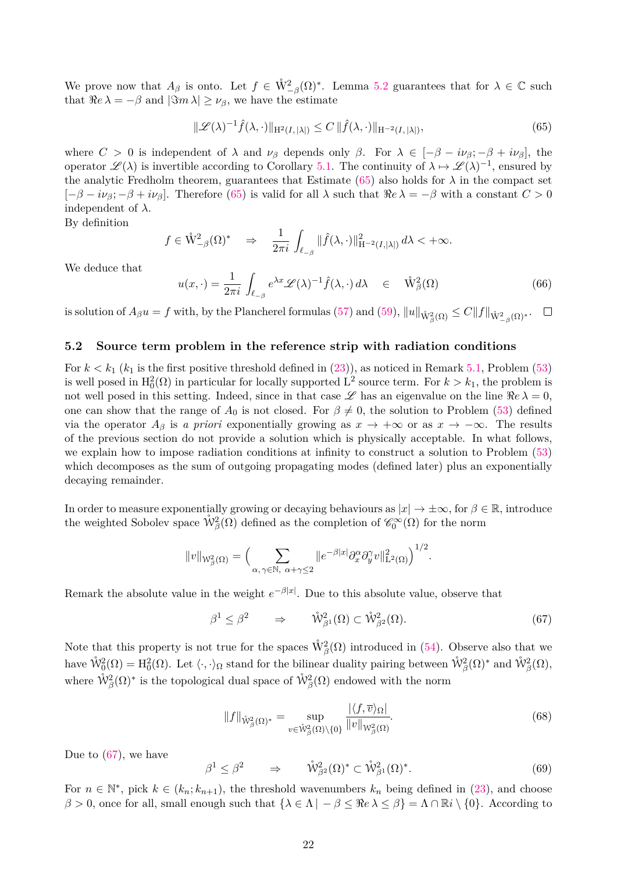We prove now that  $A_{\beta}$  is onto. Let  $f \in \mathring{W}^2_{-\beta}(\Omega)^*$ . Lemma [5.2](#page-19-4) guarantees that for  $\lambda \in \mathbb{C}$  such that  $\Re e \lambda = -\beta$  and  $|\Im m \lambda| \geq \nu_{\beta}$ , we have the estimate

<span id="page-21-0"></span>
$$
\|\mathcal{L}(\lambda)^{-1}\hat{f}(\lambda,\cdot)\|_{\mathcal{H}^2(I,|\lambda|)} \le C \|\hat{f}(\lambda,\cdot)\|_{\mathcal{H}^{-2}(I,|\lambda|)},\tag{65}
$$

where  $C > 0$  is independent of  $\lambda$  and  $\nu_{\beta}$  depends only  $\beta$ . For  $\lambda \in [-\beta - i\nu_{\beta}; -\beta + i\nu_{\beta}]$ , the operator  $\mathscr{L}(\lambda)$  is invertible according to Corollary [5.1.](#page-19-1) The continuity of  $\lambda \mapsto \mathscr{L}(\lambda)^{-1}$ , ensured by the analytic Fredholm theorem, guarantees that Estimate [\(65\)](#page-21-0) also holds for  $\lambda$  in the compact set  $[-\beta - i\nu_\beta; -\beta + i\nu_\beta]$ . Therefore [\(65\)](#page-21-0) is valid for all  $\lambda$  such that  $\Re e \lambda = -\beta$  with a constant  $C > 0$ independent of *λ*.

By definition

$$
f\in \mathring{\mathcal{W}}^2_{-\beta}(\Omega)^*\quad \Rightarrow \quad \frac{1}{2\pi i}\,\int_{\ell_{-\beta}}\|\widehat{f}(\lambda,\cdot)\|^2_{{\rm H}^{-2}(I,|\lambda|)}\,d\lambda <+\infty.
$$

We deduce that

<span id="page-21-2"></span>
$$
u(x,\cdot) = \frac{1}{2\pi i} \int_{\ell_{-\beta}} e^{\lambda x} \mathcal{L}(\lambda)^{-1} \hat{f}(\lambda,\cdot) d\lambda \quad \in \quad \mathring{W}^2_{\beta}(\Omega) \tag{66}
$$

 $\int_{\mathbb{R}}^{\mathbb{R}} |\mathbf{z}| \, d\mathbf{z} = \int_{\mathbb{R}}^{\mathbb{R}} |\mathbf{z}| \, d\mathbf{z}$  and  $\int_{\mathbb{R}}^{\mathbb{R}} |\mathbf{z}| \, d\mathbf{z} = \int_{\mathbb{R}}^{\mathbb{R}} |\mathbf{z}| \, d\mathbf{z} = \int_{\mathbb{R}}^{\mathbb{R}} |\mathbf{z}| \, d\mathbf{z} = \int_{\mathbb{R}}^{\mathbb{R}} |\mathbf{z}| \, d\mathbf{z} = \int_{\mathbb{R}}^{\mathbb{R}} |\mathbf{z}|$  $\Box$ 

#### **5.2 Source term problem in the reference strip with radiation conditions**

For  $k < k_1$  ( $k_1$  is the first positive threshold defined in [\(23\)](#page-7-5)), as noticed in Remark [5.1,](#page-20-4) Problem [\(53\)](#page-17-3) is well posed in  $H_0^2(\Omega)$  in particular for locally supported L<sup>2</sup> source term. For  $k > k_1$ , the problem is not well posed in this setting. Indeed, since in that case  $\mathscr L$  has an eigenvalue on the line  $\Re e \lambda = 0$ , one can show that the range of  $A_0$  is not closed. For  $\beta \neq 0$ , the solution to Problem [\(53\)](#page-17-3) defined via the operator  $A_\beta$  is *a priori* exponentially growing as  $x \to +\infty$  or as  $x \to -\infty$ . The results of the previous section do not provide a solution which is physically acceptable. In what follows, we explain how to impose radiation conditions at infinity to construct a solution to Problem [\(53\)](#page-17-3) which decomposes as the sum of outgoing propagating modes (defined later) plus an exponentially decaying remainder.

In order to measure exponentially growing or decaying behaviours as  $|x| \to \pm \infty$ , for  $\beta \in \mathbb{R}$ , introduce the weighted Sobolev space  $\mathring{W}^2_{\beta}(\Omega)$  defined as the completion of  $\mathscr{C}_0^{\infty}(\Omega)$  for the norm

$$
||v||_{W_{\beta}^{2}(\Omega)} = \Big(\sum_{\alpha,\gamma \in \mathbb{N}, \ \alpha + \gamma \leq 2} ||e^{-\beta|x|} \partial_{x}^{\alpha} \partial_{y}^{\gamma} v||_{\mathcal{L}^{2}(\Omega)}^{2}\Big)^{1/2}.
$$

Remark the absolute value in the weight  $e^{-\beta|x|}$ . Due to this absolute value, observe that

<span id="page-21-1"></span>
$$
\beta^1 \le \beta^2 \qquad \Rightarrow \qquad \mathring{\mathcal{W}}^2_{\beta^1}(\Omega) \subset \mathring{\mathcal{W}}^2_{\beta^2}(\Omega). \tag{67}
$$

Note that this property is not true for the spaces  $\mathring{W}^2_{\beta}(\Omega)$  introduced in [\(54\)](#page-18-4). Observe also that we have  $\mathring{W}^2_0(\Omega) = H^2_0(\Omega)$ . Let  $\langle \cdot, \cdot \rangle_{\Omega}$  stand for the bilinear duality pairing between  $\mathring{W}^2_{\beta}(\Omega)^*$  and  $\mathring{W}^2_{\beta}(\Omega)$ , where  $\mathring{\mathcal{W}}^2_{\beta}(\Omega)^*$  is the topological dual space of  $\mathring{\mathcal{W}}^2_{\beta}(\Omega)$  endowed with the norm

<span id="page-21-3"></span>
$$
||f||_{\mathring{W}^2_{\beta}(\Omega)^*} = \sup_{v \in \mathring{W}^2_{\beta}(\Omega) \setminus \{0\}} \frac{|\langle f, \overline{v} \rangle_{\Omega}|}{||v||_{W^2_{\beta}(\Omega)}}.
$$
(68)

Due to [\(67\)](#page-21-1), we have

$$
\beta^1 \le \beta^2 \qquad \Rightarrow \qquad \mathring{\mathcal{W}}^2_{\beta^2}(\Omega)^* \subset \mathring{\mathcal{W}}^2_{\beta^1}(\Omega)^*.
$$

For  $n \in \mathbb{N}^*$ , pick  $k \in (k_n; k_{n+1})$ , the threshold wavenumbers  $k_n$  being defined in [\(23\)](#page-7-5), and choose *β* > 0, once for all, small enough such that  $\{\lambda \in \Lambda \mid -\beta \leq \Re e \lambda \leq \beta\} = \Lambda \cap \mathbb{R}i \setminus \{0\}$ . According to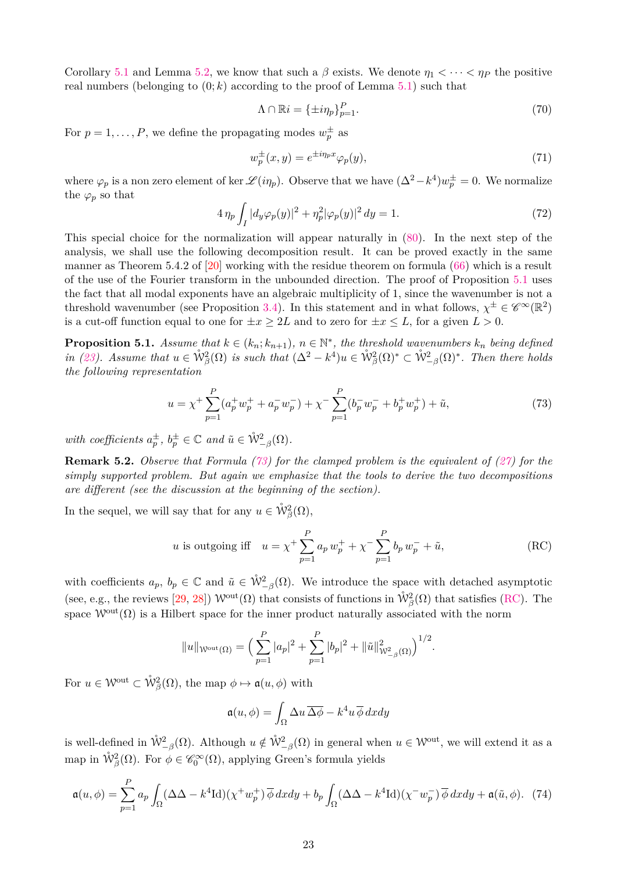Corollary [5.1](#page-19-1) and Lemma [5.2,](#page-19-4) we know that such a  $\beta$  exists. We denote  $\eta_1 < \cdots < \eta_P$  the positive real numbers (belonging to  $(0; k)$  according to the proof of Lemma [5.1\)](#page-19-0) such that

<span id="page-22-5"></span>
$$
\Lambda \cap \mathbb{R}i = \{\pm i\eta_p\}_{p=1}^P. \tag{70}
$$

For  $p = 1, \ldots, P$ , we define the propagating modes  $w_p^{\pm}$  as

<span id="page-22-6"></span>
$$
w_p^{\pm}(x,y) = e^{\pm i\eta_p x} \varphi_p(y),\tag{71}
$$

where  $\varphi_p$  is a non zero element of ker  $\mathscr{L}(i\eta_p)$ . Observe that we have  $(\Delta^2 - k^4)w_p^{\pm} = 0$ . We normalize the  $\varphi_p$  so that

<span id="page-22-4"></span>
$$
4\,\eta_p \int_I |d_y \varphi_p(y)|^2 + \eta_p^2 |\varphi_p(y)|^2 \, dy = 1. \tag{72}
$$

This special choice for the normalization will appear naturally in [\(80\)](#page-24-0). In the next step of the analysis, we shall use the following decomposition result. It can be proved exactly in the same manner as Theorem 5.4.2 of [\[20\]](#page-35-12) working with the residue theorem on formula [\(66\)](#page-21-2) which is a result of the use of the Fourier transform in the unbounded direction. The proof of Proposition [5.1](#page-22-0) uses the fact that all modal exponents have an algebraic multiplicity of 1, since the wavenumber is not a threshold wavenumber (see Proposition [3.4\)](#page-6-3). In this statement and in what follows,  $\chi^{\pm} \in \mathscr{C}^{\infty}(\mathbb{R}^2)$ is a cut-off function equal to one for  $\pm x \geq 2L$  and to zero for  $\pm x \leq L$ , for a given  $L > 0$ .

<span id="page-22-0"></span>**Proposition 5.1.** *Assume that*  $k \in (k_n; k_{n+1})$ *,*  $n \in \mathbb{N}^*$ *, the threshold wavenumbers*  $k_n$  *being defined in* [\(23\)](#page-7-5)*.* Assume that  $u \in \mathring{W}^2_{\beta}(\Omega)$  *is such that*  $(\Delta^2 - k^4)u \in \mathring{W}^2_{\beta}(\Omega)^* \subset \mathring{W}^2_{-\beta}(\Omega)^*$ *. Then there holds the following representation*

<span id="page-22-1"></span>
$$
u = \chi^{+} \sum_{p=1}^{P} (a_p^{+} w_p^{+} + a_p^{-} w_p^{-}) + \chi^{-} \sum_{p=1}^{P} (b_p^{-} w_p^{-} + b_p^{+} w_p^{+}) + \tilde{u}, \tag{73}
$$

 $with \ coefficients \ a_p^{\pm}, \ b_p^{\pm} \in \mathbb{C} \ and \ \tilde{u} \in \mathring{\mathcal{W}}^2_{-\beta}(\Omega).$ 

**Remark 5.2.** *Observe that Formula [\(73\)](#page-22-1) for the clamped problem is the equivalent of [\(27\)](#page-9-0) for the simply supported problem. But again we emphasize that the tools to derive the two decompositions are different (see the discussion at the beginning of the section).*

In the sequel, we will say that for any  $u \in \mathring{\mathcal{W}}^2_{\beta}(\Omega)$ ,

<span id="page-22-3"></span>*u* is outgoing iff 
$$
u = \chi^+ \sum_{p=1}^P a_p w_p^+ + \chi^- \sum_{p=1}^P b_p w_p^- + \tilde{u},
$$
 (RC)

with coefficients  $a_p$ ,  $b_p \in \mathbb{C}$  and  $\tilde{u} \in \mathring{W}_{-\beta}^2(\Omega)$ . We introduce the space with detached asymptotic (see, e.g., the reviews [\[29,](#page-35-15) [28\]](#page-35-16))  $\mathcal{W}^{\text{out}}(\Omega)$  that consists of functions in  $\mathring{\mathcal{W}}^2_{\beta}(\Omega)$  that satisfies [\(RC\)](#page-22-2). The space  $W<sup>out</sup>(\Omega)$  is a Hilbert space for the inner product naturally associated with the norm

$$
||u||_{\mathcal{W}^{\text{out}}(\Omega)} = \Big(\sum_{p=1}^{P} |a_p|^2 + \sum_{p=1}^{P} |b_p|^2 + ||\tilde{u}||^2_{\mathcal{W}^2_{-\beta}(\Omega)}\Big)^{1/2}.
$$

For  $u \in \mathcal{W}^{\text{out}} \subset \mathring{\mathcal{W}}^2_{\beta}(\Omega)$ , the map  $\phi \mapsto \mathfrak{a}(u, \phi)$  with

<span id="page-22-2"></span>
$$
\mathfrak{a}(u,\phi) = \int_{\Omega} \Delta u \, \overline{\Delta \phi} - k^4 u \, \overline{\phi} \, dx dy
$$

is well-defined in  $\mathring{W}_{-\beta}^2(\Omega)$ . Although  $u \notin \mathring{W}_{-\beta}^2(\Omega)$  in general when  $u \in \mathcal{W}^{out}$ , we will extend it as a map in  $\mathring{W}^2_{\beta}(\Omega)$ . For  $\phi \in \mathscr{C}_0^{\infty}(\Omega)$ , applying Green's formula yields

$$
\mathfrak{a}(u,\phi) = \sum_{p=1}^{P} a_p \int_{\Omega} (\Delta \Delta - k^4 \text{Id})(\chi^+ w_p^+) \, \overline{\phi} \, dx dy + b_p \int_{\Omega} (\Delta \Delta - k^4 \text{Id})(\chi^- w_p^-) \, \overline{\phi} \, dx dy + \mathfrak{a}(\tilde{u}, \phi). \tag{74}
$$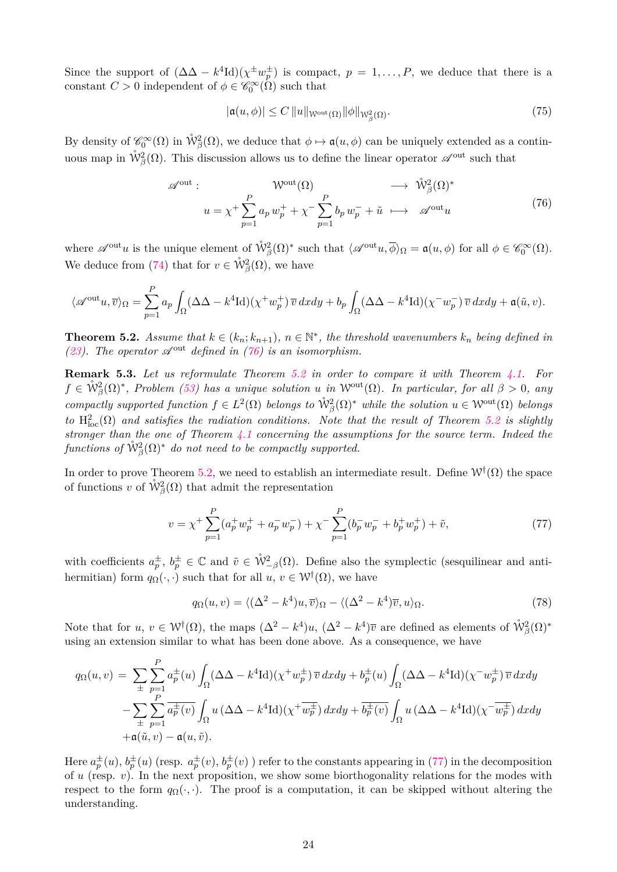Since the support of  $(\Delta \Delta - k^4 \text{Id})(\chi^{\pm} w_p^{\pm})$  is compact,  $p = 1, \ldots, P$ , we deduce that there is a constant  $C > 0$  independent of  $\phi \in \mathscr{C}_0^{\infty}(\Omega)$  such that

<span id="page-23-3"></span>
$$
|\mathfrak{a}(u,\phi)| \le C \|u\|_{\mathcal{W}^{\text{out}}(\Omega)} \|\phi\|_{\mathcal{W}^2_{\beta}(\Omega)}.
$$
\n
$$
(75)
$$

By density of  $\mathscr{C}_0^{\infty}(\Omega)$  in  $\mathring{W}^2_{\beta}(\Omega)$ , we deduce that  $\phi \mapsto \mathfrak{a}(u, \phi)$  can be uniquely extended as a continuous map in  $\mathring{W}^2_{\beta}(\Omega)$ . This discussion allows us to define the linear operator  $\mathscr{A}^{out}$  such that

<span id="page-23-0"></span>
$$
\mathscr{A}^{\text{out}}: \qquad \mathcal{W}^{\text{out}}(\Omega) \qquad \longrightarrow \hat{\mathcal{W}}^2_{\beta}(\Omega)^* \n u = \chi^+ \sum_{p=1}^P a_p w_p^+ + \chi^- \sum_{p=1}^P b_p w_p^- + \tilde{u} \longrightarrow \mathscr{A}^{\text{out}} u
$$
\n(76)

where  $\mathscr{A}^{\text{out}}u$  is the unique element of  $\mathring{W}^2_{\beta}(\Omega)^*$  such that  $\langle \mathscr{A}^{\text{out}}u, \overline{\phi} \rangle_{\Omega} = \mathfrak{a}(u, \phi)$  for all  $\phi \in \mathscr{C}_0^{\infty}(\Omega)$ . We deduce from [\(74\)](#page-22-3) that for  $v \in \mathring{\mathcal{W}}^2_{\beta}(\Omega)$ , we have

$$
\langle \mathscr{A}^{\mathrm{out}} u, \overline{v} \rangle_{\Omega} = \sum_{p=1}^{P} a_p \int_{\Omega} (\Delta \Delta - k^4 \mathrm{Id}) (\chi^+ w_p^+) \, \overline{v} \, dx dy + b_p \int_{\Omega} (\Delta \Delta - k^4 \mathrm{Id}) (\chi^- w_p^-) \, \overline{v} \, dx dy + \mathfrak{a}(\tilde{u}, v).
$$

<span id="page-23-1"></span>**Theorem 5.2.** *Assume that*  $k \in (k_n; k_{n+1})$ *,*  $n \in \mathbb{N}^*$ *, the threshold wavenumbers*  $k_n$  *being defined in [\(23\)](#page-7-5).* The operator  $\mathscr{A}^{out}$  defined in [\(76\)](#page-23-0) is an isomorphism.

**Remark 5.3.** *Let us reformulate Theorem [5.2](#page-23-1) in order to compare it with Theorem [4.1.](#page-14-3) For*  $f \in \mathring{\mathcal{W}}^2_{\beta}(\Omega)^*$ , Problem [\(53\)](#page-17-3) has a unique solution *u* in W<sup>out</sup>( $\Omega$ ). In particular, for all  $\beta > 0$ , any  $\text{compactly supported function } f \in L^2(\Omega) \text{ belongs to } \mathring{\mathcal{W}}^2_{\beta}(\Omega)^* \text{ while the solution } u \in \mathcal{W}^{\text{out}}(\Omega) \text{ belongs to } \mathring{\mathcal{W}}^{\text{out}}(\Omega)$  $\text{tr } H_{\text{loc}}^2(\Omega)$  and satisfies the radiation conditions. Note that the result of Theorem [5.2](#page-23-1) is slightly *stronger than the one of Theorem [4.1](#page-14-3) concerning the assumptions for the source term. Indeed the*  $\hat{p}_\beta$  *functions of*  $\mathring{\mathcal{W}}^2_\beta(\Omega)^*$  *do not need to be compactly supported.* 

In order to prove Theorem [5.2,](#page-23-1) we need to establish an intermediate result. Define  $W^{\dagger}(\Omega)$  the space of functions *v* of  $\mathring{\mathcal{W}}^2_{\beta}(\Omega)$  that admit the representation

<span id="page-23-2"></span>
$$
v = \chi^{+} \sum_{p=1}^{P} (a_p^{+} w_p^{+} + a_p^{-} w_p^{-}) + \chi^{-} \sum_{p=1}^{P} (b_p^{-} w_p^{-} + b_p^{+} w_p^{+}) + \tilde{v}, \tag{77}
$$

with coefficients  $a_p^{\pm}, b_p^{\pm} \in \mathbb{C}$  and  $\tilde{v} \in \mathring{W}^2_{-\beta}(\Omega)$ . Define also the symplectic (sesquilinear and antihermitian) form  $q_{\Omega}(\cdot, \cdot)$  such that for all  $u, v \in \mathcal{W}^{\dagger}(\Omega)$ , we have

<span id="page-23-4"></span>
$$
q_{\Omega}(u,v) = \langle (\Delta^2 - k^4)u, \overline{v} \rangle_{\Omega} - \langle (\Delta^2 - k^4) \overline{v}, u \rangle_{\Omega}.
$$
 (78)

Note that for  $u, v \in \mathcal{W}^{\dagger}(\Omega)$ , the maps  $(\Delta^2 - k^4)u$ ,  $(\Delta^2 - k^4)\overline{v}$  are defined as elements of  $\mathring{\mathcal{W}}^2_{\beta}(\Omega)^*$ using an extension similar to what has been done above. As a consequence, we have

$$
q_{\Omega}(u,v) = \sum_{\pm} \sum_{p=1}^{P} a_p^{\pm}(u) \int_{\Omega} (\Delta \Delta - k^4 \text{Id})(\chi^+ w_p^{\pm}) \overline{v} \, dxdy + b_p^{\pm}(u) \int_{\Omega} (\Delta \Delta - k^4 \text{Id})(\chi^- w_p^{\pm}) \overline{v} \, dxdy
$$

$$
- \sum_{\pm} \sum_{p=1}^{P} \overline{a_p^{\pm}(v)} \int_{\Omega} u \, (\Delta \Delta - k^4 \text{Id})(\chi^+ \overline{w_p^{\pm}}) \, dxdy + \overline{b_p^{\pm}(v)} \int_{\Omega} u \, (\Delta \Delta - k^4 \text{Id})(\chi^- \overline{w_p^{\pm}}) \, dxdy
$$

$$
+ \mathfrak{a}(\tilde{u}, v) - \mathfrak{a}(u, \tilde{v}).
$$

Here  $a_p^{\pm}(u)$ ,  $b_p^{\pm}(u)$  (resp.  $a_p^{\pm}(v)$ ,  $b_p^{\pm}(v)$ ) refer to the constants appearing in [\(77\)](#page-23-2) in the decomposition of *u* (resp. *v*). In the next proposition, we show some biorthogonality relations for the modes with respect to the form  $q_{\Omega}(\cdot, \cdot)$ . The proof is a computation, it can be skipped without altering the understanding.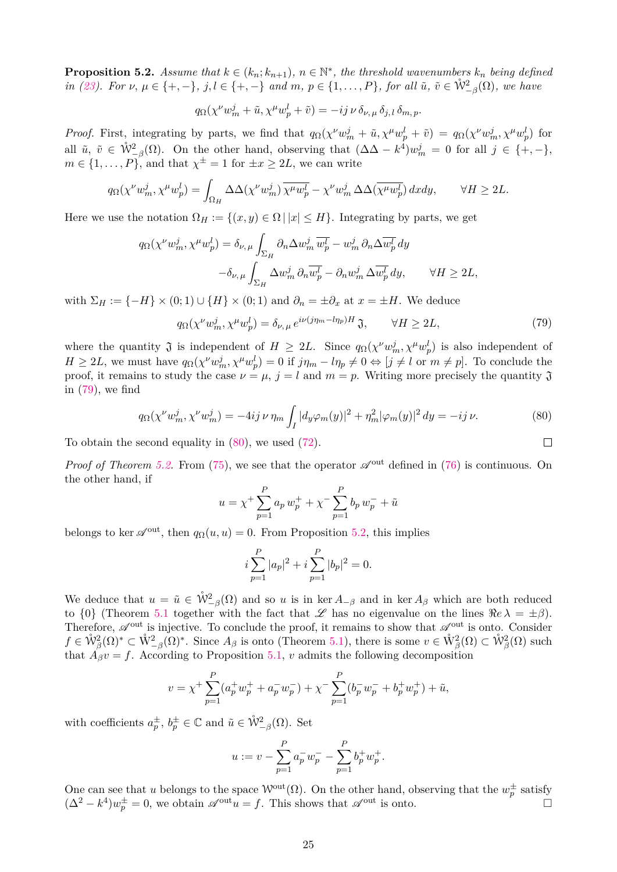<span id="page-24-2"></span>**Proposition 5.2.** Assume that  $k \in (k_n; k_{n+1})$ ,  $n \in \mathbb{N}^*$ , the threshold wavenumbers  $k_n$  being defined in [\(23\)](#page-7-5). For  $\nu, \mu \in \{+, -\}, j, l \in \{+, -\}$  and  $m, p \in \{1, ..., P\}$ , for all  $\tilde{u}, \tilde{v} \in \mathring{W}_{-\beta}^2(\Omega)$ , we have

$$
q_{\Omega}(\chi^{\nu}w_m^j + \tilde{u}, \chi^{\mu}w_p^l + \tilde{v}) = -ij \nu \delta_{\nu, \mu} \delta_{j, l} \delta_{m, p}.
$$

*Proof.* First, integrating by parts, we find that  $q_{\Omega}(\chi^{\nu}w_m^j + \tilde{u}, \chi^{\mu}w_p^l + \tilde{v}) = q_{\Omega}(\chi^{\nu}w_m^j, \chi^{\mu}w_p^l)$  for all  $\tilde{u}, \tilde{v} \in \mathring{W}_{-\beta}^2(\Omega)$ . On the other hand, observing that  $(\Delta \Delta - k^4)w_m^j = 0$  for all  $j \in \{+, -\},$  $m \in \{1, \ldots, P\}$ , and that  $\chi^{\pm} = 1$  for  $\pm x \geq 2L$ , we can write

$$
q_{\Omega}(\chi^{\nu}w_m^j, \chi^{\mu}w_p^l) = \int_{\Omega_H} \Delta\Delta(\chi^{\nu}w_m^j) \overline{\chi^{\mu}w_p^l} - \chi^{\nu}w_m^j \Delta\Delta(\overline{\chi^{\mu}w_p^l}) dx dy, \qquad \forall H \ge 2L.
$$

Here we use the notation  $\Omega_H := \{(x, y) \in \Omega \mid |x| \leq H\}$ . Integrating by parts, we get

$$
q_{\Omega}(\chi^{\nu}w_m^j, \chi^{\mu}w_p^l) = \delta_{\nu,\,\mu} \int_{\Sigma_H} \partial_n \Delta w_m^j \overline{w_p^l} - w_m^j \partial_n \Delta \overline{w_p^l} dy
$$

$$
- \delta_{\nu,\,\mu} \int_{\Sigma_H} \Delta w_m^j \partial_n \overline{w_p^l} - \partial_n w_m^j \Delta \overline{w_p^l} dy, \qquad \forall H \ge 2L,
$$

with  $\Sigma_H := \{-H\} \times (0, 1) \cup \{H\} \times (0, 1)$  and  $\partial_n = \pm \partial_x$  at  $x = \pm H$ . We deduce

<span id="page-24-1"></span>
$$
q_{\Omega}(\chi^{\nu}w_m^j, \chi^{\mu}w_p^l) = \delta_{\nu, \mu} e^{i\nu(j\eta_m - l\eta_p)H} \mathfrak{J}, \qquad \forall H \ge 2L,\tag{79}
$$

where the quantity  $\mathfrak{J}$  is independent of  $H \geq 2L$ . Since  $q_{\Omega}(\chi^{\nu}w_m^j, \chi^{\mu}w_p^l)$  is also independent of  $H \ge 2L$ , we must have  $q_{\Omega}(\chi^{\nu}w_m^j, \chi^{\mu}w_p^l) = 0$  if  $j\eta_m - l\eta_p \ne 0 \Leftrightarrow [j \ne l$  or  $m \ne p]$ . To conclude the proof, it remains to study the case  $\nu = \mu$ ,  $j = l$  and  $m = p$ . Writing more precisely the quantity  $\mathfrak{J}$ in [\(79\)](#page-24-1), we find

<span id="page-24-0"></span>
$$
q_{\Omega}(\chi^{\nu}w_m^j, \chi^{\nu}w_m^j) = -4ij \,\nu \,\eta_m \int_I |d_y \varphi_m(y)|^2 + \eta_m^2 |\varphi_m(y)|^2 \, dy = -ij \,\nu. \tag{80}
$$

To obtain the second equality in [\(80\)](#page-24-0), we used [\(72\)](#page-22-4).

*Proof of Theorem [5.2.](#page-23-1)* From [\(75\)](#page-23-3), we see that the operator  $\mathscr{A}^{out}$  defined in [\(76\)](#page-23-0) is continuous. On the other hand, if

$$
u = \chi^{+} \sum_{p=1}^{P} a_p w_p^{+} + \chi^{-} \sum_{p=1}^{P} b_p w_p^{-} + \tilde{u}
$$

belongs to ker  $\mathscr{A}^{out}$ , then  $q_{\Omega}(u, u) = 0$ . From Proposition [5.2,](#page-24-2) this implies

$$
i\sum_{p=1}^{P} |a_p|^2 + i\sum_{p=1}^{P} |b_p|^2 = 0.
$$

We deduce that  $u = \tilde{u} \in \mathring{W}_{-\beta}^2(\Omega)$  and so *u* is in ker  $A_{-\beta}$  and in ker  $A_{\beta}$  which are both reduced to  $\{0\}$  (Theorem [5.1](#page-20-3) together with the fact that  $\mathscr L$  has no eigenvalue on the lines  $\Re e \lambda = \pm \beta$ ). Therefore,  $\mathscr{A}^{\text{out}}$  is injective. To conclude the proof, it remains to show that  $\mathscr{A}^{\text{out}}$  is onto. Consider  $f \in \mathring{\mathcal{W}}^2_{\beta}(\Omega)^* \subset \mathring{\mathcal{W}}^2_{-\beta}(\Omega)^*$ . Since  $A_{\beta}$  is onto (Theorem [5.1\)](#page-20-3), there is some  $v \in \mathring{\mathcal{W}}^2_{\beta}(\Omega) \subset \mathring{\mathcal{W}}^2_{\beta}(\Omega)$  such that  $\hat{A}_{\beta}v = f$ . According to Proposition [5.1,](#page-22-0) *v* admits the following decomposition

$$
v = \chi^{+} \sum_{p=1}^{P} (a_p^{+} w_p^{+} + a_p^{-} w_p^{-}) + \chi^{-} \sum_{p=1}^{P} (b_p^{-} w_p^{-} + b_p^{+} w_p^{+}) + \tilde{u},
$$

with coefficients  $a_p^{\pm}, b_p^{\pm} \in \mathbb{C}$  and  $\tilde{u} \in \mathring{W}_{-\beta}^2(\Omega)$ . Set

$$
u := v - \sum_{p=1}^{P} a_p^{-} w_p^{-} - \sum_{p=1}^{P} b_p^{+} w_p^{+}.
$$

One can see that *u* belongs to the space  $W^{\text{out}}(\Omega)$ . On the other hand, observing that the  $w_p^{\pm}$  satisfy  $(\Delta^2 - k^4)w_p^{\pm} = 0$ , we obtain  $\mathscr{A}^{out}u = f$ . This shows that  $\mathscr{A}^{out}$  is onto.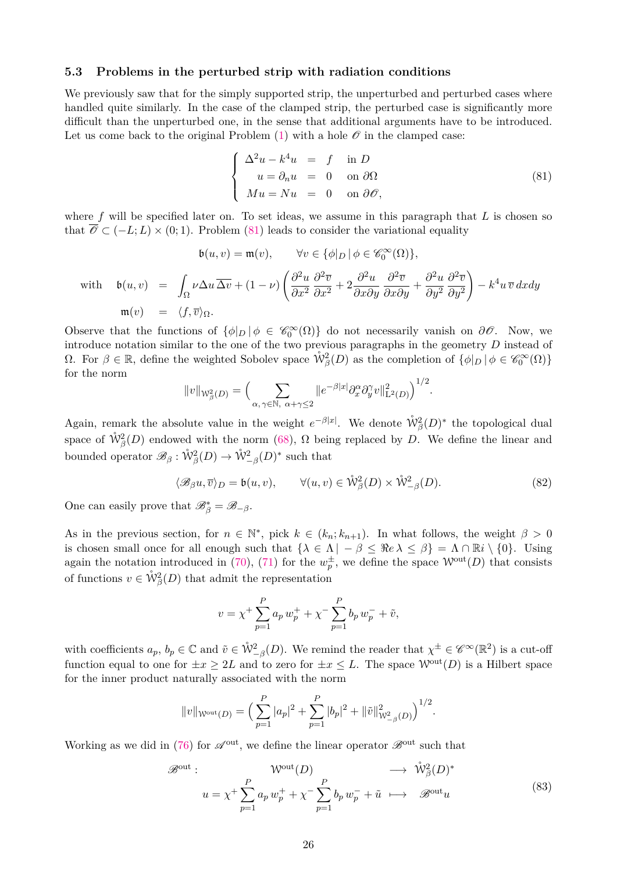#### **5.3 Problems in the perturbed strip with radiation conditions**

We previously saw that for the simply supported strip, the unperturbed and perturbed cases where handled quite similarly. In the case of the clamped strip, the perturbed case is significantly more difficult than the unperturbed one, in the sense that additional arguments have to be introduced. Let us come back to the original Problem  $(1)$  with a hole  $\mathcal O$  in the clamped case:

<span id="page-25-0"></span>
$$
\begin{cases}\n\Delta^2 u - k^4 u = f & \text{in } D \\
u = \partial_n u = 0 & \text{on } \partial \Omega \\
Mu = Nu = 0 & \text{on } \partial \mathcal{O},\n\end{cases}
$$
\n(81)

where f will be specified later on. To set ideas, we assume in this paragraph that L is chosen so that  $\mathscr{O} \subset (-L;L) \times (0;1)$ . Problem [\(81\)](#page-25-0) leads to consider the variational equality

$$
\mathfrak{b}(u,v) = \mathfrak{m}(v), \qquad \forall v \in \{\phi|_D | \phi \in \mathscr{C}_0^{\infty}(\Omega)\},
$$
  
with 
$$
\mathfrak{b}(u,v) = \int_{\Omega} \nu \Delta u \overline{\Delta v} + (1 - \nu) \left( \frac{\partial^2 u}{\partial x^2} \frac{\partial^2 \overline{v}}{\partial x^2} + 2 \frac{\partial^2 u}{\partial x \partial y} \frac{\partial^2 \overline{v}}{\partial x \partial y} + \frac{\partial^2 u}{\partial y^2} \frac{\partial^2 \overline{v}}{\partial y^2} \right) - k^4 u \overline{v} \, dx dy
$$
  

$$
\mathfrak{m}(v) = \langle f, \overline{v} \rangle_{\Omega}.
$$

Observe that the functions of  $\{\phi|_D | \phi \in \mathcal{C}_0^{\infty}(\Omega)\}\$  do not necessarily vanish on  $\partial\mathcal{O}$ . Now, we introduce notation similar to the one of the two previous paragraphs in the geometry *D* instead of  $\Omega$ . For  $\beta \in \mathbb{R}$ , define the weighted Sobolev space  $\mathring{W}^2_{\beta}(D)$  as the completion of  $\{\phi|_D \mid \phi \in \mathscr{C}_0^{\infty}(\Omega)\}$ for the norm

$$
||v||_{W_{\beta}^2(D)} = \Big(\sum_{\alpha,\gamma \in \mathbb{N}, \ \alpha + \gamma \le 2} ||e^{-\beta|x|} \partial_x^{\alpha} \partial_y^{\gamma} v||_{\mathcal{L}^2(D)}^2\Big)^{1/2}.
$$

Again, remark the absolute value in the weight  $e^{-\beta|x|}$ . We denote  $\mathring{W}_{\beta}^2(D)^*$  the topological dual space of  $\mathring{W}^2_{\beta}(D)$  endowed with the norm [\(68\)](#page-21-3),  $\Omega$  being replaced by *D*. We define the linear and bounded operator  $\mathscr{B}_{\beta}: \mathring{\mathcal{W}}^2_{\beta}(D) \to \mathring{\mathcal{W}}^2_{-\beta}(D)^*$  such that

$$
\langle \mathcal{B}_{\beta} u, \overline{v} \rangle_D = \mathfrak{b}(u, v), \qquad \forall (u, v) \in \mathring{\mathcal{W}}^2_{\beta}(D) \times \mathring{\mathcal{W}}^2_{-\beta}(D). \tag{82}
$$

One can easily prove that  $\mathscr{B}_{\beta}^* = \mathscr{B}_{-\beta}$ .

As in the previous section, for  $n \in \mathbb{N}^*$ , pick  $k \in (k_n; k_{n+1})$ . In what follows, the weight  $\beta > 0$ is chosen small once for all enough such that  $\{\lambda \in \Lambda \mid -\beta \leq \Re e \lambda \leq \beta\} = \Lambda \cap \mathbb{R}i \setminus \{0\}$ . Using again the notation introduced in [\(70\)](#page-22-5), [\(71\)](#page-22-6) for the  $w_p^{\pm}$ , we define the space  $\mathcal{W}^{out}(D)$  that consists of functions  $v \in \mathring{\mathcal{W}}^2_{\beta}(D)$  that admit the representation

$$
v = \chi^{+} \sum_{p=1}^{P} a_p w_p^{+} + \chi^{-} \sum_{p=1}^{P} b_p w_p^{-} + \tilde{v},
$$

with coefficients  $a_p, b_p \in \mathbb{C}$  and  $\tilde{v} \in \mathring{W}^2_{-\beta}(D)$ . We remind the reader that  $\chi^{\pm} \in \mathscr{C}^{\infty}(\mathbb{R}^2)$  is a cut-off function equal to one for  $\pm x > 2L$  and to zero for  $\pm x \leq L$ . The space  $\mathcal{W}^{out}(D)$  is a Hilbert space for the inner product naturally associated with the norm

$$
||v||_{\mathcal{W}^{\text{out}}(D)} = \Big(\sum_{p=1}^{P} |a_p|^2 + \sum_{p=1}^{P} |b_p|^2 + ||\tilde{v}||^2_{\mathcal{W}^2_{-\beta}(D)}\Big)^{1/2}.
$$

Working as we did in [\(76\)](#page-23-0) for  $\mathscr{A}^{\text{out}}$ , we define the linear operator  $\mathscr{B}^{\text{out}}$  such that

<span id="page-25-1"></span>
$$
\mathscr{B}^{\text{out}}: \qquad \mathcal{W}^{\text{out}}(D) \qquad \longrightarrow \hat{\mathcal{W}}_{\beta}^{2}(D)^{*}
$$
\n
$$
u = \chi^{+} \sum_{p=1}^{P} a_{p} w_{p}^{+} + \chi^{-} \sum_{p=1}^{P} b_{p} w_{p}^{-} + \tilde{u} \qquad \longrightarrow \qquad \mathscr{B}^{\text{out}} u \tag{83}
$$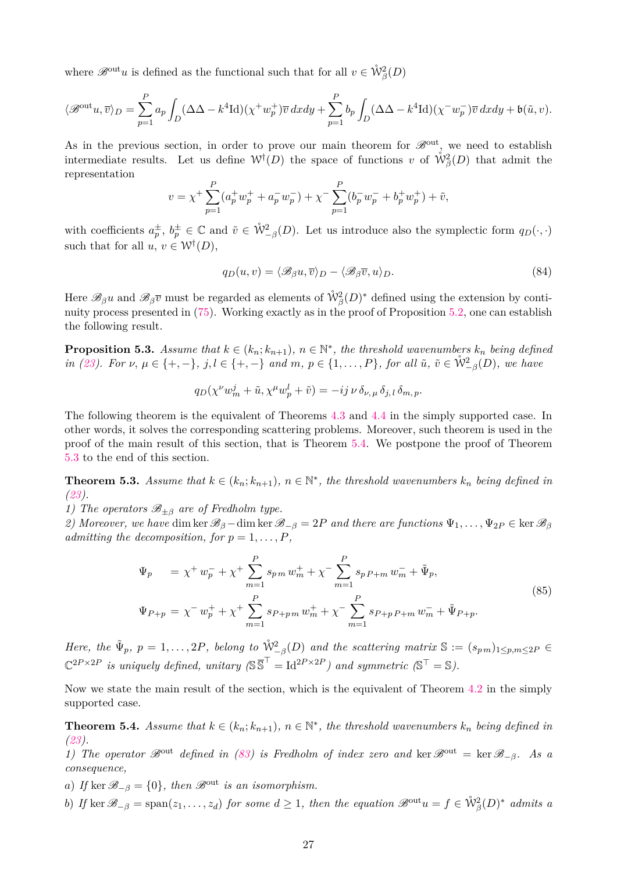where  $\mathscr{B}^{\text{out}}u$  is defined as the functional such that for all  $v \in \mathring{\mathcal{W}}^2_{\beta}(D)$ 

$$
\langle \mathscr{B}^{\mathrm{out}} u, \overline{v} \rangle_D = \sum_{p=1}^P a_p \int_D (\Delta \Delta - k^4 \mathrm{Id})(\chi^+ w_p^+) \overline{v} \, dx dy + \sum_{p=1}^P b_p \int_D (\Delta \Delta - k^4 \mathrm{Id})(\chi^- w_p^-) \overline{v} \, dx dy + \mathfrak{b}(\tilde{u}, v).
$$

As in the previous section, in order to prove our main theorem for  $\mathscr{B}^{out}$ , we need to establish intermediate results. Let us define  $W^{\dagger}(D)$  the space of functions *v* of  $\mathring{W}_{\beta}^{2}(D)$  that admit the representation

$$
v = \chi^{+} \sum_{p=1}^{P} (a_p^{+} w_p^{+} + a_p^{-} w_p^{-}) + \chi^{-} \sum_{p=1}^{P} (b_p^{-} w_p^{-} + b_p^{+} w_p^{+}) + \tilde{v},
$$

with coefficients  $a_p^{\pm}, b_p^{\pm} \in \mathbb{C}$  and  $\tilde{v} \in \mathring{W}_{-\beta}^2(D)$ . Let us introduce also the symplectic form  $q_D(\cdot, \cdot)$ such that for all  $u, v \in W^{\dagger}(D)$ ,

$$
q_D(u,v) = \langle \mathcal{B}_{\beta} u, \overline{v} \rangle_D - \langle \mathcal{B}_{\beta} \overline{v}, u \rangle_D. \tag{84}
$$

Here  $\mathscr{B}_{\beta}u$  and  $\mathscr{B}_{\beta}\overline{v}$  must be regarded as elements of  $\mathring{W}_{\beta}^2(D)^*$  defined using the extension by continuity process presented in [\(75\)](#page-23-3). Working exactly as in the proof of Proposition [5.2,](#page-24-2) one can establish the following result.

<span id="page-26-3"></span>**Proposition 5.3.** Assume that  $k \in (k_n; k_{n+1})$ ,  $n \in \mathbb{N}^*$ , the threshold wavenumbers  $k_n$  being defined in [\(23\)](#page-7-5). For  $\nu, \mu \in \{+, -\}, j, l \in \{+, -\}$  and  $m, p \in \{1, ..., P\}$ , for all  $\tilde{u}, \tilde{v} \in \mathring{W}^2_{-\beta}(D)$ , we have

$$
q_D(\chi^{\nu}w^j_m+\tilde{u},\chi^{\mu}w^l_p+\tilde{v})=-ij\,\nu\,\delta_{\nu,\,\mu}\,\delta_{j,\,l}\,\delta_{m,\,p}.
$$

The following theorem is the equivalent of Theorems [4.3](#page-16-4) and [4.4](#page-17-4) in the simply supported case. In other words, it solves the corresponding scattering problems. Moreover, such theorem is used in the proof of the main result of this section, that is Theorem [5.4.](#page-26-0) We postpone the proof of Theorem [5.3](#page-26-1) to the end of this section.

<span id="page-26-1"></span>**Theorem 5.3.** Assume that  $k \in (k_n; k_{n+1})$ ,  $n \in \mathbb{N}^*$ , the threshold wavenumbers  $k_n$  being defined in *[\(23\)](#page-7-5).*

*1) The operators*  $\mathcal{B}_{\pm \beta}$  *are of Fredholm type.* 

*2)* Moreover, we have dim ker  $\mathscr{B}_{\beta}$  – dim ker  $\mathscr{B}_{-\beta} = 2P$  and there are functions  $\Psi_1, \ldots, \Psi_{2P} \in \ker \mathscr{B}_{\beta}$ *admitting the decomposition, for*  $p = 1, \ldots, P$ *,* 

<span id="page-26-2"></span>
$$
\Psi_p = \chi^+ w_p^- + \chi^+ \sum_{m=1}^P s_{p\,m} w_m^+ + \chi^- \sum_{m=1}^P s_{p\,P+m} w_m^- + \tilde{\Psi}_p,
$$
  
\n
$$
\Psi_{P+p} = \chi^- w_p^+ + \chi^+ \sum_{m=1}^P s_{P+p\,m} w_m^+ + \chi^- \sum_{m=1}^P s_{P+p\,P+m} w_m^- + \tilde{\Psi}_{P+p}.
$$
\n(85)

*Here, the*  $\tilde{\Psi}_p$ ,  $p = 1, \ldots, 2P$ , belong to  $\mathring{W}_{-\beta}^2(D)$  and the scattering matrix  $\mathbb{S} := (s_{p,m})_{1 \leq p,m \leq 2P} \in$  $\mathbb{C}^{2P \times 2P}$  *is uniquely defined, unitary*  $(\mathbb{S}^{\overline{\mathbb{S}}^{\top}} = \text{Id}^{2P \times 2P})$  and symmetric  $(\mathbb{S}^{\top} = \mathbb{S})$ .

Now we state the main result of the section, which is the equivalent of Theorem [4.2](#page-15-0) in the simply supported case.

<span id="page-26-0"></span>**Theorem 5.4.** *Assume that*  $k \in (k_n; k_{n+1})$ *,*  $n \in \mathbb{N}^*$ *, the threshold wavenumbers*  $k_n$  *being defined in [\(23\)](#page-7-5).*

1) The operator  $\mathscr{B}^{out}$  defined in [\(83\)](#page-25-1) is Fredholm of index zero and ker  $\mathscr{B}^{out} = \ker \mathscr{B}_{-\beta}$ . As a *consequence,*

*a*) *If* ker  $\mathscr{B}_{-\beta} = \{0\}$ *, then*  $\mathscr{B}^{out}$  *is an isomorphism.* 

*b*) *If* ker  $\mathscr{B}_{-\beta} = \text{span}(z_1, \ldots, z_d)$  *for some*  $d \geq 1$ *, then the equation*  $\mathscr{B}^{\text{out}}u = f \in \mathring{\mathcal{W}}^2_{\beta}(D)^*$  *admits* a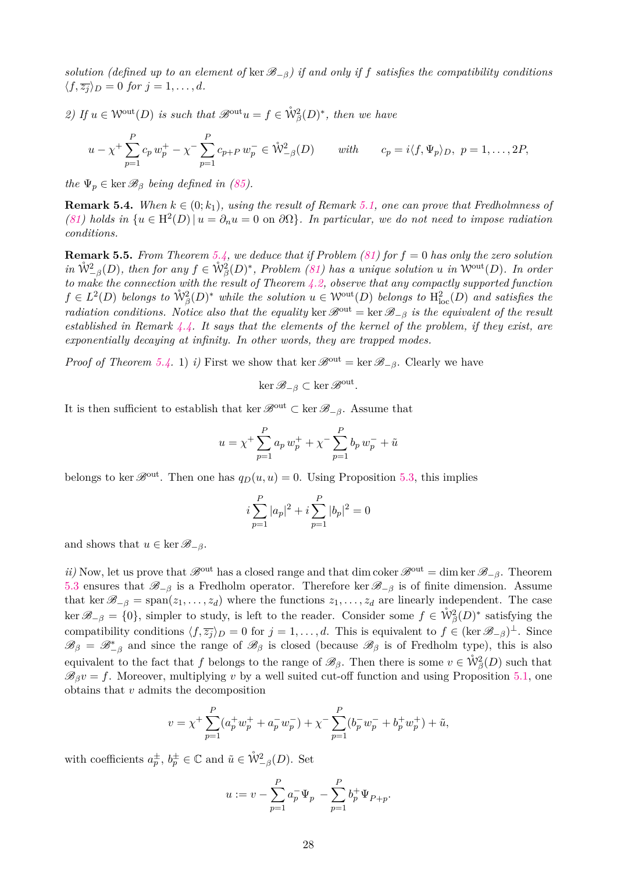*solution (defined up to an element of* ker  $\mathscr{B}_{-\beta}$ ) *if and only if f satisfies the compatibility conditions*  $\langle f, \overline{z_i} \rangle_D = 0$  *for*  $j = 1, \ldots, d$ *.* 

2) If  $u \in \mathcal{W}^{\text{out}}(D)$  *is such that*  $\mathscr{B}^{\text{out}}u = f \in \mathring{\mathcal{W}}^2_{\beta}(D)^*$ , then we have

$$
u - \chi^+ \sum_{p=1}^P c_p w_p^+ - \chi^- \sum_{p=1}^P c_{p+P} w_p^- \in \mathring{W}_{-\beta}^2(D) \qquad with \qquad c_p = i \langle f, \Psi_p \rangle_D, \ p = 1, \dots, 2P,
$$

*the*  $\Psi_p \in \text{ker } \mathcal{B}_\beta$  *being defined in [\(85\)](#page-26-2).* 

**Remark 5.4.** *When*  $k \in (0; k_1)$ *, using the result of Remark [5.1,](#page-20-4) one can prove that Fredholmness of*  $(81)$  *holds in*  $\{u \in H^2(D) | u = \partial_n u = 0 \text{ on } \partial\Omega\}$ *. In particular, we do not need to impose radiation conditions.*

**Remark 5.5.** *From Theorem [5.4,](#page-26-0)* we deduce that if Problem  $(81)$  for  $f = 0$  has only the zero solution  $in \ \mathring{W}_{-\beta}^2(D)$ , then for any  $f \in \mathring{W}_{\beta}^2(D)^*$ , Problem [\(81\)](#page-25-0) has a unique solution *u* in W<sup>out</sup>(*D*). In order *to make the connection with the result of Theorem [4.2,](#page-15-0) observe that any compactly supported function*  $f \in L^2(D)$  *belongs to*  $\mathring{W}^2_{\beta}(D)^*$  *while the solution*  $u \in \mathcal{W}^{out}(D)$  *belongs to*  $H^2_{loc}(D)$  *and satisfies the radiation conditions. Notice also that the equality* ker  $\mathcal{B}^{out} = \ker \mathcal{B}_{-\beta}$  *is the equivalent of the result established in Remark [4.4.](#page-16-3) It says that the elements of the kernel of the problem, if they exist, are exponentially decaying at infinity. In other words, they are trapped modes.*

*Proof of Theorem* [5.4.](#page-26-0) 1) *i)* First we show that ker  $\mathscr{B}^{out} = \text{ker } \mathscr{B}_{-\beta}$ . Clearly we have

$$
\ker \mathscr{B}_{-\beta} \subset \ker \mathscr{B}^{\text{out}}.
$$

It is then sufficient to establish that ker  $\mathscr{B}^{out}$  ⊂ ker  $\mathscr{B}_{-\beta}$ . Assume that

$$
u = \chi^{+} \sum_{p=1}^{P} a_p w_p^{+} + \chi^{-} \sum_{p=1}^{P} b_p w_p^{-} + \tilde{u}
$$

belongs to ker  $\mathscr{B}^{out}$ . Then one has  $q_D(u, u) = 0$ . Using Proposition [5.3,](#page-26-3) this implies

$$
i\sum_{p=1}^{P}|a_p|^2 + i\sum_{p=1}^{P}|b_p|^2 = 0
$$

and shows that  $u \in \ker \mathscr{B}_{-\beta}$ .

*ii)* Now, let us prove that  $\mathscr{B}^{out}$  has a closed range and that dim coker  $\mathscr{B}^{out} = \dim \ker \mathscr{B}_{-\beta}$ . Theorem [5.3](#page-26-1) ensures that  $\mathscr{B}_{-\beta}$  is a Fredholm operator. Therefore ker  $\mathscr{B}_{-\beta}$  is of finite dimension. Assume that ker  $\mathscr{B}_{-\beta} = \text{span}(z_1, \ldots, z_d)$  where the functions  $z_1, \ldots, z_d$  are linearly independent. The case  $\ker \mathscr{B}_{-\beta} = \{0\}$ , simpler to study, is left to the reader. Consider some  $f \in \mathring{W}^2_{\beta}(D)^*$  satisfying the compatibility conditions  $\langle f, \overline{z_j} \rangle_D = 0$  for  $j = 1, \ldots, d$ . This is equivalent to  $f \in (\ker \mathcal{B}_{-\beta})^{\perp}$ . Since  $\mathscr{B}_{\beta} = \mathscr{B}_{-\beta}^*$  and since the range of  $\mathscr{B}_{\beta}$  is closed (because  $\mathscr{B}_{\beta}$  is of Fredholm type), this is also equivalent to the fact that *f* belongs to the range of  $\mathscr{B}_{\beta}$ . Then there is some  $v \in \mathring{W}^2_{\beta}(D)$  such that  $\mathscr{B}_{\beta}v = f$ . Moreover, multiplying *v* by a well suited cut-off function and using Proposition [5.1,](#page-22-0) one obtains that *v* admits the decomposition

$$
v = \chi^{+} \sum_{p=1}^{P} (a_p^{+} w_p^{+} + a_p^{-} w_p^{-}) + \chi^{-} \sum_{p=1}^{P} (b_p^{-} w_p^{-} + b_p^{+} w_p^{+}) + \tilde{u},
$$

with coefficients  $a_p^{\pm}, b_p^{\pm} \in \mathbb{C}$  and  $\tilde{u} \in \mathring{W}^2_{-\beta}(D)$ . Set

$$
u := v - \sum_{p=1}^{P} a_p^{-} \Psi_p - \sum_{p=1}^{P} b_p^{+} \Psi_{P+p}.
$$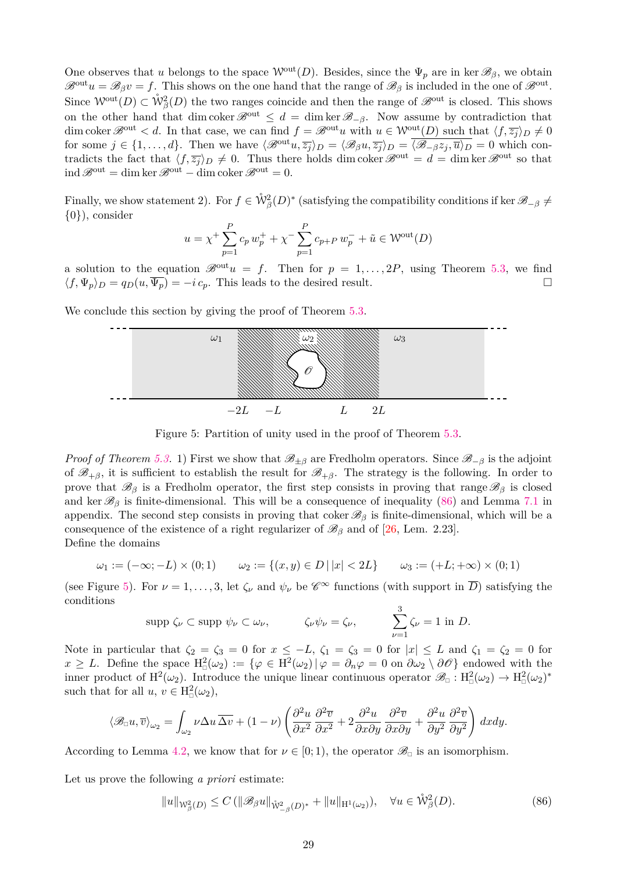One observes that *u* belongs to the space  $W^{out}(D)$ . Besides, since the  $\Psi_p$  are in ker  $\mathscr{B}_{\beta}$ , we obtain  $\mathscr{B}^{\text{out}}u = \mathscr{B}_{\beta}v = f$ . This shows on the one hand that the range of  $\mathscr{B}_{\beta}$  is included in the one of  $\mathscr{B}^{\text{out}}$ . Since  $\mathcal{W}^{\text{out}}(D) \subset \mathring{W}^2_{\beta}(D)$  the two ranges coincide and then the range of  $\mathscr{B}^{\text{out}}$  is closed. This shows on the other hand that dim coker  $\mathscr{B}^{out} \leq d = \dim \ker \mathscr{B}_{-\beta}$ . Now assume by contradiction that dim coker  $\mathscr{B}^{out} < d$ . In that case, we can find  $f = \mathscr{B}^{out}u$  with  $u \in \mathcal{W}^{out}(D)$  such that  $\langle f, \overline{z_i} \rangle_D \neq 0$ for some  $j \in \{1, ..., d\}$ . Then we have  $\langle \mathcal{B}^{\text{out}} u, \overline{z_j} \rangle_D = \langle \mathcal{B}_{\beta} u, \overline{z_j} \rangle_D = \overline{\langle \mathcal{B}_{-\beta} z_j, \overline{u} \rangle_D} = 0$  which contradicts the fact that  $\langle f, \overline{z_j} \rangle_D \neq 0$ . Thus there holds dim coker  $\mathscr{B}^{out} = d = \dim \ker \mathscr{B}^{out}$  so that  $\mathrm{ind}\,\mathscr{B}^{\mathrm{out}} = \dim\ker\mathscr{B}^{\mathrm{out}} - \dim\mathrm{coker}\,\mathscr{B}^{\mathrm{out}} = 0.$ 

Finally, we show statement 2). For  $f \in \mathring{W}_{\beta}^2(D)^*$  (satisfying the compatibility conditions if ker  $\mathscr{B}_{-\beta} \neq$ {0}), consider

$$
u = \chi^{+} \sum_{p=1}^{P} c_p w_p^{+} + \chi^{-} \sum_{p=1}^{P} c_{p+P} w_p^{-} + \tilde{u} \in W^{\text{out}}(D)
$$

a solution to the equation  $\mathscr{B}^{out}u = f$ . Then for  $p = 1, \ldots, 2P$ , using Theorem [5.3,](#page-26-1) we find  $\langle f, \Psi_p \rangle_D = q_D(u, \overline{\Psi_p}) = -i c_p$ . This leads to the desired result.

We conclude this section by giving the proof of Theorem  $5.3$ .



<span id="page-28-1"></span>Figure 5: Partition of unity used in the proof of Theorem [5.3.](#page-26-1)

*Proof of Theorem* [5.3.](#page-26-1) 1) First we show that  $\mathscr{B}_{\pm\beta}$  are Fredholm operators. Since  $\mathscr{B}_{-\beta}$  is the adjoint of  $\mathscr{B}_{+\beta}$ , it is sufficient to establish the result for  $\mathscr{B}_{+\beta}$ . The strategy is the following. In order to prove that  $\mathscr{B}_{\beta}$  is a Fredholm operator, the first step consists in proving that range  $\mathscr{B}_{\beta}$  is closed and ker  $\mathscr{B}_{\beta}$  is finite-dimensional. This will be a consequence of inequality [\(86\)](#page-28-0) and Lemma [7.1](#page-34-18) in appendix. The second step consists in proving that coker  $\mathscr{B}_{\beta}$  is finite-dimensional, which will be a consequence of the existence of a right regularizer of  $\mathscr{B}_{\beta}$  and of [\[26,](#page-35-6) Lem. 2.23]. Define the domains

$$
\omega_1 := (-\infty; -L) \times (0; 1) \qquad \omega_2 := \{(x, y) \in D \mid |x| < 2L\} \qquad \omega_3 := (+L; +\infty) \times (0; 1)
$$

(see Figure [5\)](#page-28-1). For  $\nu = 1, \ldots, 3$ , let  $\zeta_{\nu}$  and  $\psi_{\nu}$  be  $\mathscr{C}^{\infty}$  functions (with support in  $\overline{D}$ ) satisfying the conditions

$$
\text{supp }\zeta_{\nu}\subset\text{supp }\psi_{\nu}\subset\omega_{\nu},\qquad\qquad\zeta_{\nu}\psi_{\nu}=\zeta_{\nu},\qquad\qquad\sum_{\nu=1}^3\zeta_{\nu}=1\text{ in }D.
$$

Note in particular that  $\zeta_2 = \zeta_3 = 0$  for  $x \leq -L$ ,  $\zeta_1 = \zeta_3 = 0$  for  $|x| \leq L$  and  $\zeta_1 = \zeta_2 = 0$  for  $x \geq L$ . Define the space  $H^2_{\mathbb{Z}}(\omega_2) := \{ \varphi \in H^2(\omega_2) \mid \varphi = \partial_n \varphi = 0 \text{ on } \partial \omega_2 \setminus \partial \mathscr{O} \}$  endowed with the inner product of  $H^2(\omega_2)$ . Introduce the unique linear continuous operator  $\mathscr{B}_{\Box}: H^2_{\Box}(\omega_2) \to H^2_{\Box}(\omega_2)^*$ such that for all  $u, v \in H^2(\omega_2)$ ,

$$
\langle \mathcal{B}_{\Box} u, \overline{v} \rangle_{\omega_2} = \int_{\omega_2} \nu \Delta u \, \overline{\Delta v} + (1 - \nu) \left( \frac{\partial^2 u}{\partial x^2} \frac{\partial^2 \overline{v}}{\partial x^2} + 2 \frac{\partial^2 u}{\partial x \partial y} \frac{\partial^2 \overline{v}}{\partial x \partial y} + \frac{\partial^2 u}{\partial y^2} \frac{\partial^2 \overline{v}}{\partial y^2} \right) dx dy.
$$

According to Lemma [4.2,](#page-13-2) we know that for  $\nu \in [0,1)$ , the operator  $\mathscr{B}_{\Box}$  is an isomorphism.

Let us prove the following *a priori* estimate:

<span id="page-28-0"></span>
$$
||u||_{W_{\beta}^{2}(D)} \leq C (||\mathcal{B}_{\beta}u||_{\mathring{W}_{-\beta}^{2}(D)^{*}} + ||u||_{H^{1}(\omega_{2})}), \quad \forall u \in \mathring{W}_{\beta}^{2}(D).
$$
\n(86)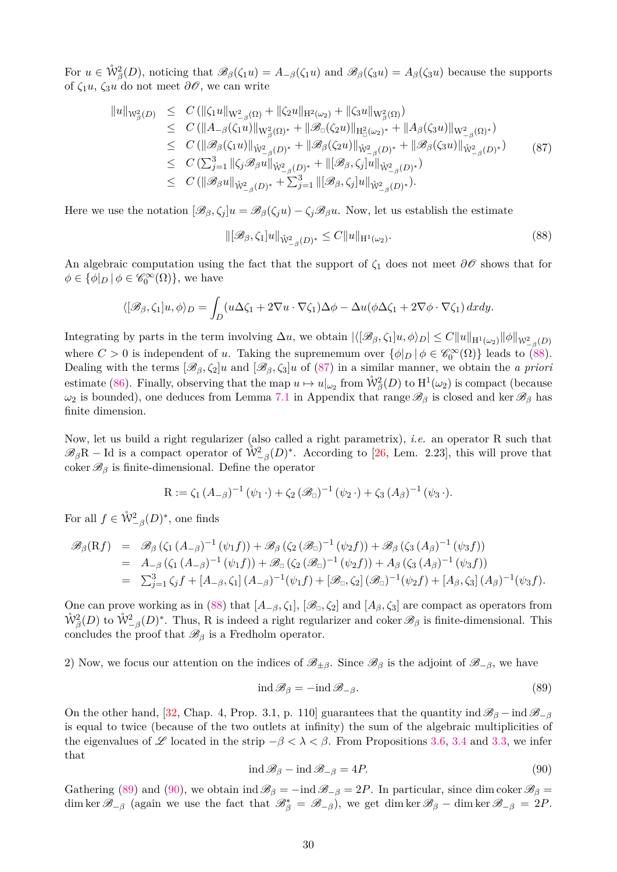For  $u \in \mathring{W}^2_{\beta}(D)$ , noticing that  $\mathscr{B}_{\beta}(\zeta_1 u) = A_{-\beta}(\zeta_1 u)$  and  $\mathscr{B}_{\beta}(\zeta_3 u) = A_{\beta}(\zeta_3 u)$  because the supports of  $\zeta_1 u$ ,  $\zeta_3 u$  do not meet  $\partial \mathscr{O}$ , we can write

<span id="page-29-1"></span>
$$
\|u\|_{W_{\beta}^{2}(D)} \leq C (\|\zeta_{1}u\|_{W_{-\beta}^{2}(\Omega)} + \|\zeta_{2}u\|_{H^{2}(\omega_{2})} + \|\zeta_{3}u\|_{W_{\beta}^{2}(\Omega)})
$$
  
\n
$$
\leq C (\|A_{-\beta}(\zeta_{1}u)\|_{W_{\beta}^{2}(\Omega)^{*}} + \|\mathscr{B}_{\Box}(\zeta_{2}u)\|_{H^{2}_{\Box}(\omega_{2})^{*}} + \|A_{\beta}(\zeta_{3}u)\|_{W_{-\beta}^{2}(\Omega)^{*}})
$$
  
\n
$$
\leq C (\|\mathscr{B}_{\beta}(\zeta_{1}u)\|_{\mathring{W}_{-\beta}^{2}(D)^{*}} + \|\mathscr{B}_{\beta}(\zeta_{2}u)\|_{\mathring{W}_{-\beta}^{2}(D)^{*}} + \|\mathscr{B}_{\beta}(\zeta_{3}u)\|_{\mathring{W}_{-\beta}^{2}(D)^{*}})
$$
  
\n
$$
\leq C (\sum_{j=1}^{3} \|\zeta_{j}\mathscr{B}_{\beta}u\|_{\mathring{W}_{-\beta}^{2}(D)^{*}} + \|\zeta_{\beta}(\zeta_{j}u)\|_{\mathring{W}_{-\beta}^{2}(D)^{*}})
$$
  
\n
$$
\leq C (\|\mathscr{B}_{\beta}u\|_{\mathring{W}_{-\beta}^{2}(D)^{*}} + \sum_{j=1}^{3} \|\zeta_{\beta}(\zeta_{j}u)\|_{\mathring{W}_{-\beta}^{2}(D)^{*}}).
$$
  
\n(87)

Here we use the notation  $[\mathscr{B}_{\beta}, \zeta_i]u = \mathscr{B}_{\beta}(\zeta_i u) - \zeta_i \mathscr{B}_{\beta}u$ . Now, let us establish the estimate

<span id="page-29-0"></span>
$$
\|[\mathcal{B}_{\beta}, \zeta_1]u\|_{\mathring{W}^2_{-\beta}(D)^*} \le C\|u\|_{H^1(\omega_2)}.
$$
\n(88)

An algebraic computation using the fact that the support of  $\zeta_1$  does not meet  $\partial\mathcal{O}$  shows that for  $\phi \in {\{\phi|_D \mid \phi \in \mathscr{C}_0^{\infty}(\Omega)\}}$ , we have

$$
\langle [\mathscr{B}_{\beta}, \zeta_1]u, \phi \rangle_D = \int_D (u\Delta\zeta_1 + 2\nabla u \cdot \nabla\zeta_1)\Delta\phi - \Delta u(\phi\Delta\zeta_1 + 2\nabla\phi \cdot \nabla\zeta_1) \,dxdy.
$$

 $\text{Integrating by parts in the term involving } \Delta u$ , we obtain  $|\langle [\mathscr{B}_{\beta}, \zeta_1]u, \phi \rangle_D| \leq C \|u\|_{\mathcal{H}^1(\omega_2)} \|\phi\|_{\mathcal{W}_{-\beta}^2(D)}$ where  $C > 0$  is independent of *u*. Taking the suprememum over  $\{\phi|_D \mid \phi \in \mathscr{C}_0^{\infty}(\Omega)\}\)$  leads to [\(88\)](#page-29-0). Dealing with the terms  $[\mathscr{B}_{\beta}, \zeta_2]u$  and  $[\mathscr{B}_{\beta}, \zeta_3]u$  of [\(87\)](#page-29-1) in a similar manner, we obtain the *a priori* estimate [\(86\)](#page-28-0). Finally, observing that the map  $u \mapsto u|_{\omega_2}$  from  $\mathring{W}^2_{\beta}(D)$  to  $H^1(\omega_2)$  is compact (because *ω*<sub>2</sub> is bounded), one deduces from Lemma [7.1](#page-34-18) in Appendix that range  $\mathscr{B}_{\beta}$  is closed and ker  $\mathscr{B}_{\beta}$  has finite dimension.

Now, let us build a right regularizer (also called a right parametrix), *i.e.* an operator R such that  $\mathscr{B}_{\beta}R$  − Id is a compact operator of  $\mathring{W}^2_{-\beta}(D)^*$ . According to [\[26,](#page-35-6) Lem. 2.23], this will prove that coker  $\mathscr{B}_{\beta}$  is finite-dimensional. Define the operator

$$
R := \zeta_1 (A_{-\beta})^{-1} (\psi_1 \cdot) + \zeta_2 (\mathscr{B}_{\Box})^{-1} (\psi_2 \cdot) + \zeta_3 (A_{\beta})^{-1} (\psi_3 \cdot).
$$

For all  $f \in \mathring{\mathcal{W}}_{-\beta}^2(D)^*$ , one finds

$$
\mathscr{B}_{\beta}(\mathbf{R}f) = \mathscr{B}_{\beta}(\zeta_{1}(A_{-\beta})^{-1}(\psi_{1}f)) + \mathscr{B}_{\beta}(\zeta_{2}(\mathscr{B}_{\Box})^{-1}(\psi_{2}f)) + \mathscr{B}_{\beta}(\zeta_{3}(A_{\beta})^{-1}(\psi_{3}f))
$$
  
\n
$$
= A_{-\beta}(\zeta_{1}(A_{-\beta})^{-1}(\psi_{1}f)) + \mathscr{B}_{\Box}(\zeta_{2}(\mathscr{B}_{\Box})^{-1}(\psi_{2}f)) + A_{\beta}(\zeta_{3}(A_{\beta})^{-1}(\psi_{3}f))
$$
  
\n
$$
= \sum_{j=1}^{3} \zeta_{j}f + [A_{-\beta}, \zeta_{1}](A_{-\beta})^{-1}(\psi_{1}f) + [\mathscr{B}_{\Box}, \zeta_{2}](\mathscr{B}_{\Box})^{-1}(\psi_{2}f) + [A_{\beta}, \zeta_{3}](A_{\beta})^{-1}(\psi_{3}f).
$$

One can prove working as in [\(88\)](#page-29-0) that  $[A_{-\beta}, \zeta_1], [\mathscr{B}_{\square}, \zeta_2]$  and  $[A_{\beta}, \zeta_3]$  are compact as operators from  $\mathring{W}^2_{\beta}(D)$  to  $\mathring{W}^2_{-\beta}(D)^*$ . Thus, R is indeed a right regularizer and coker  $\mathscr{B}_{\beta}$  is finite-dimensional. This concludes the proof that  $\mathscr{B}_{\beta}$  is a Fredholm operator.

2) Now, we focus our attention on the indices of  $\mathscr{B}_{\pm\beta}$ . Since  $\mathscr{B}_{\beta}$  is the adjoint of  $\mathscr{B}_{-\beta}$ , we have

<span id="page-29-2"></span>
$$
ind \mathcal{B}_{\beta} = -ind \mathcal{B}_{-\beta}.
$$
 (89)

On the other hand, [\[32,](#page-35-11) Chap. 4, Prop. 3.1, p. 110] guarantees that the quantity ind  $\mathscr{B}_{\beta}$  – ind  $\mathscr{B}_{-\beta}$ is equal to twice (because of the two outlets at infinity) the sum of the algebraic multiplicities of the eigenvalues of L located in the strip  $-\beta < \lambda < \beta$ . From Propositions [3.6,](#page-8-0) [3.4](#page-6-3) and [3.3,](#page-5-1) we infer that

<span id="page-29-3"></span>
$$
ind \mathcal{B}_{\beta} - ind \mathcal{B}_{-\beta} = 4P.
$$
\n(90)

Gathering [\(89\)](#page-29-2) and [\(90\)](#page-29-3), we obtain ind  $\mathscr{B}_{\beta} = -\text{ind } \mathscr{B}_{-\beta} = 2P$ . In particular, since dim coker  $\mathscr{B}_{\beta} =$  $\dim \ker \mathscr{B}_{-\beta}$  (again we use the fact that  $\mathscr{B}_{\beta}^* = \mathscr{B}_{-\beta}$ ), we get  $\dim \ker \mathscr{B}_{\beta} - \dim \ker \mathscr{B}_{-\beta} = 2P$ .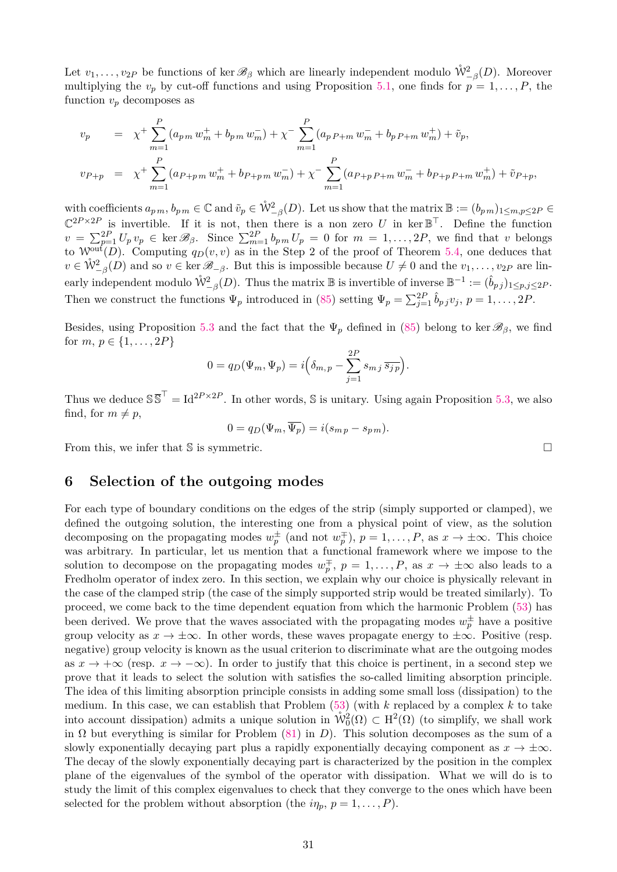Let  $v_1, \ldots, v_{2P}$  be functions of ker  $\mathscr{B}_{\beta}$  which are linearly independent modulo  $\mathring{W}^2_{-\beta}(D)$ . Moreover multiplying the  $v_p$  by cut-off functions and using Proposition [5.1,](#page-22-0) one finds for  $p = 1, \ldots, P$ , the function  $v_p$  decomposes as

$$
v_p = \chi^+ \sum_{m=1}^P (a_{p\,m} w_m^+ + b_{p\,m} w_m^-) + \chi^- \sum_{m=1}^P (a_{p\,P+m} w_m^- + b_{p\,P+m} w_m^+) + \tilde{v}_p,
$$
  

$$
v_{P+p} = \chi^+ \sum_{m=1}^P (a_{P+p\,m} w_m^+ + b_{P+p\,m} w_m^-) + \chi^- \sum_{m=1}^P (a_{P+p\,P+m} w_m^- + b_{P+p\,P+m} w_m^+) + \tilde{v}_{P+p},
$$

with coefficients  $a_{p,m}$ ,  $b_{p,m} \in \mathbb{C}$  and  $\tilde{v}_p \in \mathring{W}_{-\beta}^2(D)$ . Let us show that the matrix  $\mathbb{B} := (b_{p,m})_{1 \leq m,p \leq 2P} \in$  $\mathbb{C}^{2P\times 2P}$  is invertible. If it is not, then there is a non zero *U* in ker  $\mathbb{B}^{\top}$ . Define the function  $v = \sum_{p=1}^{2P} U_p v_p \in \ker \mathscr{B}_{\beta}$ . Since  $\sum_{m=1}^{2P} b_{pm} U_p = 0$  for  $m = 1, ..., 2P$ , we find that v belongs to  $\mathcal{W}^{\text{out}}(D)$ . Computing  $q_D(v, v)$  as in the Step 2 of the proof of Theorem [5.4,](#page-26-0) one deduces that  $v \in \mathring{W}_{-\beta}^2(D)$  and so  $v \in \ker \mathscr{B}_{-\beta}$ . But this is impossible because  $U \neq 0$  and the  $v_1, \ldots, v_{2P}$  are linearly independent modulo  $\mathring{\mathcal{W}}_{-\beta}^2(D)$ . Thus the matrix  $\mathbb B$  is invertible of inverse  $\mathbb B^{-1}:=(\hat{b}_{p,j})_{1\leq p,j\leq 2P}$ . Then we construct the functions  $\Psi_p$  introduced in [\(85\)](#page-26-2) setting  $\Psi_p = \sum_{j=1}^{2P} \hat{b}_{pj} v_j$ ,  $p = 1, \ldots, 2P$ .

Besides, using Proposition [5.3](#page-26-3) and the fact that the  $\Psi_p$  defined in [\(85\)](#page-26-2) belong to ker  $\mathscr{B}_{\beta}$ , we find for  $m, p \in \{1, ..., 2P\}$ 

$$
0 = q_D(\Psi_m, \Psi_p) = i\Big(\delta_{m,p} - \sum_{j=1}^{2P} s_{m,j} \overline{s_{jp}}\Big).
$$

Thus we deduce  $S\overline{S}^T = Id^{2P \times 2P}$ . In other words, S is unitary. Using again Proposition [5.3,](#page-26-3) we also find, for  $m \neq p$ ,

$$
0 = q_D(\Psi_m, \Psi_p) = i(s_{m p} - s_{p m}).
$$

From this, we infer that S is symmetric.

### <span id="page-30-0"></span>**6 Selection of the outgoing modes**

For each type of boundary conditions on the edges of the strip (simply supported or clamped), we defined the outgoing solution, the interesting one from a physical point of view, as the solution decomposing on the propagating modes  $w_p^{\pm}$  (and not  $w_p^{\mp}$ ),  $p = 1, \ldots, P$ , as  $x \to \pm \infty$ . This choice was arbitrary. In particular, let us mention that a functional framework where we impose to the solution to decompose on the propagating modes  $w_p^{\pm}$ ,  $p = 1, \ldots, P$ , as  $x \to \pm \infty$  also leads to a Fredholm operator of index zero. In this section, we explain why our choice is physically relevant in the case of the clamped strip (the case of the simply supported strip would be treated similarly). To proceed, we come back to the time dependent equation from which the harmonic Problem [\(53\)](#page-17-3) has been derived. We prove that the waves associated with the propagating modes  $w_p^{\pm}$  have a positive group velocity as  $x \to \pm \infty$ . In other words, these waves propagate energy to  $\pm \infty$ . Positive (resp. negative) group velocity is known as the usual criterion to discriminate what are the outgoing modes as  $x \to +\infty$  (resp.  $x \to -\infty$ ). In order to justify that this choice is pertinent, in a second step we prove that it leads to select the solution with satisfies the so-called limiting absorption principle. The idea of this limiting absorption principle consists in adding some small loss (dissipation) to the medium. In this case, we can establish that Problem [\(53\)](#page-17-3) (with *k* replaced by a complex *k* to take into account dissipation) admits a unique solution in  $\mathring{\mathcal{W}}_0^2(\Omega) \subset H^2(\Omega)$  (to simplify, we shall work in  $\Omega$  but everything is similar for Problem [\(81\)](#page-25-0) in *D*). This solution decomposes as the sum of a slowly exponentially decaying part plus a rapidly exponentially decaying component as  $x \to \pm \infty$ . The decay of the slowly exponentially decaying part is characterized by the position in the complex plane of the eigenvalues of the symbol of the operator with dissipation. What we will do is to study the limit of this complex eigenvalues to check that they converge to the ones which have been selected for the problem without absorption (the  $i\eta_p$ ,  $p = 1, \ldots, P$ ).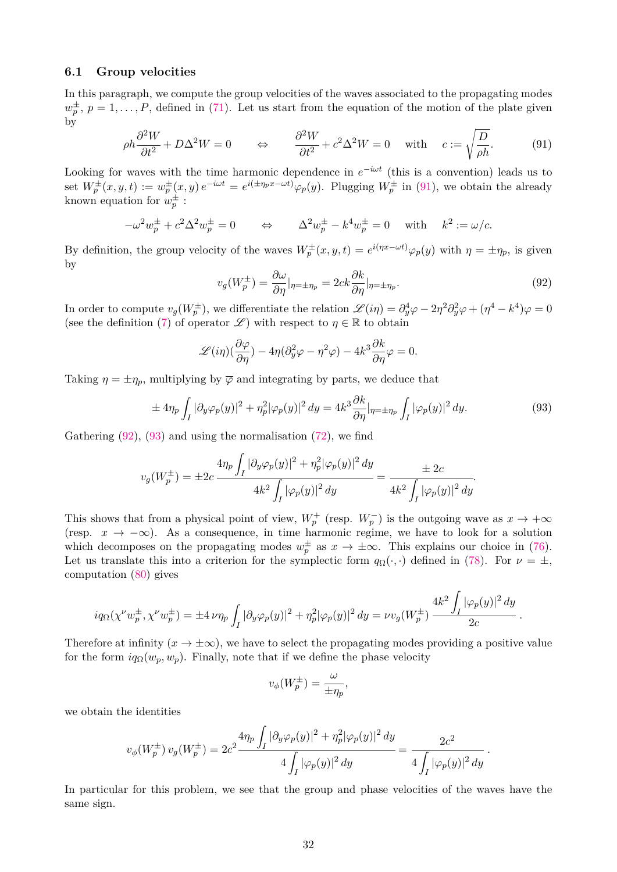#### **6.1 Group velocities**

In this paragraph, we compute the group velocities of the waves associated to the propagating modes  $w_p^{\pm}, p = 1, \ldots, P$ , defined in [\(71\)](#page-22-6). Let us start from the equation of the motion of the plate given by

<span id="page-31-0"></span>
$$
\rho h \frac{\partial^2 W}{\partial t^2} + D\Delta^2 W = 0 \qquad \Leftrightarrow \qquad \frac{\partial^2 W}{\partial t^2} + c^2 \Delta^2 W = 0 \quad \text{with} \quad c := \sqrt{\frac{D}{\rho h}}.\tag{91}
$$

Looking for waves with the time harmonic dependence in  $e^{-i\omega t}$  (this is a convention) leads us to set  $W_p^{\pm}(x, y, t) := w_p^{\pm}(x, y) e^{-i\omega t} = e^{i(\pm \eta_p x - \omega t)} \varphi_p(y)$ . Plugging  $W_p^{\pm}$  in [\(91\)](#page-31-0), we obtain the already known equation for  $w_p^{\pm}$ :

$$
-\omega^2 w_p^{\pm} + c^2 \Delta^2 w_p^{\pm} = 0 \qquad \Leftrightarrow \qquad \Delta^2 w_p^{\pm} - k^4 w_p^{\pm} = 0 \quad \text{with} \quad k^2 := \omega/c.
$$

By definition, the group velocity of the waves  $W_p^{\pm}(x, y, t) = e^{i(\eta x - \omega t)} \varphi_p(y)$  with  $\eta = \pm \eta_p$ , is given by

<span id="page-31-1"></span>
$$
v_g(W_p^{\pm}) = \frac{\partial \omega}{\partial \eta}|_{\eta = \pm \eta_p} = 2ck \frac{\partial k}{\partial \eta}|_{\eta = \pm \eta_p}.
$$
\n(92)

In order to compute  $v_g(W_p^{\pm})$ , we differentiate the relation  $\mathscr{L}(i\eta) = \partial_y^4 \varphi - 2\eta^2 \partial_y^2 \varphi + (\eta^4 - k^4)\varphi = 0$ (see the definition [\(7\)](#page-4-5) of operator  $\mathscr{L}$ ) with respect to  $\eta \in \mathbb{R}$  to obtain

$$
\mathscr{L}(i\eta)(\frac{\partial\varphi}{\partial\eta}) - 4\eta(\partial_y^2\varphi - \eta^2\varphi) - 4k^3\frac{\partial k}{\partial\eta}\varphi = 0.
$$

Taking  $\eta = \pm \eta_p$ , multiplying by  $\overline{\varphi}$  and integrating by parts, we deduce that

<span id="page-31-2"></span>
$$
\pm 4\eta_p \int_I |\partial_y \varphi_p(y)|^2 + \eta_p^2 |\varphi_p(y)|^2 dy = 4k^3 \frac{\partial k}{\partial \eta} |_{\eta = \pm \eta_p} \int_I |\varphi_p(y)|^2 dy. \tag{93}
$$

Gathering  $(92)$ ,  $(93)$  and using the normalisation  $(72)$ , we find

$$
v_g(W_p^{\pm}) = \pm 2c \frac{4\eta_p \int_I |\partial_y \varphi_p(y)|^2 + \eta_p^2 |\varphi_p(y)|^2 dy}{4k^2 \int_I |\varphi_p(y)|^2 dy} = \frac{\pm 2c}{4k^2 \int_I |\varphi_p(y)|^2 dy}.
$$

This shows that from a physical point of view,  $W_p^+$  (resp.  $W_p^-$ ) is the outgoing wave as  $x \to +\infty$ (resp.  $x \to -\infty$ ). As a consequence, in time harmonic regime, we have to look for a solution which decomposes on the propagating modes  $w_p^{\pm}$  as  $x \to \pm \infty$ . This explains our choice in [\(76\)](#page-23-0). Let us translate this into a criterion for the symplectic form  $q_{\Omega}(\cdot, \cdot)$  defined in [\(78\)](#page-23-4). For  $\nu = \pm$ , computation [\(80\)](#page-24-0) gives

$$
iq_{\Omega}(\chi^{\nu}w_{p}^{\pm},\chi^{\nu}w_{p}^{\pm}) = \pm 4 \nu \eta_{p} \int_{I} |\partial_{y} \varphi_{p}(y)|^{2} + \eta_{p}^{2} |\varphi_{p}(y)|^{2} dy = \nu v_{g}(W_{p}^{\pm}) \frac{4k^{2} \int_{I} |\varphi_{p}(y)|^{2} dy}{2c}.
$$

Therefore at infinity  $(x \to \pm \infty)$ , we have to select the propagating modes providing a positive value for the form  $iq_{\Omega}(w_p, w_p)$ . Finally, note that if we define the phase velocity

$$
v_{\phi}(W^{\pm}_{p}) = \frac{\omega}{\pm \eta_{p}},
$$

we obtain the identities

$$
v_{\phi}(W_{p}^{\pm}) v_{g}(W_{p}^{\pm}) = 2c^{2} \frac{4\eta_{p} \int_{I} |\partial_{y} \varphi_{p}(y)|^{2} + \eta_{p}^{2} |\varphi_{p}(y)|^{2} dy}{4 \int_{I} |\varphi_{p}(y)|^{2} dy} = \frac{2c^{2}}{4 \int_{I} |\varphi_{p}(y)|^{2} dy}.
$$

In particular for this problem, we see that the group and phase velocities of the waves have the same sign.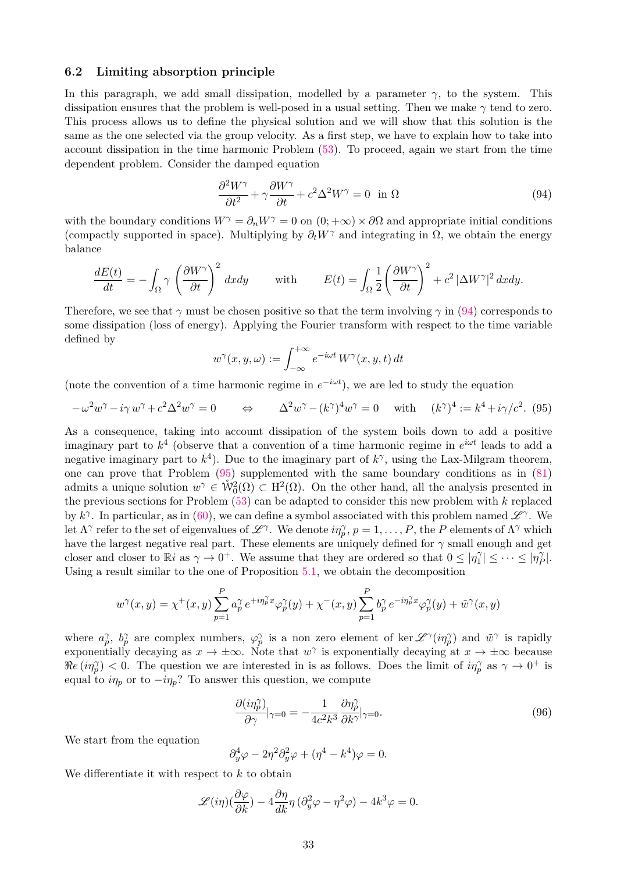#### **6.2 Limiting absorption principle**

In this paragraph, we add small dissipation, modelled by a parameter  $\gamma$ , to the system. This dissipation ensures that the problem is well-posed in a usual setting. Then we make *γ* tend to zero. This process allows us to define the physical solution and we will show that this solution is the same as the one selected via the group velocity. As a first step, we have to explain how to take into account dissipation in the time harmonic Problem [\(53\)](#page-17-3). To proceed, again we start from the time dependent problem. Consider the damped equation

<span id="page-32-0"></span>
$$
\frac{\partial^2 W^{\gamma}}{\partial t^2} + \gamma \frac{\partial W^{\gamma}}{\partial t} + c^2 \Delta^2 W^{\gamma} = 0 \quad \text{in } \Omega
$$
\n(94)

with the boundary conditions  $W^{\gamma} = \partial_n W^{\gamma} = 0$  on  $(0; +\infty) \times \partial \Omega$  and appropriate initial conditions (compactly supported in space). Multiplying by  $\partial_t W^\gamma$  and integrating in  $\Omega$ , we obtain the energy balance

$$
\frac{dE(t)}{dt} = -\int_{\Omega} \gamma \left(\frac{\partial W^{\gamma}}{\partial t}\right)^{2} dxdy \quad \text{with} \quad E(t) = \int_{\Omega} \frac{1}{2} \left(\frac{\partial W^{\gamma}}{\partial t}\right)^{2} + c^{2} |\Delta W^{\gamma}|^{2} dxdy.
$$

Therefore, we see that  $\gamma$  must be chosen positive so that the term involving  $\gamma$  in [\(94\)](#page-32-0) corresponds to some dissipation (loss of energy). Applying the Fourier transform with respect to the time variable defined by

$$
w^{\gamma}(x, y, \omega) := \int_{-\infty}^{+\infty} e^{-i\omega t} W^{\gamma}(x, y, t) dt
$$

(note the convention of a time harmonic regime in  $e^{-i\omega t}$ ), we are led to study the equation

<span id="page-32-1"></span>
$$
-\omega^2 w^\gamma - i\gamma w^\gamma + c^2 \Delta^2 w^\gamma = 0 \qquad \Leftrightarrow \qquad \Delta^2 w^\gamma - (k^\gamma)^4 w^\gamma = 0 \quad \text{with} \quad (k^\gamma)^4 := k^4 + i\gamma/c^2. \tag{95}
$$

As a consequence, taking into account dissipation of the system boils down to add a positive imaginary part to *k* 4 (observe that a convention of a time harmonic regime in *e iωt* leads to add a negative imaginary part to  $k^4$ ). Due to the imaginary part of  $k^{\gamma}$ , using the Lax-Milgram theorem, one can prove that Problem [\(95\)](#page-32-1) supplemented with the same boundary conditions as in [\(81\)](#page-25-0) admits a unique solution  $w^{\gamma} \in \mathring{W}_0^2(\Omega) \subset H^2(\Omega)$ . On the other hand, all the analysis presented in the previous sections for Problem [\(53\)](#page-17-3) can be adapted to consider this new problem with *k* replaced by  $k^{\gamma}$ . In particular, as in [\(60\)](#page-19-2), we can define a symbol associated with this problem named  $\mathscr{L}^{\gamma}$ . We let  $\Lambda^{\gamma}$  refer to the set of eigenvalues of  $\mathscr{L}^{\gamma}$ . We denote  $i\eta_{p}^{\gamma}$ ,  $p = 1, \ldots, P$ , the *P* elements of  $\Lambda^{\gamma}$  which have the largest negative real part. These elements are uniquely defined for  $\gamma$  small enough and get closer and closer to  $\mathbb{R}i$  as  $\gamma \to 0^+$ . We assume that they are ordered so that  $0 \leq |\eta_1\rangle$  $|\gamma_1 \gamma| \leq \cdots \leq |\eta_I \gamma|$  $\rho_P^{\gamma}|.$ Using a result similar to the one of Proposition [5.1,](#page-22-0) we obtain the decomposition

$$
w^{\gamma}(x,y) = \chi^+(x,y) \sum_{p=1}^P a_p^{\gamma} e^{+i\eta_p^{\gamma}x} \varphi_p^{\gamma}(y) + \chi^-(x,y) \sum_{p=1}^P b_p^{\gamma} e^{-i\eta_p^{\gamma}x} \varphi_p^{\gamma}(y) + \tilde{w}^{\gamma}(x,y)
$$

where  $a_p^{\gamma}$ ,  $b_p^{\gamma}$  are complex numbers,  $\varphi_p^{\gamma}$  is a non zero element of ker  $\mathscr{L}^{\gamma}(i\eta_p^{\gamma})$  and  $\tilde{w}^{\gamma}$  is rapidly exponentially decaying as  $x \to \pm \infty$ . Note that  $w^{\gamma}$  is exponentially decaying at  $x \to \pm \infty$  because  $\Re e(i\eta_p^{\gamma}) < 0$ . The question we are interested in is as follows. Does the limit of  $i\eta_p^{\gamma}$  as  $\gamma \to 0^+$  is equal to  $i\eta_p$  or to  $-i\eta_p$ ? To answer this question, we compute

<span id="page-32-2"></span>
$$
\frac{\partial(i\eta_p^{\gamma})}{\partial \gamma}|_{\gamma=0} = -\frac{1}{4c^2k^3} \frac{\partial \eta_p^{\gamma}}{\partial k^{\gamma}}|_{\gamma=0}.
$$
\n(96)

We start from the equation

$$
\partial_y^4 \varphi - 2\eta^2 \partial_y^2 \varphi + (\eta^4 - k^4)\varphi = 0.
$$

We differentiate it with respect to *k* to obtain

$$
\mathcal{L}(i\eta)(\frac{\partial\varphi}{\partial k}) - 4\frac{\partial\eta}{dk}\eta(\partial_y^2\varphi - \eta^2\varphi) - 4k^3\varphi = 0.
$$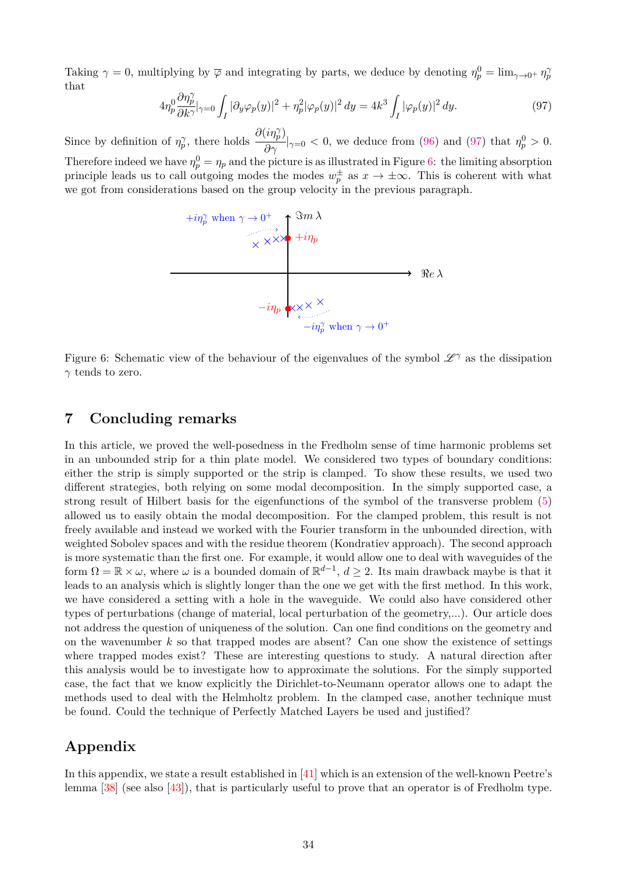Taking  $\gamma = 0$ , multiplying by  $\overline{\varphi}$  and integrating by parts, we deduce by denoting  $\eta_p^0 = \lim_{\gamma \to 0^+} \eta_p^0$ that

<span id="page-33-1"></span>
$$
4\eta_p^0 \frac{\partial \eta_p^{\gamma}}{\partial k^{\gamma}} \Big|_{\gamma=0} \int_I |\partial_y \varphi_p(y)|^2 + \eta_p^2 |\varphi_p(y)|^2 dy = 4k^3 \int_I |\varphi_p(y)|^2 dy. \tag{97}
$$

Since by definition of  $\eta_p^{\gamma}$ , there holds  $\partial(i\eta_p^{\gamma})$  $\frac{\partial \eta_p}{\partial \gamma}|_{\gamma=0}$  < 0, we deduce from [\(96\)](#page-32-2) and [\(97\)](#page-33-1) that  $\eta_p^0 > 0$ . Therefore indeed we have  $\eta_p^0 = \eta_p$  and the picture is as illustrated in Figure [6:](#page-33-2) the limiting absorption principle leads us to call outgoing modes the modes  $w_p^{\pm}$  as  $x \to \pm \infty$ . This is coherent with what we got from considerations based on the group velocity in the previous paragraph.



<span id="page-33-2"></span>Figure 6: Schematic view of the behaviour of the eigenvalues of the symbol  $\mathscr{L}^{\gamma}$  as the dissipation *γ* tends to zero.

### <span id="page-33-0"></span>**7 Concluding remarks**

In this article, we proved the well-posedness in the Fredholm sense of time harmonic problems set in an unbounded strip for a thin plate model. We considered two types of boundary conditions: either the strip is simply supported or the strip is clamped. To show these results, we used two different strategies, both relying on some modal decomposition. In the simply supported case, a strong result of Hilbert basis for the eigenfunctions of the symbol of the transverse problem [\(5\)](#page-3-1) allowed us to easily obtain the modal decomposition. For the clamped problem, this result is not freely available and instead we worked with the Fourier transform in the unbounded direction, with weighted Sobolev spaces and with the residue theorem (Kondratiev approach). The second approach is more systematic than the first one. For example, it would allow one to deal with waveguides of the form  $\Omega = \mathbb{R} \times \omega$ , where  $\omega$  is a bounded domain of  $\mathbb{R}^{d-1}$ ,  $d \geq 2$ . Its main drawback maybe is that it leads to an analysis which is slightly longer than the one we get with the first method. In this work, we have considered a setting with a hole in the waveguide. We could also have considered other types of perturbations (change of material, local perturbation of the geometry,...). Our article does not address the question of uniqueness of the solution. Can one find conditions on the geometry and on the wavenumber *k* so that trapped modes are absent? Can one show the existence of settings where trapped modes exist? These are interesting questions to study. A natural direction after this analysis would be to investigate how to approximate the solutions. For the simply supported case, the fact that we know explicitly the Dirichlet-to-Neumann operator allows one to adapt the methods used to deal with the Helmholtz problem. In the clamped case, another technique must be found. Could the technique of Perfectly Matched Layers be used and justified?

## **Appendix**

In this appendix, we state a result established in [\[41\]](#page-35-22) which is an extension of the well-known Peetre's lemma [\[38\]](#page-35-23) (see also [\[43\]](#page-35-24)), that is particularly useful to prove that an operator is of Fredholm type.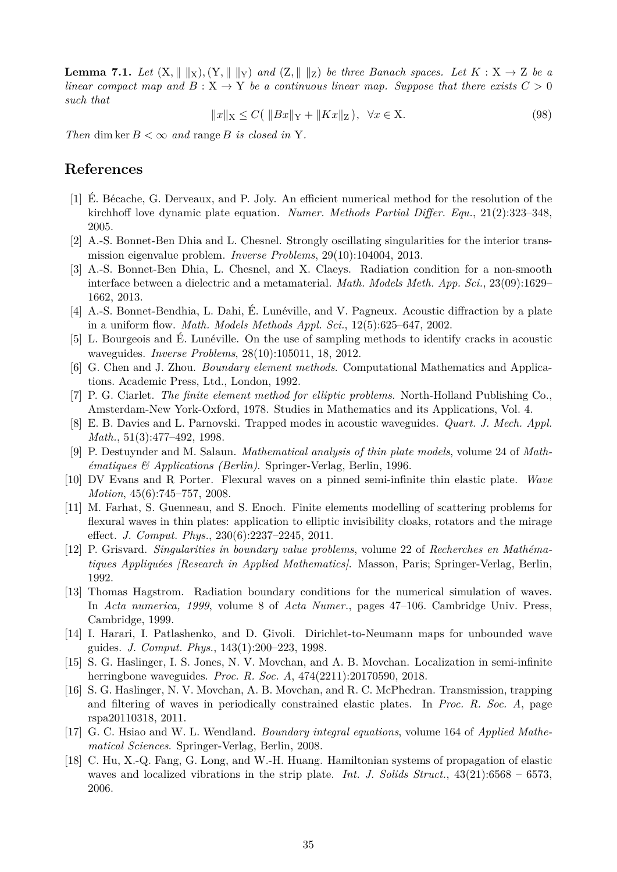<span id="page-34-18"></span>**Lemma 7.1.** *Let*  $(X, \| \|X), (Y, \| \|Y)$  *and*  $(Z, \| \|Z)$  *be three Banach spaces. Let*  $K : X \to Z$  *be a linear compact map and*  $B: X \to Y$  *be a continuous linear map. Suppose that there exists*  $C > 0$ *such that*

$$
||x||_X \le C(||Bx||_Y + ||Kx||_Z), \ \forall x \in X.
$$
 (98)

*Then* dim ker  $B < \infty$  *and* range *B is closed in* Y.

### **References**

- <span id="page-34-4"></span>[1] É. Bécache, G. Derveaux, and P. Joly. An efficient numerical method for the resolution of the kirchhoff love dynamic plate equation. *Numer. Methods Partial Differ. Equ.*, 21(2):323–348, 2005.
- <span id="page-34-16"></span>[2] A.-S. Bonnet-Ben Dhia and L. Chesnel. Strongly oscillating singularities for the interior transmission eigenvalue problem. *Inverse Problems*, 29(10):104004, 2013.
- <span id="page-34-15"></span>[3] A.-S. Bonnet-Ben Dhia, L. Chesnel, and X. Claeys. Radiation condition for a non-smooth interface between a dielectric and a metamaterial. *Math. Models Meth. App. Sci.*, 23(09):1629– 1662, 2013.
- <span id="page-34-11"></span>[4] A.-S. Bonnet-Bendhia, L. Dahi, É. Lunéville, and V. Pagneux. Acoustic diffraction by a plate in a uniform flow. *Math. Models Methods Appl. Sci.*, 12(5):625–647, 2002.
- <span id="page-34-12"></span>[5] L. Bourgeois and É. Lunéville. On the use of sampling methods to identify cracks in acoustic waveguides. *Inverse Problems*, 28(10):105011, 18, 2012.
- <span id="page-34-2"></span>[6] G. Chen and J. Zhou. *Boundary element methods*. Computational Mathematics and Applications. Academic Press, Ltd., London, 1992.
- <span id="page-34-0"></span>[7] P. G. Ciarlet. *The finite element method for elliptic problems*. North-Holland Publishing Co., Amsterdam-New York-Oxford, 1978. Studies in Mathematics and its Applications, Vol. 4.
- <span id="page-34-13"></span>[8] E. B. Davies and L. Parnovski. Trapped modes in acoustic waveguides. *Quart. J. Mech. Appl. Math.*, 51(3):477–492, 1998.
- <span id="page-34-1"></span>[9] P. Destuynder and M. Salaun. *Mathematical analysis of thin plate models*, volume 24 of *Mathématiques & Applications (Berlin)*. Springer-Verlag, Berlin, 1996.
- <span id="page-34-6"></span>[10] DV Evans and R Porter. Flexural waves on a pinned semi-infinite thin elastic plate. *Wave Motion*, 45(6):745–757, 2008.
- <span id="page-34-5"></span>[11] M. Farhat, S. Guenneau, and S. Enoch. Finite elements modelling of scattering problems for flexural waves in thin plates: application to elliptic invisibility cloaks, rotators and the mirage effect. *J. Comput. Phys.*, 230(6):2237–2245, 2011.
- <span id="page-34-17"></span>[12] P. Grisvard. *Singularities in boundary value problems*, volume 22 of *Recherches en Mathématiques Appliquées [Research in Applied Mathematics]*. Masson, Paris; Springer-Verlag, Berlin, 1992.
- <span id="page-34-10"></span>[13] Thomas Hagstrom. Radiation boundary conditions for the numerical simulation of waves. In *Acta numerica, 1999*, volume 8 of *Acta Numer.*, pages 47–106. Cambridge Univ. Press, Cambridge, 1999.
- <span id="page-34-9"></span>[14] I. Harari, I. Patlashenko, and D. Givoli. Dirichlet-to-Neumann maps for unbounded wave guides. *J. Comput. Phys.*, 143(1):200–223, 1998.
- <span id="page-34-8"></span>[15] S. G. Haslinger, I. S. Jones, N. V. Movchan, and A. B. Movchan. Localization in semi-infinite herringbone waveguides. *Proc. R. Soc. A*, 474(2211):20170590, 2018.
- <span id="page-34-7"></span>[16] S. G. Haslinger, N. V. Movchan, A. B. Movchan, and R. C. McPhedran. Transmission, trapping and filtering of waves in periodically constrained elastic plates. In *Proc. R. Soc. A*, page rspa20110318, 2011.
- <span id="page-34-3"></span>[17] G. C. Hsiao and W. L. Wendland. *Boundary integral equations*, volume 164 of *Applied Mathematical Sciences*. Springer-Verlag, Berlin, 2008.
- <span id="page-34-14"></span>[18] C. Hu, X.-Q. Fang, G. Long, and W.-H. Huang. Hamiltonian systems of propagation of elastic waves and localized vibrations in the strip plate. *Int. J. Solids Struct.*, 43(21):6568 – 6573, 2006.